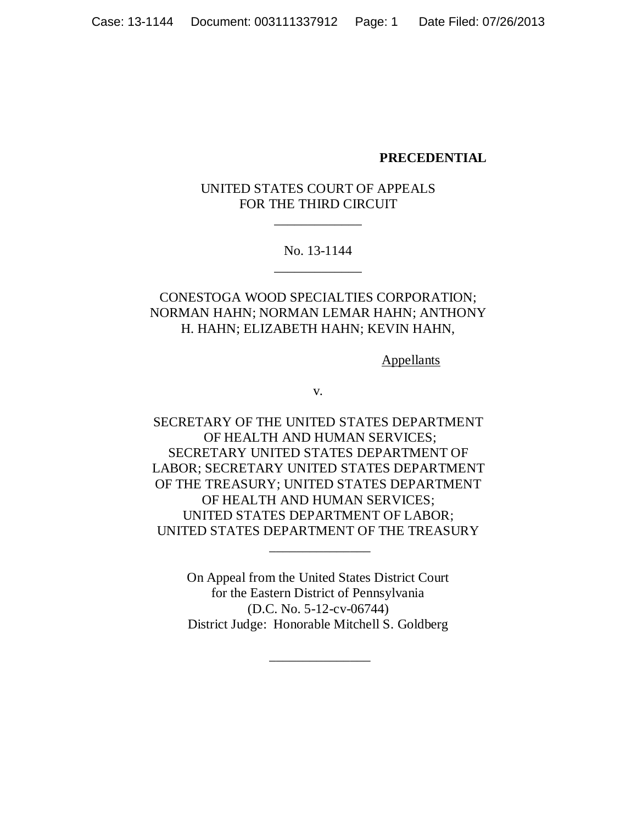### **PRECEDENTIAL**

# UNITED STATES COURT OF APPEALS FOR THE THIRD CIRCUIT

\_\_\_\_\_\_\_\_\_\_\_\_\_

No. 13-1144 \_\_\_\_\_\_\_\_\_\_\_\_\_

# CONESTOGA WOOD SPECIALTIES CORPORATION; NORMAN HAHN; NORMAN LEMAR HAHN; ANTHONY H. HAHN; ELIZABETH HAHN; KEVIN HAHN,

**Appellants** 

v.

SECRETARY OF THE UNITED STATES DEPARTMENT OF HEALTH AND HUMAN SERVICES; SECRETARY UNITED STATES DEPARTMENT OF LABOR; SECRETARY UNITED STATES DEPARTMENT OF THE TREASURY; UNITED STATES DEPARTMENT OF HEALTH AND HUMAN SERVICES; UNITED STATES DEPARTMENT OF LABOR; UNITED STATES DEPARTMENT OF THE TREASURY

> On Appeal from the United States District Court for the Eastern District of Pennsylvania (D.C. No. 5-12-cv-06744) District Judge: Honorable Mitchell S. Goldberg

> > \_\_\_\_\_\_\_\_\_\_\_\_\_\_\_

\_\_\_\_\_\_\_\_\_\_\_\_\_\_\_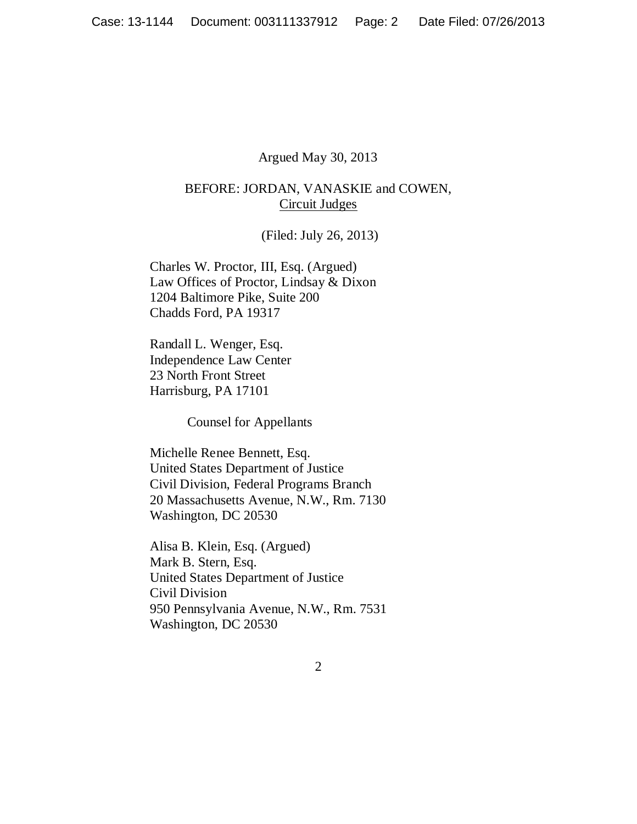### Argued May 30, 2013

## BEFORE: JORDAN, VANASKIE and COWEN, Circuit Judges

(Filed: July 26, 2013)

Charles W. Proctor, III, Esq. (Argued) Law Offices of Proctor, Lindsay & Dixon 1204 Baltimore Pike, Suite 200 Chadds Ford, PA 19317

Randall L. Wenger, Esq. Independence Law Center 23 North Front Street Harrisburg, PA 17101

Counsel for Appellants

Michelle Renee Bennett, Esq. United States Department of Justice Civil Division, Federal Programs Branch 20 Massachusetts Avenue, N.W., Rm. 7130 Washington, DC 20530

Alisa B. Klein, Esq. (Argued) Mark B. Stern, Esq. United States Department of Justice Civil Division 950 Pennsylvania Avenue, N.W., Rm. 7531 Washington, DC 20530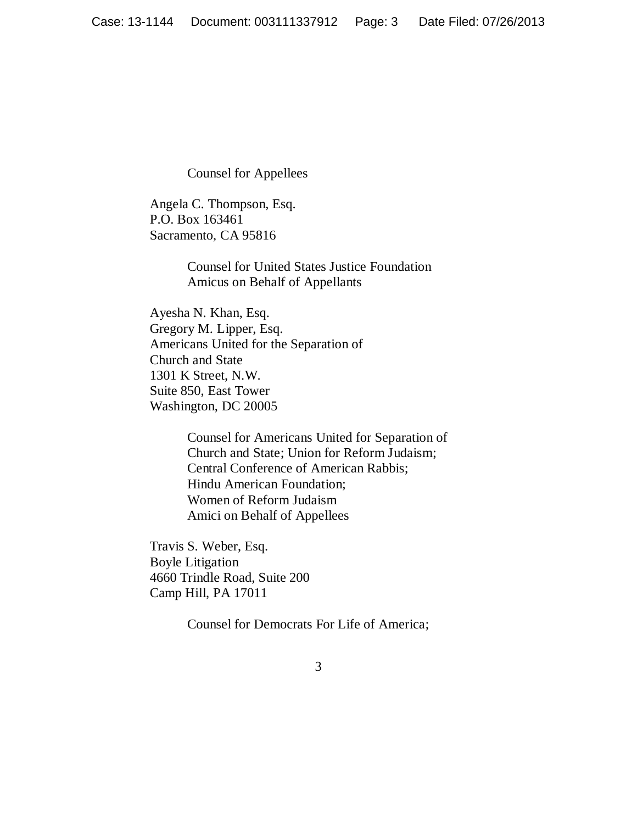Counsel for Appellees

Angela C. Thompson, Esq. P.O. Box 163461 Sacramento, CA 95816

> Counsel for United States Justice Foundation Amicus on Behalf of Appellants

Ayesha N. Khan, Esq. Gregory M. Lipper, Esq. Americans United for the Separation of Church and State 1301 K Street, N.W. Suite 850, East Tower Washington, DC 20005

> Counsel for Americans United for Separation of Church and State; Union for Reform Judaism; Central Conference of American Rabbis; Hindu American Foundation; Women of Reform Judaism Amici on Behalf of Appellees

Travis S. Weber, Esq. Boyle Litigation 4660 Trindle Road, Suite 200 Camp Hill, PA 17011

Counsel for Democrats For Life of America;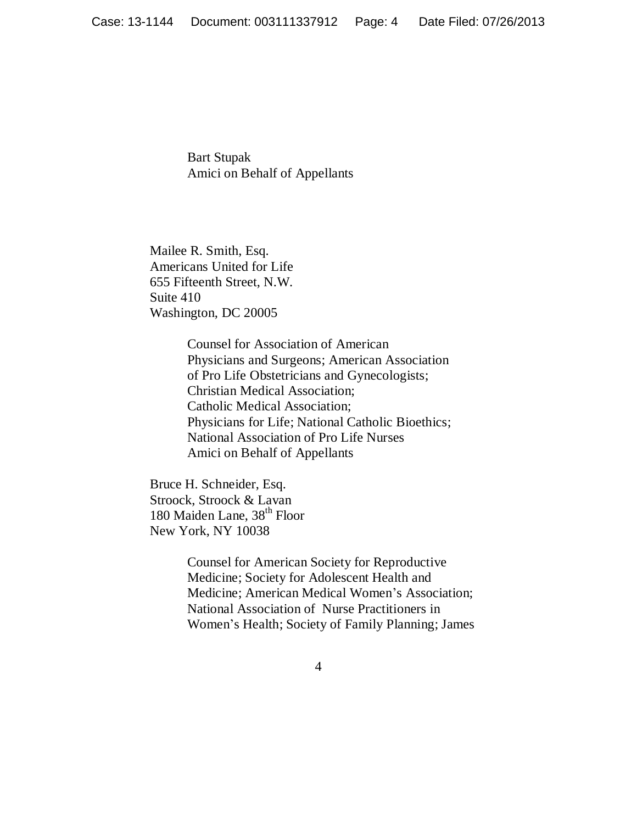Bart Stupak Amici on Behalf of Appellants

Mailee R. Smith, Esq. Americans United for Life 655 Fifteenth Street, N.W. Suite 410 Washington, DC 20005

> Counsel for Association of American Physicians and Surgeons; American Association of Pro Life Obstetricians and Gynecologists; Christian Medical Association; Catholic Medical Association; Physicians for Life; National Catholic Bioethics; National Association of Pro Life Nurses Amici on Behalf of Appellants

Bruce H. Schneider, Esq. Stroock, Stroock & Lavan 180 Maiden Lane, 38<sup>th</sup> Floor New York, NY 10038

> Counsel for American Society for Reproductive Medicine; Society for Adolescent Health and Medicine; American Medical Women's Association; National Association of Nurse Practitioners in Women's Health; Society of Family Planning; James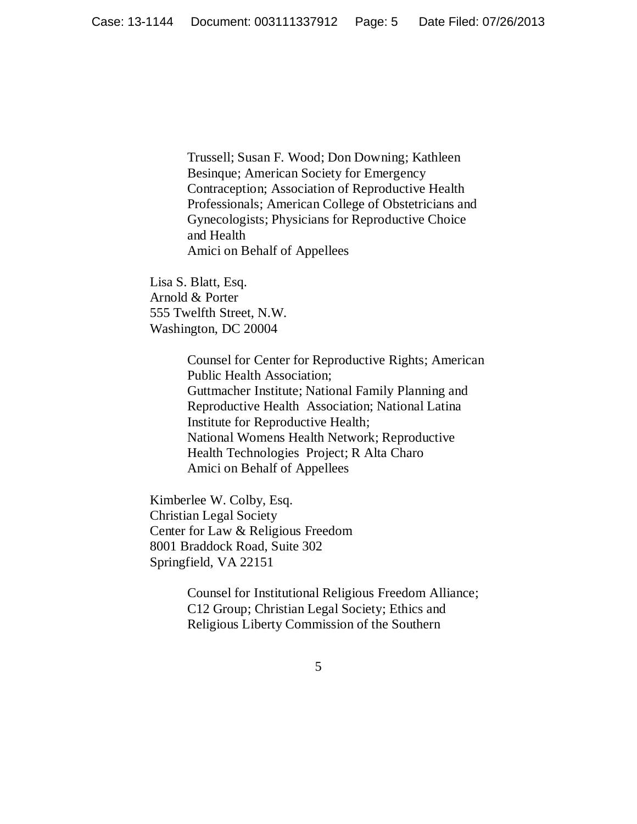Trussell; Susan F. Wood; Don Downing; Kathleen Besinque; American Society for Emergency Contraception; Association of Reproductive Health Professionals; American College of Obstetricians and Gynecologists; Physicians for Reproductive Choice and Health Amici on Behalf of Appellees

Lisa S. Blatt, Esq. Arnold & Porter 555 Twelfth Street, N.W. Washington, DC 20004

> Counsel for Center for Reproductive Rights; American Public Health Association; Guttmacher Institute; National Family Planning and Reproductive Health Association; National Latina Institute for Reproductive Health; National Womens Health Network; Reproductive Health Technologies Project; R Alta Charo Amici on Behalf of Appellees

Kimberlee W. Colby, Esq. Christian Legal Society Center for Law & Religious Freedom 8001 Braddock Road, Suite 302 Springfield, VA 22151

> Counsel for Institutional Religious Freedom Alliance; C12 Group; Christian Legal Society; Ethics and Religious Liberty Commission of the Southern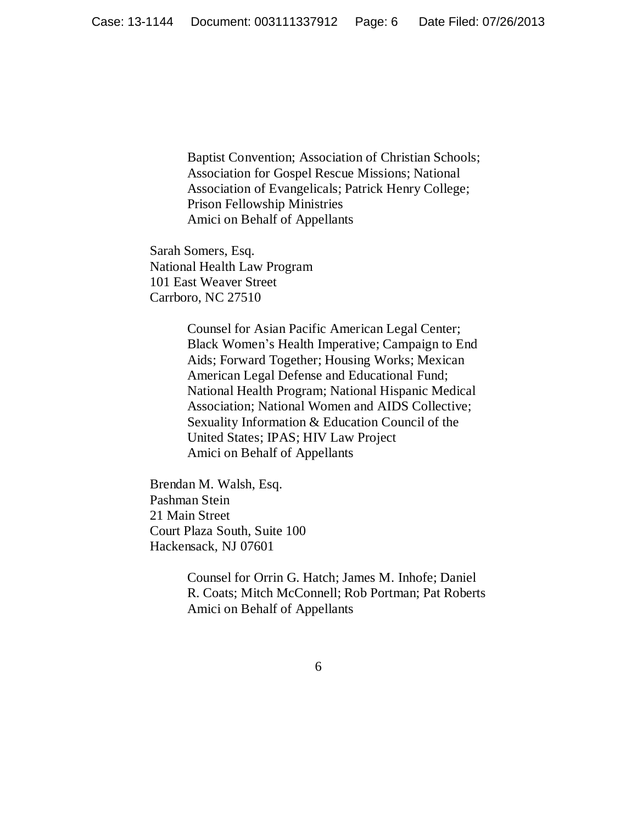Baptist Convention; Association of Christian Schools; Association for Gospel Rescue Missions; National Association of Evangelicals; Patrick Henry College; Prison Fellowship Ministries Amici on Behalf of Appellants

Sarah Somers, Esq. National Health Law Program 101 East Weaver Street Carrboro, NC 27510

> Counsel for Asian Pacific American Legal Center; Black Women's Health Imperative; Campaign to End Aids; Forward Together; Housing Works; Mexican American Legal Defense and Educational Fund; National Health Program; National Hispanic Medical Association; National Women and AIDS Collective; Sexuality Information & Education Council of the United States; IPAS; HIV Law Project Amici on Behalf of Appellants

Brendan M. Walsh, Esq. Pashman Stein 21 Main Street Court Plaza South, Suite 100 Hackensack, NJ 07601

> Counsel for Orrin G. Hatch; James M. Inhofe; Daniel R. Coats; Mitch McConnell; Rob Portman; Pat Roberts Amici on Behalf of Appellants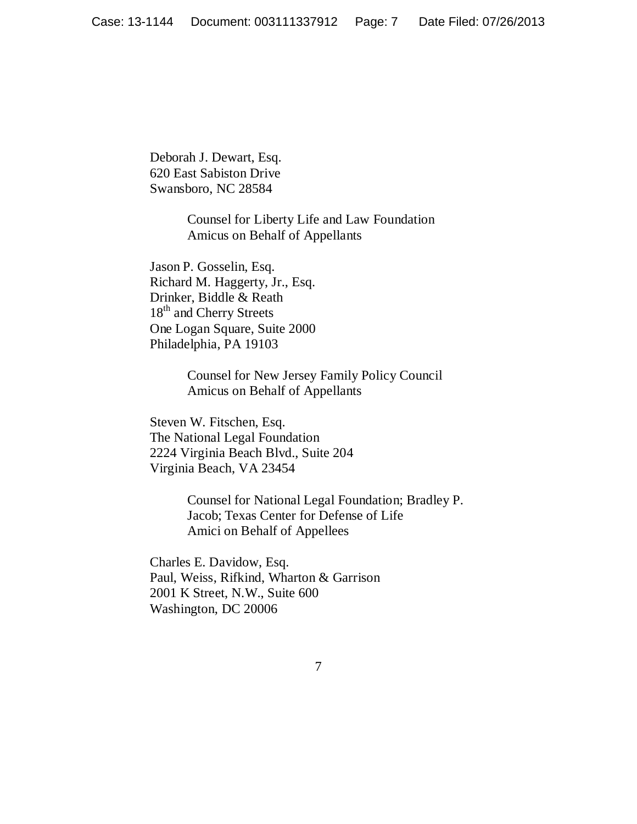Deborah J. Dewart, Esq. 620 East Sabiston Drive Swansboro, NC 28584

> Counsel for Liberty Life and Law Foundation Amicus on Behalf of Appellants

Jason P. Gosselin, Esq. Richard M. Haggerty, Jr., Esq. Drinker, Biddle & Reath 18<sup>th</sup> and Cherry Streets One Logan Square, Suite 2000 Philadelphia, PA 19103

> Counsel for New Jersey Family Policy Council Amicus on Behalf of Appellants

Steven W. Fitschen, Esq. The National Legal Foundation 2224 Virginia Beach Blvd., Suite 204 Virginia Beach, VA 23454

> Counsel for National Legal Foundation; Bradley P. Jacob; Texas Center for Defense of Life Amici on Behalf of Appellees

Charles E. Davidow, Esq. Paul, Weiss, Rifkind, Wharton & Garrison 2001 K Street, N.W., Suite 600 Washington, DC 20006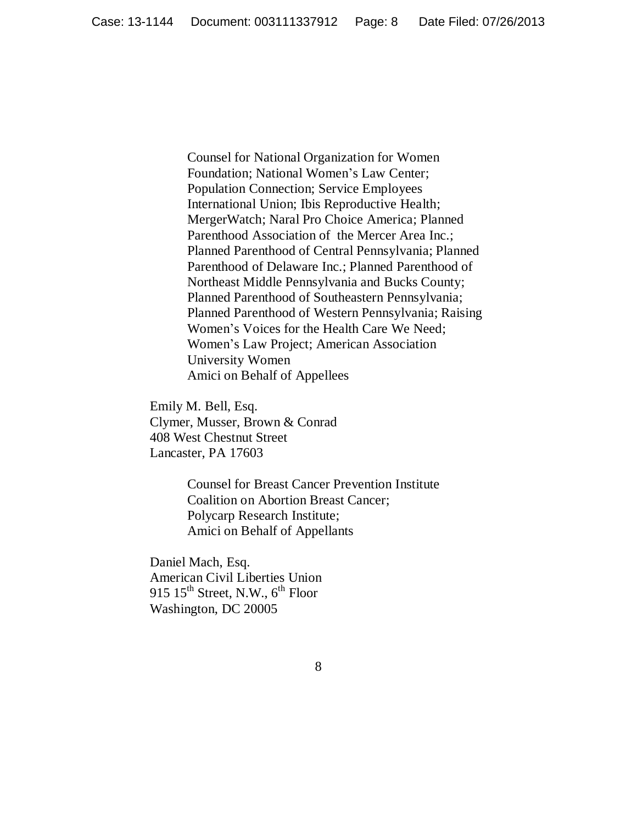Counsel for National Organization for Women Foundation; National Women's Law Center; Population Connection; Service Employees International Union; Ibis Reproductive Health; MergerWatch; Naral Pro Choice America; Planned Parenthood Association of the Mercer Area Inc.; Planned Parenthood of Central Pennsylvania; Planned Parenthood of Delaware Inc.; Planned Parenthood of Northeast Middle Pennsylvania and Bucks County; Planned Parenthood of Southeastern Pennsylvania; Planned Parenthood of Western Pennsylvania; Raising Women's Voices for the Health Care We Need; Women's Law Project; American Association University Women Amici on Behalf of Appellees

Emily M. Bell, Esq. Clymer, Musser, Brown & Conrad 408 West Chestnut Street Lancaster, PA 17603

> Counsel for Breast Cancer Prevention Institute Coalition on Abortion Breast Cancer; Polycarp Research Institute; Amici on Behalf of Appellants

Daniel Mach, Esq. American Civil Liberties Union 915  $15<sup>th</sup>$  Street, N.W.,  $6<sup>th</sup>$  Floor Washington, DC 20005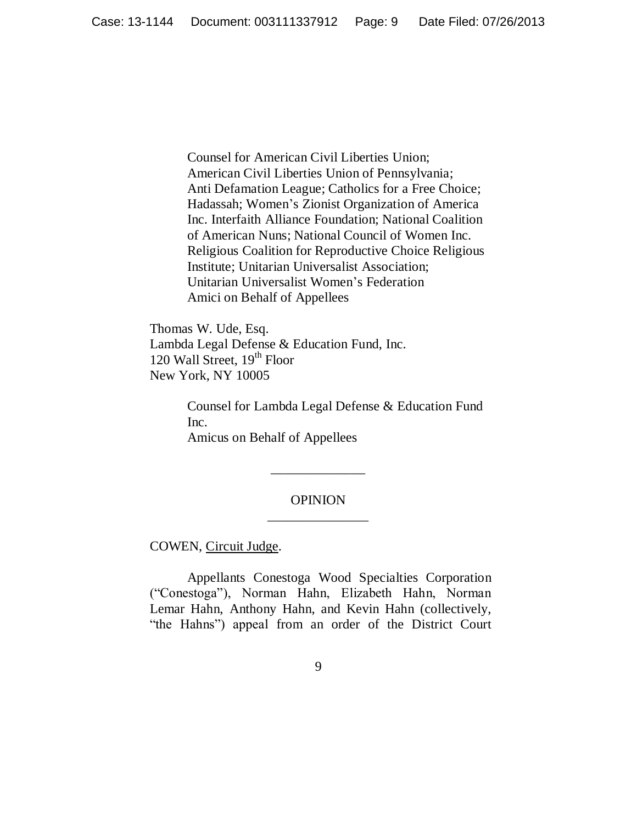Counsel for American Civil Liberties Union; American Civil Liberties Union of Pennsylvania; Anti Defamation League; Catholics for a Free Choice; Hadassah; Women's Zionist Organization of America Inc. Interfaith Alliance Foundation; National Coalition of American Nuns; National Council of Women Inc. Religious Coalition for Reproductive Choice Religious Institute; Unitarian Universalist Association; Unitarian Universalist Women's Federation Amici on Behalf of Appellees

Thomas W. Ude, Esq. Lambda Legal Defense & Education Fund, Inc. 120 Wall Street,  $19<sup>th</sup>$  Floor New York, NY 10005

> Counsel for Lambda Legal Defense & Education Fund Inc. Amicus on Behalf of Appellees

## OPINION \_\_\_\_\_\_\_\_\_\_\_\_\_\_\_

\_\_\_\_\_\_\_\_\_\_\_\_\_\_

COWEN, Circuit Judge.

Appellants Conestoga Wood Specialties Corporation (―Conestoga‖), Norman Hahn, Elizabeth Hahn, Norman Lemar Hahn, Anthony Hahn, and Kevin Hahn (collectively, "the Hahns") appeal from an order of the District Court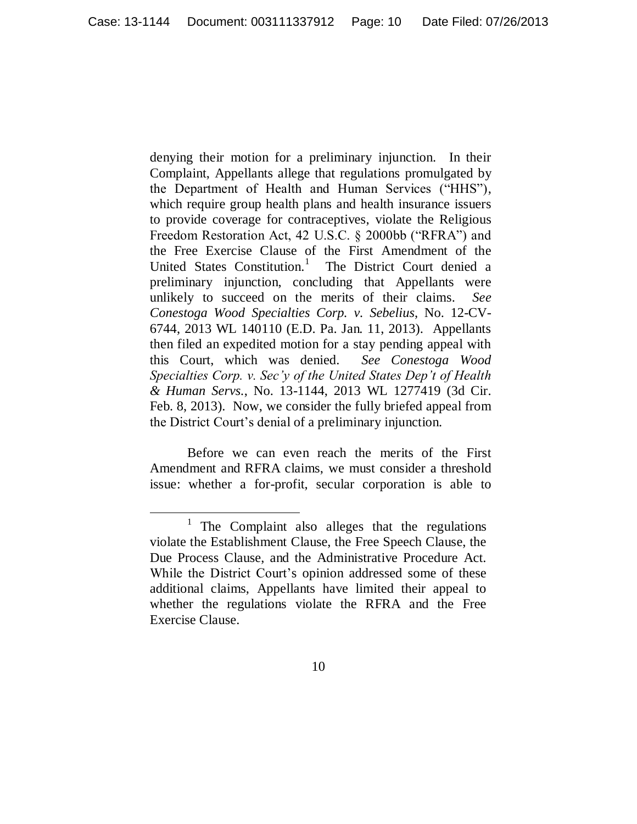denying their motion for a preliminary injunction. In their Complaint, Appellants allege that regulations promulgated by the Department of Health and Human Services ("HHS"), which require group health plans and health insurance issuers to provide coverage for contraceptives, violate the Religious Freedom Restoration Act, 42 U.S.C. § 2000bb ("RFRA") and the Free Exercise Clause of the First Amendment of the United States Constitution.<sup>1</sup> The District Court denied a preliminary injunction, concluding that Appellants were unlikely to succeed on the merits of their claims. *See Conestoga Wood Specialties Corp. v. Sebelius*, No. 12-CV-6744, 2013 WL 140110 (E.D. Pa. Jan. 11, 2013). Appellants then filed an expedited motion for a stay pending appeal with this Court, which was denied. *See Conestoga Wood Specialties Corp. v. Sec'y of the United States Dep't of Health & Human Servs.*, No. 13-1144, 2013 WL 1277419 (3d Cir. Feb. 8, 2013). Now, we consider the fully briefed appeal from the District Court's denial of a preliminary injunction.

Before we can even reach the merits of the First Amendment and RFRA claims, we must consider a threshold issue: whether a for-profit, secular corporation is able to

<sup>&</sup>lt;sup>1</sup> The Complaint also alleges that the regulations violate the Establishment Clause, the Free Speech Clause, the Due Process Clause, and the Administrative Procedure Act. While the District Court's opinion addressed some of these additional claims, Appellants have limited their appeal to whether the regulations violate the RFRA and the Free Exercise Clause.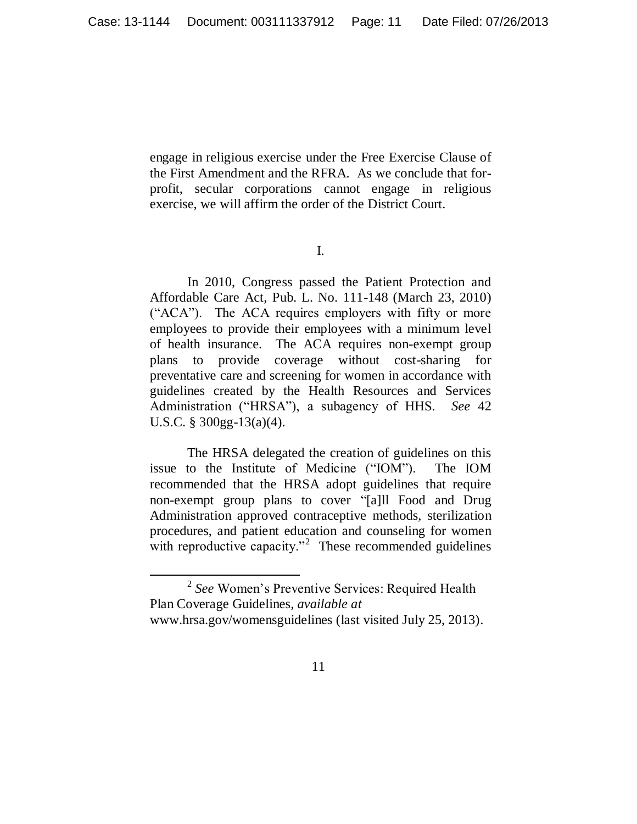engage in religious exercise under the Free Exercise Clause of the First Amendment and the RFRA. As we conclude that forprofit, secular corporations cannot engage in religious exercise, we will affirm the order of the District Court.

I.

In 2010, Congress passed the Patient Protection and Affordable Care Act, Pub. L. No. 111-148 (March 23, 2010) ("ACA"). The ACA requires employers with fifty or more employees to provide their employees with a minimum level of health insurance. The ACA requires non-exempt group plans to provide coverage without cost-sharing for preventative care and screening for women in accordance with guidelines created by the Health Resources and Services Administration ("HRSA"), a subagency of HHS. *See* 42 U.S.C. § 300gg-13(a)(4).

The HRSA delegated the creation of guidelines on this issue to the Institute of Medicine ("IOM"). The IOM recommended that the HRSA adopt guidelines that require non-exempt group plans to cover "[a]ll Food and Drug Administration approved contraceptive methods, sterilization procedures, and patient education and counseling for women with reproductive capacity. $n^2$  These recommended guidelines

 $\overline{a}$ 

<sup>2</sup> *See* Women's Preventive Services: Required Health Plan Coverage Guidelines*, available at* www.hrsa.gov/womensguidelines (last visited July 25, 2013).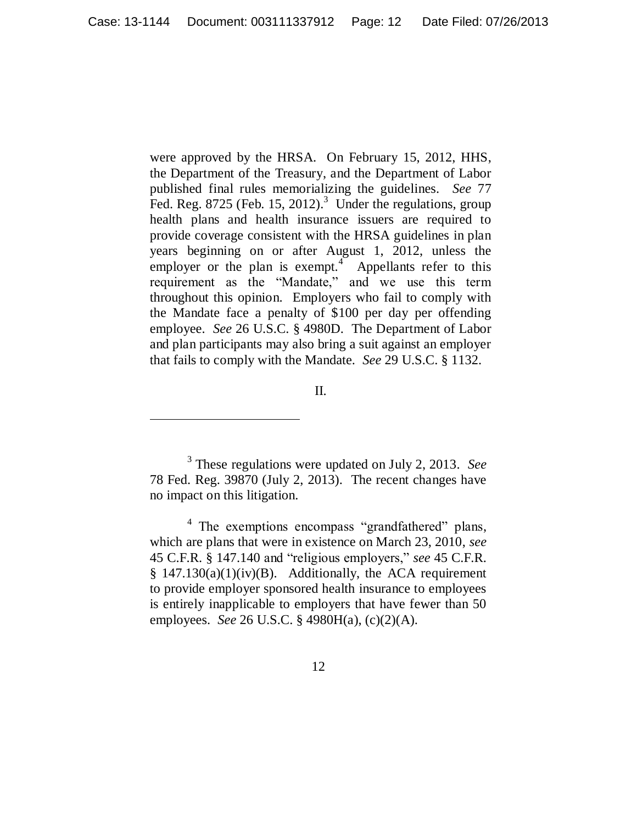were approved by the HRSA. On February 15, 2012, HHS, the Department of the Treasury, and the Department of Labor published final rules memorializing the guidelines. *See* 77 Fed. Reg.  $8725$  (Feb. 15, 2012).<sup>3</sup> Under the regulations, group health plans and health insurance issuers are required to provide coverage consistent with the HRSA guidelines in plan years beginning on or after August 1, 2012, unless the employer or the plan is exempt.<sup>4</sup> Appellants refer to this requirement as the "Mandate," and we use this term throughout this opinion. Employers who fail to comply with the Mandate face a penalty of \$100 per day per offending employee. *See* 26 U.S.C. § 4980D. The Department of Labor and plan participants may also bring a suit against an employer that fails to comply with the Mandate. *See* 29 U.S.C. § 1132.

II.

 $\overline{a}$ 

3 These regulations were updated on July 2, 2013. *See*  78 Fed. Reg. 39870 (July 2, 2013). The recent changes have no impact on this litigation.

<sup>4</sup> The exemptions encompass "grandfathered" plans, which are plans that were in existence on March 23, 2010, *see*  45 C.F.R. § 147.140 and "religious employers," see 45 C.F.R.  $§$  147.130(a)(1)(iv)(B). Additionally, the ACA requirement to provide employer sponsored health insurance to employees is entirely inapplicable to employers that have fewer than 50 employees. *See* 26 U.S.C. § 4980H(a), (c)(2)(A).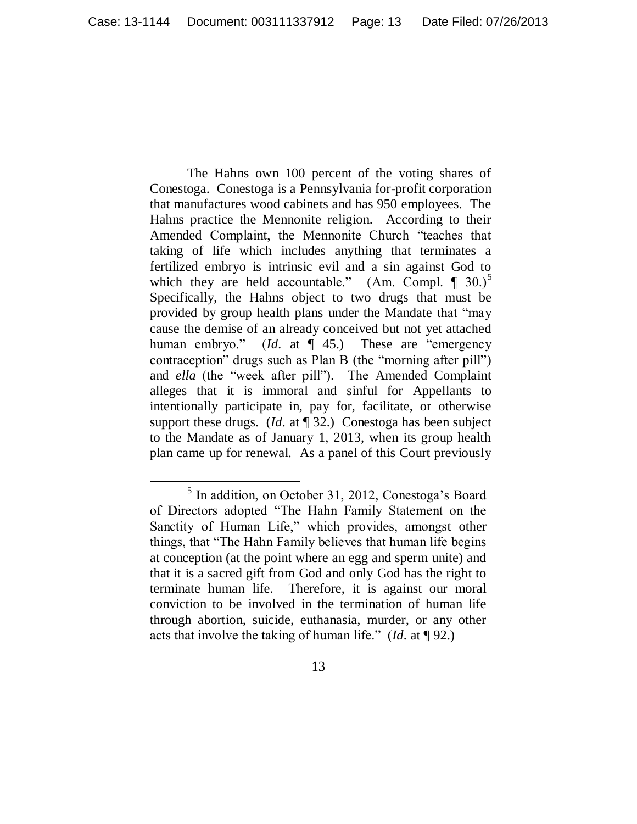The Hahns own 100 percent of the voting shares of Conestoga. Conestoga is a Pennsylvania for-profit corporation that manufactures wood cabinets and has 950 employees. The Hahns practice the Mennonite religion. According to their Amended Complaint, the Mennonite Church "teaches that taking of life which includes anything that terminates a fertilized embryo is intrinsic evil and a sin against God to which they are held accountable." (Am. Compl.  $\P$  30.)<sup>5</sup> Specifically, the Hahns object to two drugs that must be provided by group health plans under the Mandate that "may cause the demise of an already conceived but not yet attached human embryo." (*Id.* at ¶ 45.) These are "emergency" contraception" drugs such as Plan B (the "morning after pill") and *ella* (the "week after pill"). The Amended Complaint alleges that it is immoral and sinful for Appellants to intentionally participate in, pay for, facilitate, or otherwise support these drugs. (*Id.* at ¶ 32.) Conestoga has been subject to the Mandate as of January 1, 2013, when its group health plan came up for renewal. As a panel of this Court previously

 $\overline{a}$ 

<sup>&</sup>lt;sup>5</sup> In addition, on October 31, 2012, Conestoga's Board of Directors adopted "The Hahn Family Statement on the Sanctity of Human Life," which provides, amongst other things, that "The Hahn Family believes that human life begins at conception (at the point where an egg and sperm unite) and that it is a sacred gift from God and only God has the right to terminate human life. Therefore, it is against our moral conviction to be involved in the termination of human life through abortion, suicide, euthanasia, murder, or any other acts that involve the taking of human life.‖ (*Id.* at ¶ 92.)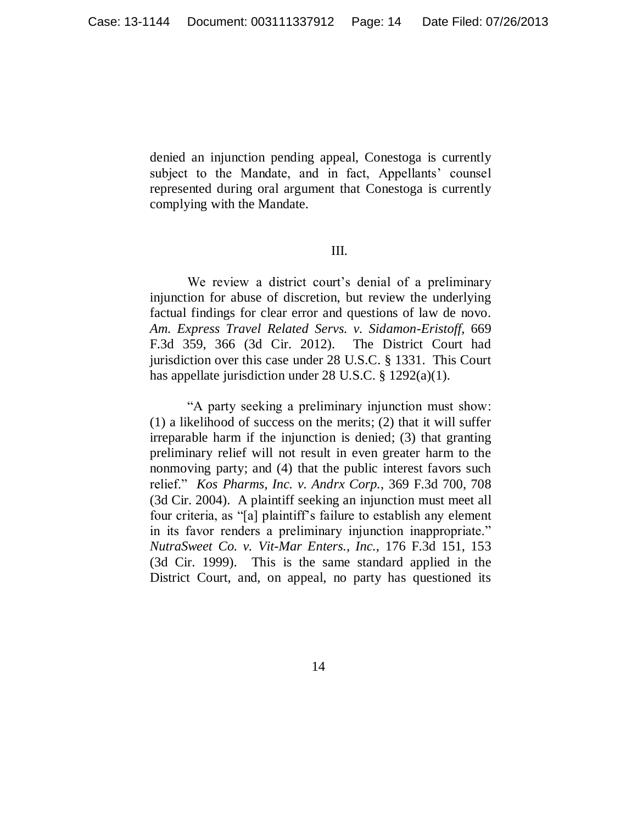denied an injunction pending appeal, Conestoga is currently subject to the Mandate, and in fact, Appellants' counsel represented during oral argument that Conestoga is currently complying with the Mandate.

### III.

We review a district court's denial of a preliminary injunction for abuse of discretion, but review the underlying factual findings for clear error and questions of law de novo. *Am. Express Travel Related Servs. v. Sidamon-Eristoff*, 669 F.3d 359, 366 (3d Cir. 2012). The District Court had jurisdiction over this case under 28 U.S.C. § 1331. This Court has appellate jurisdiction under 28 U.S.C. § 1292(a)(1).

―A party seeking a preliminary injunction must show: (1) a likelihood of success on the merits; (2) that it will suffer irreparable harm if the injunction is denied; (3) that granting preliminary relief will not result in even greater harm to the nonmoving party; and (4) that the public interest favors such relief.‖ *Kos Pharms, Inc. v. Andrx Corp.*, 369 F.3d 700, 708 (3d Cir. 2004). A plaintiff seeking an injunction must meet all four criteria, as "[a] plaintiff's failure to establish any element in its favor renders a preliminary injunction inappropriate." *NutraSweet Co. v. Vit-Mar Enters., Inc.*, 176 F.3d 151, 153 (3d Cir. 1999). This is the same standard applied in the District Court, and, on appeal, no party has questioned its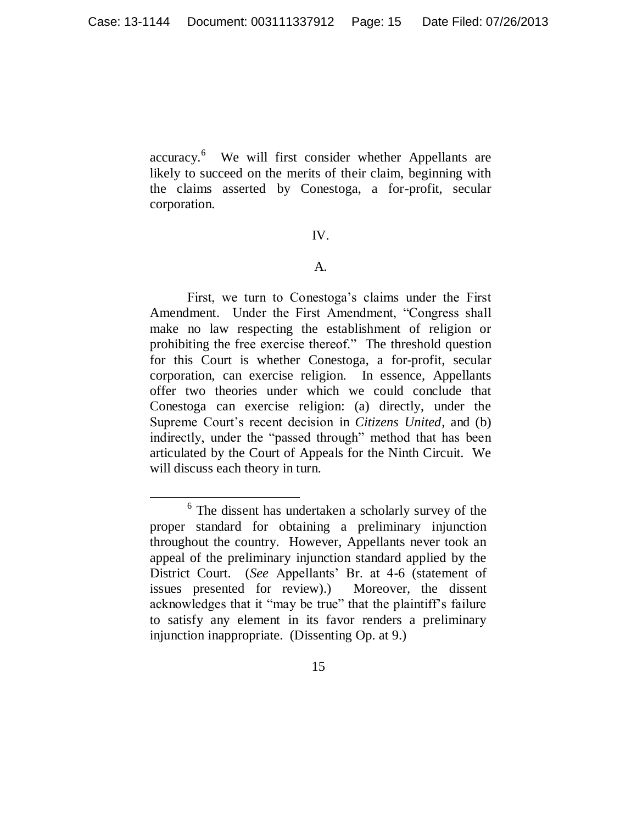accuracy. 6 We will first consider whether Appellants are likely to succeed on the merits of their claim, beginning with the claims asserted by Conestoga, a for-profit, secular corporation.

#### IV.

#### A.

First, we turn to Conestoga's claims under the First Amendment. Under the First Amendment, "Congress shall make no law respecting the establishment of religion or prohibiting the free exercise thereof." The threshold question for this Court is whether Conestoga, a for-profit, secular corporation, can exercise religion. In essence, Appellants offer two theories under which we could conclude that Conestoga can exercise religion: (a) directly, under the Supreme Court's recent decision in *Citizens United*, and (b) indirectly, under the "passed through" method that has been articulated by the Court of Appeals for the Ninth Circuit. We will discuss each theory in turn.

 $\overline{a}$ 

<sup>&</sup>lt;sup>6</sup> The dissent has undertaken a scholarly survey of the proper standard for obtaining a preliminary injunction throughout the country. However, Appellants never took an appeal of the preliminary injunction standard applied by the District Court. (*See* Appellants' Br. at 4-6 (statement of issues presented for review).) Moreover, the dissent acknowledges that it "may be true" that the plaintiff's failure to satisfy any element in its favor renders a preliminary injunction inappropriate. (Dissenting Op. at 9.)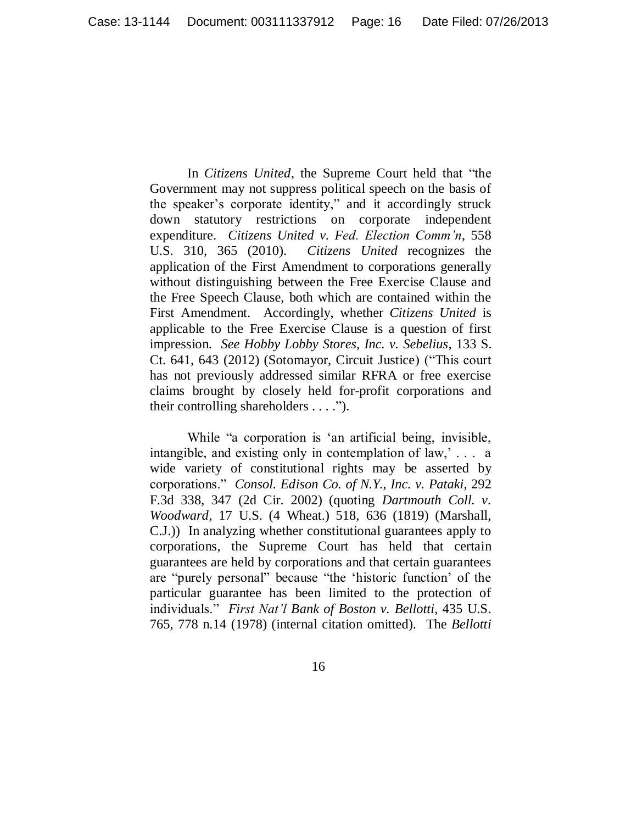In *Citizens United*, the Supreme Court held that "the Government may not suppress political speech on the basis of the speaker's corporate identity," and it accordingly struck down statutory restrictions on corporate independent expenditure. *Citizens United v. Fed. Election Comm'n*, 558 U.S. 310, 365 (2010). *Citizens United* recognizes the application of the First Amendment to corporations generally without distinguishing between the Free Exercise Clause and the Free Speech Clause, both which are contained within the First Amendment. Accordingly, whether *Citizens United* is applicable to the Free Exercise Clause is a question of first impression. *See Hobby Lobby Stores, Inc. v. Sebelius*, 133 S. Ct. 641, 643 (2012) (Sotomayor, Circuit Justice) ("This court has not previously addressed similar RFRA or free exercise claims brought by closely held for-profit corporations and their controlling shareholders  $\dots$ .").

While "a corporation is 'an artificial being, invisible, intangible, and existing only in contemplation of law,' . . . a wide variety of constitutional rights may be asserted by corporations.‖ *Consol. Edison Co. of N.Y., Inc. v. Pataki*, 292 F.3d 338, 347 (2d Cir. 2002) (quoting *Dartmouth Coll. v. Woodward*, 17 U.S. (4 Wheat.) 518, 636 (1819) (Marshall, C.J.)) In analyzing whether constitutional guarantees apply to corporations, the Supreme Court has held that certain guarantees are held by corporations and that certain guarantees are "purely personal" because "the 'historic function' of the particular guarantee has been limited to the protection of individuals.‖ *First Nat'l Bank of Boston v. Bellotti*, 435 U.S. 765, 778 n.14 (1978) (internal citation omitted). The *Bellotti*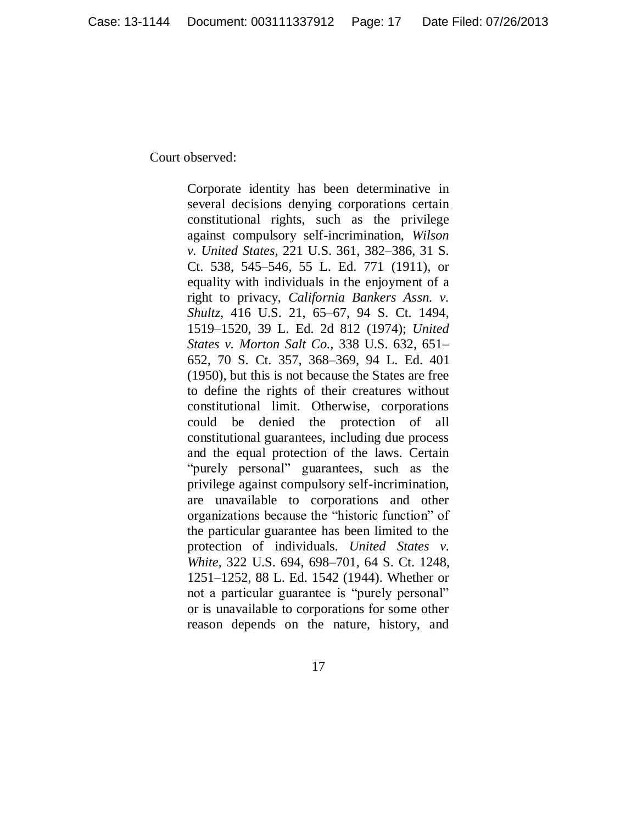Court observed:

Corporate identity has been determinative in several decisions denying corporations certain constitutional rights, such as the privilege against compulsory self-incrimination, *Wilson v. United States,* 221 U.S. 361, 382–386, 31 S. Ct. 538, 545–546, 55 L. Ed. 771 (1911), or equality with individuals in the enjoyment of a right to privacy, *California Bankers Assn. v. Shultz,* 416 U.S. 21, 65–67, 94 S. Ct. 1494, 1519–1520, 39 L. Ed. 2d 812 (1974); *United States v. Morton Salt Co.,* 338 U.S. 632, 651– 652, 70 S. Ct. 357, 368–369, 94 L. Ed. 401 (1950), but this is not because the States are free to define the rights of their creatures without constitutional limit. Otherwise, corporations could be denied the protection of all constitutional guarantees, including due process and the equal protection of the laws. Certain "purely personal" guarantees, such as the privilege against compulsory self-incrimination, are unavailable to corporations and other organizations because the "historic function" of the particular guarantee has been limited to the protection of individuals. *United States v. White,* 322 U.S. 694, 698–701, 64 S. Ct. 1248, 1251–1252, 88 L. Ed. 1542 (1944). Whether or not a particular guarantee is "purely personal" or is unavailable to corporations for some other reason depends on the nature, history, and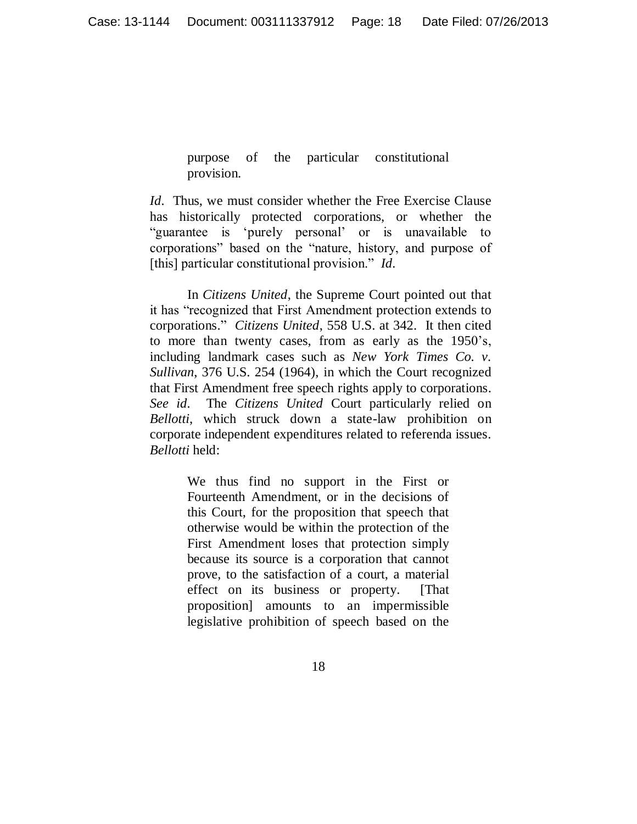purpose of the particular constitutional provision.

*Id.* Thus, we must consider whether the Free Exercise Clause has historically protected corporations, or whether the ―guarantee is ‗purely personal' or is unavailable to corporations" based on the "nature, history, and purpose of [this] particular constitutional provision." *Id.* 

In *Citizens United*, the Supreme Court pointed out that it has "recognized that First Amendment protection extends to corporations.‖ *Citizens United*, 558 U.S. at 342. It then cited to more than twenty cases, from as early as the 1950's, including landmark cases such as *New York Times Co. v. Sullivan*, 376 U.S. 254 (1964), in which the Court recognized that First Amendment free speech rights apply to corporations. *See id.* The *Citizens United* Court particularly relied on *Bellotti*, which struck down a state-law prohibition on corporate independent expenditures related to referenda issues. *Bellotti* held:

> We thus find no support in the First or Fourteenth Amendment, or in the decisions of this Court, for the proposition that speech that otherwise would be within the protection of the First Amendment loses that protection simply because its source is a corporation that cannot prove, to the satisfaction of a court, a material effect on its business or property. [That proposition] amounts to an impermissible legislative prohibition of speech based on the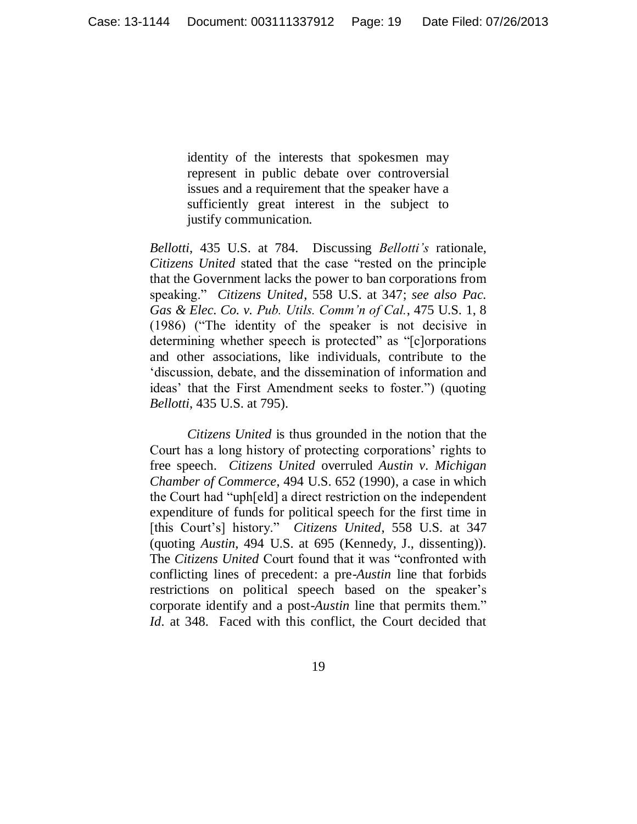identity of the interests that spokesmen may represent in public debate over controversial issues and a requirement that the speaker have a sufficiently great interest in the subject to justify communication.

*Bellotti*, 435 U.S. at 784. Discussing *Bellotti's* rationale, *Citizens United* stated that the case "rested on the principle that the Government lacks the power to ban corporations from speaking.‖ *Citizens United*, 558 U.S. at 347; *see also Pac. Gas & Elec. Co. v. Pub. Utils. Comm'n of Cal.*, 475 U.S. 1, 8 (1986) ("The identity of the speaker is not decisive in determining whether speech is protected" as "[c]orporations and other associations, like individuals, contribute to the ‗discussion, debate, and the dissemination of information and ideas' that the First Amendment seeks to foster.") (quoting *Bellotti*, 435 U.S. at 795).

*Citizens United* is thus grounded in the notion that the Court has a long history of protecting corporations' rights to free speech. *Citizens United* overruled *Austin v. Michigan Chamber of Commerce*, 494 U.S. 652 (1990), a case in which the Court had "uph[eld] a direct restriction on the independent expenditure of funds for political speech for the first time in [this Court's] history." *Citizens United*, 558 U.S. at 347 (quoting *Austin*, 494 U.S. at 695 (Kennedy, J., dissenting)). The *Citizens United* Court found that it was "confronted with conflicting lines of precedent: a pre-*Austin* line that forbids restrictions on political speech based on the speaker's corporate identify and a post-*Austin* line that permits them." *Id.* at 348. Faced with this conflict, the Court decided that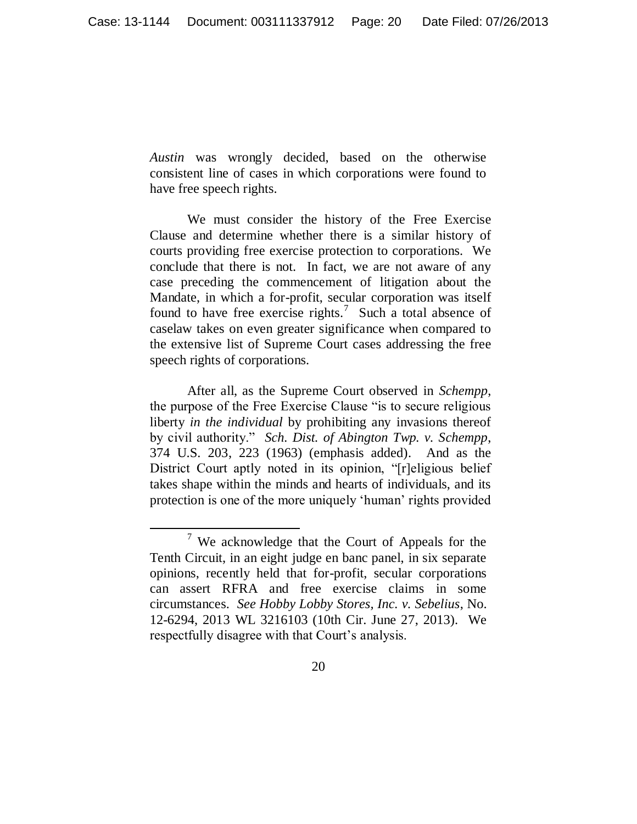*Austin* was wrongly decided, based on the otherwise consistent line of cases in which corporations were found to have free speech rights.

We must consider the history of the Free Exercise Clause and determine whether there is a similar history of courts providing free exercise protection to corporations. We conclude that there is not. In fact, we are not aware of any case preceding the commencement of litigation about the Mandate, in which a for-profit, secular corporation was itself found to have free exercise rights.<sup>7</sup> Such a total absence of caselaw takes on even greater significance when compared to the extensive list of Supreme Court cases addressing the free speech rights of corporations.

After all, as the Supreme Court observed in *Schempp*, the purpose of the Free Exercise Clause "is to secure religious liberty *in the individual* by prohibiting any invasions thereof by civil authority." *Sch. Dist. of Abington Twp. v. Schempp*, 374 U.S. 203, 223 (1963) (emphasis added). And as the District Court aptly noted in its opinion, "[r]eligious belief takes shape within the minds and hearts of individuals, and its protection is one of the more uniquely 'human' rights provided

 $\overline{a}$ 

 $7$  We acknowledge that the Court of Appeals for the Tenth Circuit, in an eight judge en banc panel, in six separate opinions, recently held that for-profit, secular corporations can assert RFRA and free exercise claims in some circumstances. *See Hobby Lobby Stores, Inc. v. Sebelius*, No. 12-6294, 2013 WL 3216103 (10th Cir. June 27, 2013). We respectfully disagree with that Court's analysis.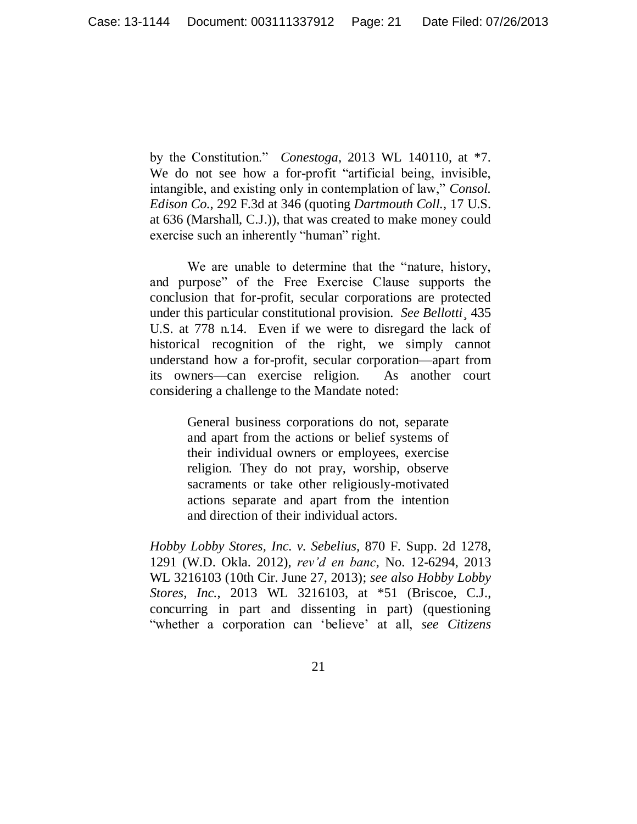by the Constitution." *Conestoga*, 2013 WL 140110, at \*7. We do not see how a for-profit "artificial being, invisible, intangible, and existing only in contemplation of law," *Consol. Edison Co.*, 292 F.3d at 346 (quoting *Dartmouth Coll.*, 17 U.S. at 636 (Marshall, C.J.)), that was created to make money could exercise such an inherently "human" right.

We are unable to determine that the "nature, history, and purpose" of the Free Exercise Clause supports the conclusion that for-profit, secular corporations are protected under this particular constitutional provision. *See Bellotti*¸ 435 U.S. at 778 n.14. Even if we were to disregard the lack of historical recognition of the right, we simply cannot understand how a for-profit, secular corporation—apart from its owners—can exercise religion. As another court considering a challenge to the Mandate noted:

> General business corporations do not, separate and apart from the actions or belief systems of their individual owners or employees, exercise religion. They do not pray, worship, observe sacraments or take other religiously-motivated actions separate and apart from the intention and direction of their individual actors.

*Hobby Lobby Stores, Inc. v. Sebelius,* 870 F. Supp. 2d 1278, 1291 (W.D. Okla. 2012), *rev'd en banc*, No. 12-6294, 2013 WL 3216103 (10th Cir. June 27, 2013); *see also Hobby Lobby Stores, Inc.*, 2013 WL 3216103, at \*51 (Briscoe, C.J., concurring in part and dissenting in part) (questioning ―whether a corporation can ‗believe' at all, *see Citizens*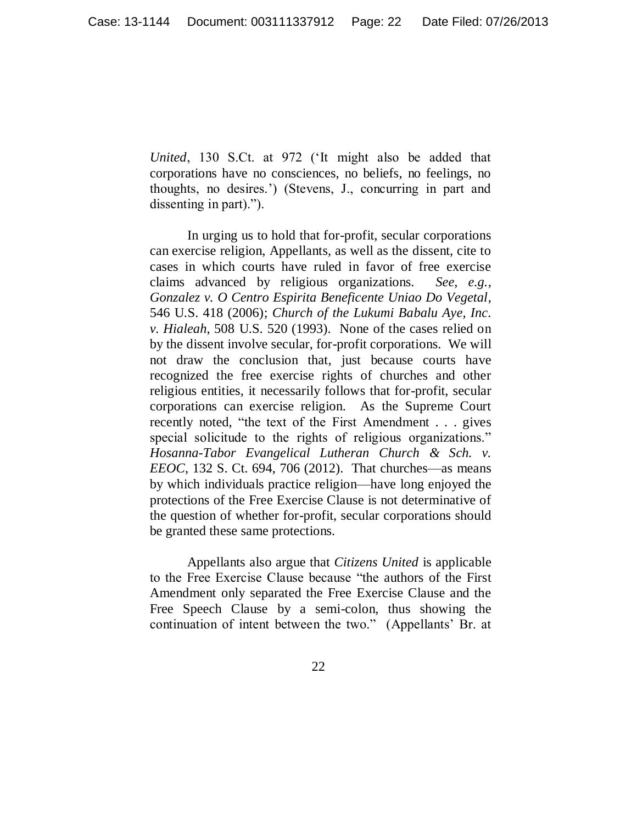*United*, 130 S.Ct. at 972 (‗It might also be added that corporations have no consciences, no beliefs, no feelings, no thoughts, no desires.') (Stevens, J., concurring in part and dissenting in part).").

In urging us to hold that for-profit, secular corporations can exercise religion, Appellants, as well as the dissent, cite to cases in which courts have ruled in favor of free exercise claims advanced by religious organizations. *See, e.g.*, *Gonzalez v. O Centro Espirita Beneficente Uniao Do Vegetal*, 546 U.S. 418 (2006); *Church of the Lukumi Babalu Aye, Inc. v. Hialeah*, 508 U.S. 520 (1993). None of the cases relied on by the dissent involve secular, for-profit corporations. We will not draw the conclusion that, just because courts have recognized the free exercise rights of churches and other religious entities, it necessarily follows that for-profit, secular corporations can exercise religion. As the Supreme Court recently noted, "the text of the First Amendment . . . gives special solicitude to the rights of religious organizations." *Hosanna-Tabor Evangelical Lutheran Church & Sch. v. EEOC*, 132 S. Ct. 694, 706 (2012). That churches—as means by which individuals practice religion—have long enjoyed the protections of the Free Exercise Clause is not determinative of the question of whether for-profit, secular corporations should be granted these same protections.

Appellants also argue that *Citizens United* is applicable to the Free Exercise Clause because "the authors of the First Amendment only separated the Free Exercise Clause and the Free Speech Clause by a semi-colon, thus showing the continuation of intent between the two." (Appellants' Br. at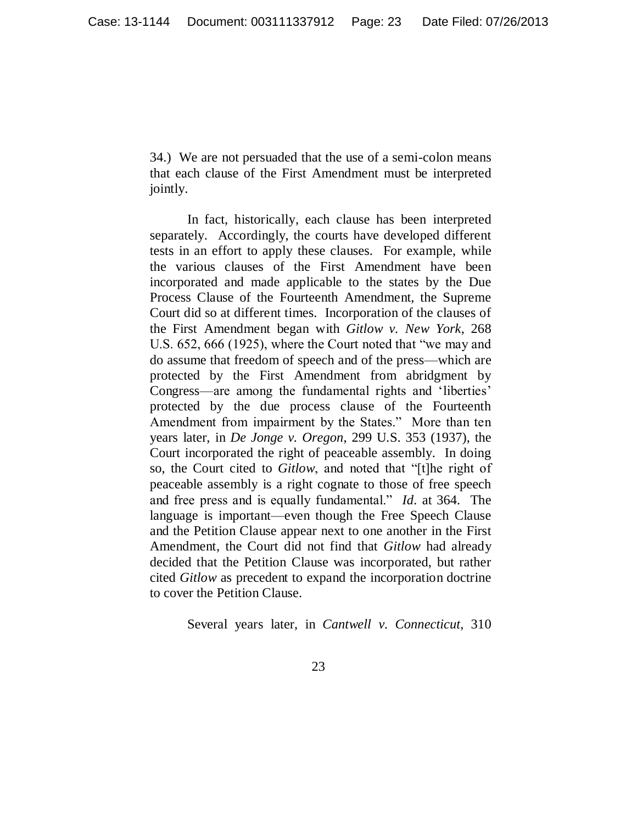34.) We are not persuaded that the use of a semi-colon means that each clause of the First Amendment must be interpreted jointly.

In fact, historically, each clause has been interpreted separately. Accordingly, the courts have developed different tests in an effort to apply these clauses. For example, while the various clauses of the First Amendment have been incorporated and made applicable to the states by the Due Process Clause of the Fourteenth Amendment, the Supreme Court did so at different times. Incorporation of the clauses of the First Amendment began with *Gitlow v. New York*, 268 U.S. 652, 666 (1925), where the Court noted that "we may and do assume that freedom of speech and of the press—which are protected by the First Amendment from abridgment by Congress—are among the fundamental rights and 'liberties' protected by the due process clause of the Fourteenth Amendment from impairment by the States." More than ten years later, in *De Jonge v. Oregon*, 299 U.S. 353 (1937), the Court incorporated the right of peaceable assembly. In doing so, the Court cited to *Gitlow*, and noted that "[t]he right of peaceable assembly is a right cognate to those of free speech and free press and is equally fundamental." *Id.* at 364. The language is important—even though the Free Speech Clause and the Petition Clause appear next to one another in the First Amendment, the Court did not find that *Gitlow* had already decided that the Petition Clause was incorporated, but rather cited *Gitlow* as precedent to expand the incorporation doctrine to cover the Petition Clause.

Several years later, in *Cantwell v. Connecticut*, 310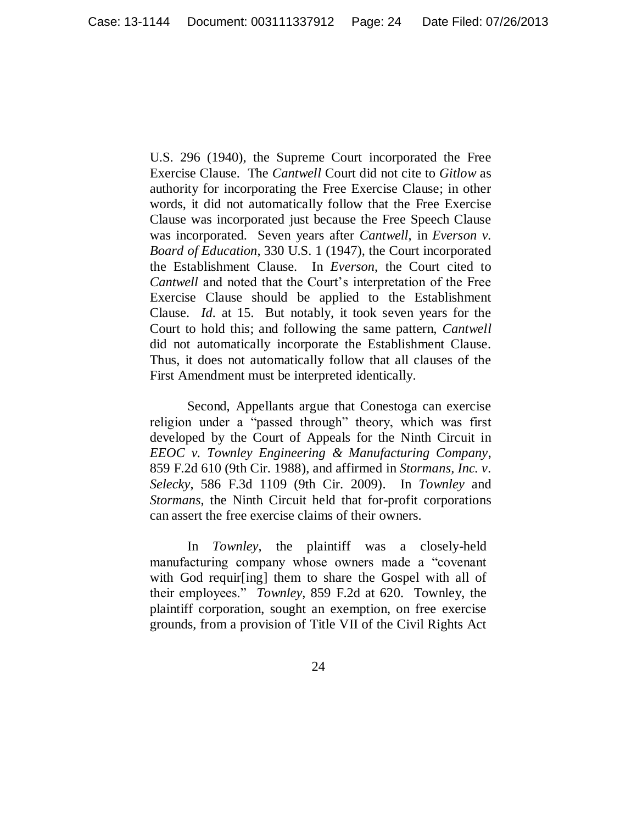U.S. 296 (1940), the Supreme Court incorporated the Free Exercise Clause. The *Cantwell* Court did not cite to *Gitlow* as authority for incorporating the Free Exercise Clause; in other words, it did not automatically follow that the Free Exercise Clause was incorporated just because the Free Speech Clause was incorporated. Seven years after *Cantwell*, in *Everson v. Board of Education*, 330 U.S. 1 (1947), the Court incorporated the Establishment Clause. In *Everson*, the Court cited to *Cantwell* and noted that the Court's interpretation of the Free Exercise Clause should be applied to the Establishment Clause. *Id.* at 15. But notably, it took seven years for the Court to hold this; and following the same pattern, *Cantwell*  did not automatically incorporate the Establishment Clause. Thus, it does not automatically follow that all clauses of the First Amendment must be interpreted identically.

Second, Appellants argue that Conestoga can exercise religion under a "passed through" theory, which was first developed by the Court of Appeals for the Ninth Circuit in *EEOC v. Townley Engineering & Manufacturing Company*, 859 F.2d 610 (9th Cir. 1988), and affirmed in *Stormans, Inc. v. Selecky*, 586 F.3d 1109 (9th Cir. 2009). In *Townley* and *Stormans*, the Ninth Circuit held that for-profit corporations can assert the free exercise claims of their owners.

In *Townley*, the plaintiff was a closely-held manufacturing company whose owners made a "covenant" with God requir[ing] them to share the Gospel with all of their employees." *Townley*, 859 F.2d at 620. Townley, the plaintiff corporation, sought an exemption, on free exercise grounds, from a provision of Title VII of the Civil Rights Act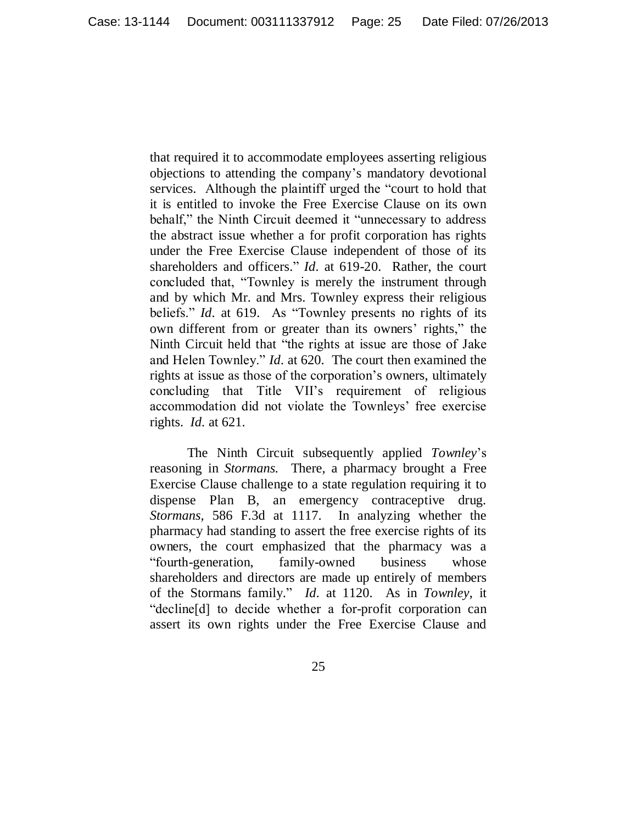that required it to accommodate employees asserting religious objections to attending the company's mandatory devotional services. Although the plaintiff urged the "court to hold that it is entitled to invoke the Free Exercise Clause on its own behalf," the Ninth Circuit deemed it "unnecessary to address the abstract issue whether a for profit corporation has rights under the Free Exercise Clause independent of those of its shareholders and officers." *Id.* at 619-20. Rather, the court concluded that, "Townley is merely the instrument through and by which Mr. and Mrs. Townley express their religious beliefs." *Id.* at 619. As "Townley presents no rights of its own different from or greater than its owners' rights," the Ninth Circuit held that "the rights at issue are those of Jake and Helen Townley." *Id.* at 620. The court then examined the rights at issue as those of the corporation's owners, ultimately concluding that Title VII's requirement of religious accommodation did not violate the Townleys' free exercise rights. *Id.* at 621.

The Ninth Circuit subsequently applied *Townley*'s reasoning in *Stormans.* There, a pharmacy brought a Free Exercise Clause challenge to a state regulation requiring it to dispense Plan B, an emergency contraceptive drug. *Stormans,* 586 F.3d at 1117. In analyzing whether the pharmacy had standing to assert the free exercise rights of its owners, the court emphasized that the pharmacy was a ―fourth-generation, family-owned business whose shareholders and directors are made up entirely of members of the Stormans family.‖ *Id.* at 1120. As in *Townley*, it "decline[d] to decide whether a for-profit corporation can assert its own rights under the Free Exercise Clause and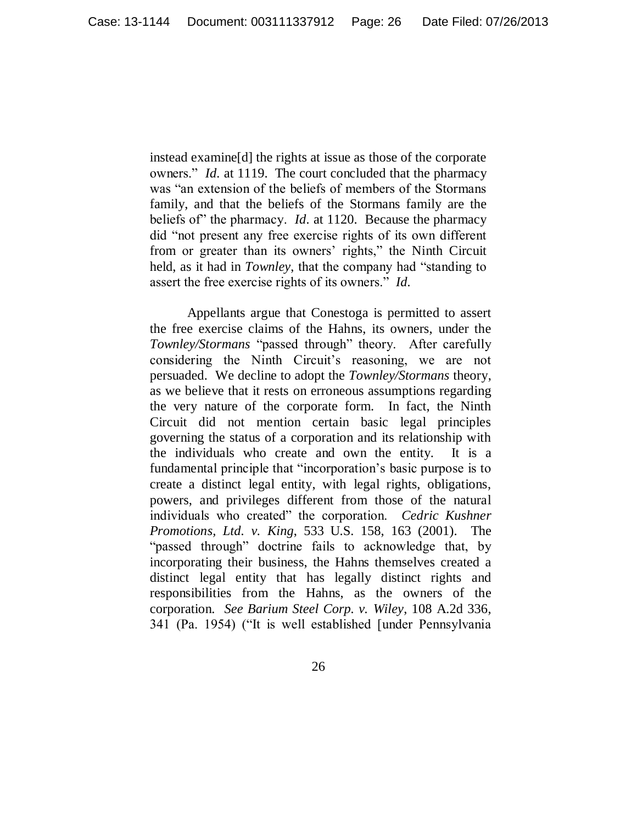instead examine[d] the rights at issue as those of the corporate owners." *Id.* at 1119. The court concluded that the pharmacy was "an extension of the beliefs of members of the Stormans family, and that the beliefs of the Stormans family are the beliefs of" the pharmacy. *Id.* at 1120. Because the pharmacy did "not present any free exercise rights of its own different from or greater than its owners' rights," the Ninth Circuit held, as it had in *Townley*, that the company had "standing to assert the free exercise rights of its owners." *Id.* 

Appellants argue that Conestoga is permitted to assert the free exercise claims of the Hahns, its owners, under the Townley/Stormans "passed through" theory. After carefully considering the Ninth Circuit's reasoning, we are not persuaded. We decline to adopt the *Townley/Stormans* theory, as we believe that it rests on erroneous assumptions regarding the very nature of the corporate form. In fact, the Ninth Circuit did not mention certain basic legal principles governing the status of a corporation and its relationship with the individuals who create and own the entity. It is a fundamental principle that "incorporation's basic purpose is to create a distinct legal entity, with legal rights, obligations, powers, and privileges different from those of the natural individuals who created" the corporation. *Cedric Kushner Promotions, Ltd. v. King*, 533 U.S. 158, 163 (2001). The "passed through" doctrine fails to acknowledge that, by incorporating their business, the Hahns themselves created a distinct legal entity that has legally distinct rights and responsibilities from the Hahns, as the owners of the corporation. *See Barium Steel Corp. v. Wiley*, 108 A.2d 336, 341 (Pa. 1954) ("It is well established [under Pennsylvania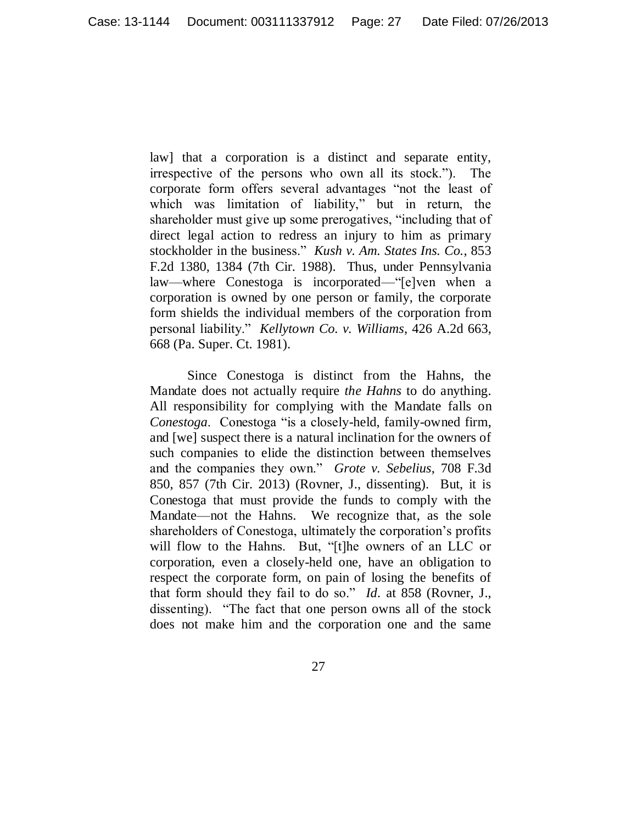law] that a corporation is a distinct and separate entity, irrespective of the persons who own all its stock.‖). The corporate form offers several advantages "not the least of which was limitation of liability," but in return, the shareholder must give up some prerogatives, "including that of direct legal action to redress an injury to him as primary stockholder in the business." *Kush v. Am. States Ins. Co.*, 853 F.2d 1380, 1384 (7th Cir. 1988). Thus, under Pennsylvania law—where Conestoga is incorporated—"[e]ven when a corporation is owned by one person or family, the corporate form shields the individual members of the corporation from personal liability.‖ *Kellytown Co. v. Williams*, 426 A.2d 663, 668 (Pa. Super. Ct. 1981).

Since Conestoga is distinct from the Hahns, the Mandate does not actually require *the Hahns* to do anything. All responsibility for complying with the Mandate falls on *Conestoga.* Conestoga "is a closely-held, family-owned firm, and [we] suspect there is a natural inclination for the owners of such companies to elide the distinction between themselves and the companies they own." *Grote v. Sebelius*, 708 F.3d 850, 857 (7th Cir. 2013) (Rovner, J., dissenting). But, it is Conestoga that must provide the funds to comply with the Mandate—not the Hahns. We recognize that, as the sole shareholders of Conestoga, ultimately the corporation's profits will flow to the Hahns. But, "[t]he owners of an LLC or corporation, even a closely-held one, have an obligation to respect the corporate form, on pain of losing the benefits of that form should they fail to do so." *Id.* at 858 (Rovner, J., dissenting). "The fact that one person owns all of the stock does not make him and the corporation one and the same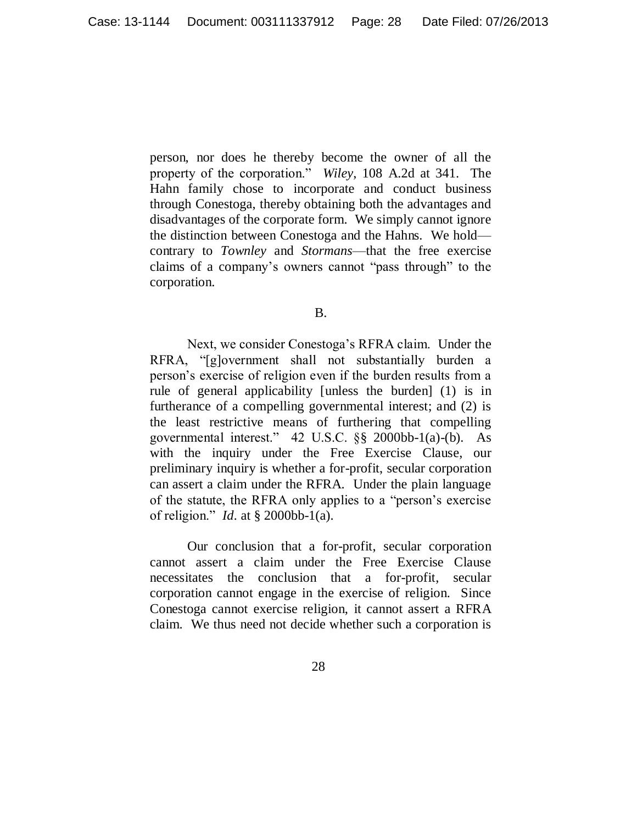person, nor does he thereby become the owner of all the property of the corporation.‖ *Wiley*, 108 A.2d at 341. The Hahn family chose to incorporate and conduct business through Conestoga, thereby obtaining both the advantages and disadvantages of the corporate form. We simply cannot ignore the distinction between Conestoga and the Hahns. We hold contrary to *Townley* and *Stormans*—that the free exercise claims of a company's owners cannot "pass through" to the corporation.

B.

Next, we consider Conestoga's RFRA claim. Under the RFRA, "[g]overnment shall not substantially burden a person's exercise of religion even if the burden results from a rule of general applicability [unless the burden] (1) is in furtherance of a compelling governmental interest; and (2) is the least restrictive means of furthering that compelling governmental interest." 42 U.S.C.  $\S$ § 2000bb-1(a)-(b). As with the inquiry under the Free Exercise Clause, our preliminary inquiry is whether a for-profit, secular corporation can assert a claim under the RFRA. Under the plain language of the statute, the RFRA only applies to a "person's exercise of religion.‖ *Id.* at § 2000bb-1(a).

Our conclusion that a for-profit, secular corporation cannot assert a claim under the Free Exercise Clause necessitates the conclusion that a for-profit, secular corporation cannot engage in the exercise of religion. Since Conestoga cannot exercise religion, it cannot assert a RFRA claim. We thus need not decide whether such a corporation is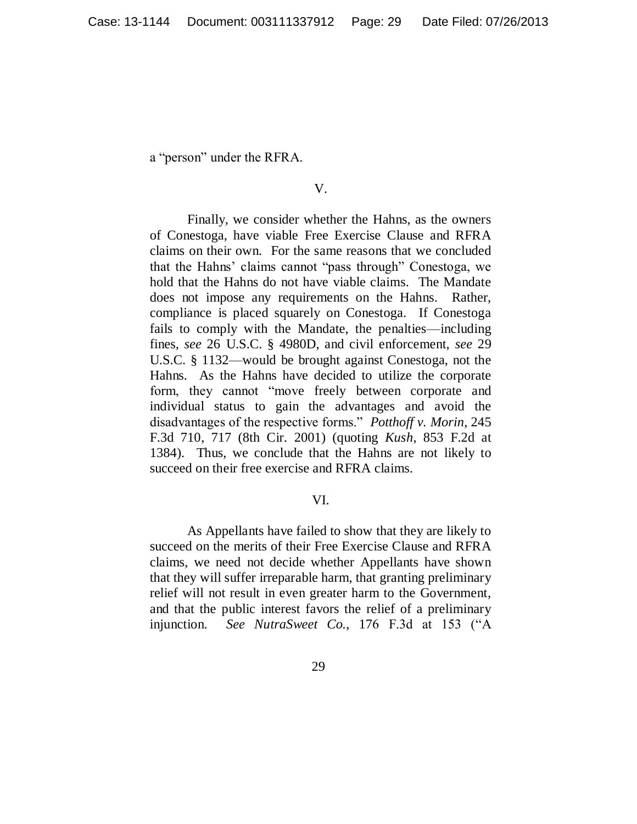a "person" under the RFRA.

#### V.

Finally, we consider whether the Hahns, as the owners of Conestoga, have viable Free Exercise Clause and RFRA claims on their own. For the same reasons that we concluded that the Hahns' claims cannot "pass through" Conestoga, we hold that the Hahns do not have viable claims. The Mandate does not impose any requirements on the Hahns. Rather, compliance is placed squarely on Conestoga. If Conestoga fails to comply with the Mandate, the penalties—including fines, *see* 26 U.S.C. § 4980D, and civil enforcement, *see* 29 U.S.C. § 1132—would be brought against Conestoga, not the Hahns. As the Hahns have decided to utilize the corporate form, they cannot "move freely between corporate and individual status to gain the advantages and avoid the disadvantages of the respective forms." *Potthoff v. Morin*, 245 F.3d 710, 717 (8th Cir. 2001) (quoting *Kush*, 853 F.2d at 1384). Thus, we conclude that the Hahns are not likely to succeed on their free exercise and RFRA claims.

### VI.

As Appellants have failed to show that they are likely to succeed on the merits of their Free Exercise Clause and RFRA claims, we need not decide whether Appellants have shown that they will suffer irreparable harm, that granting preliminary relief will not result in even greater harm to the Government, and that the public interest favors the relief of a preliminary injunction. *See NutraSweet Co.*, 176 F.3d at 153 ("A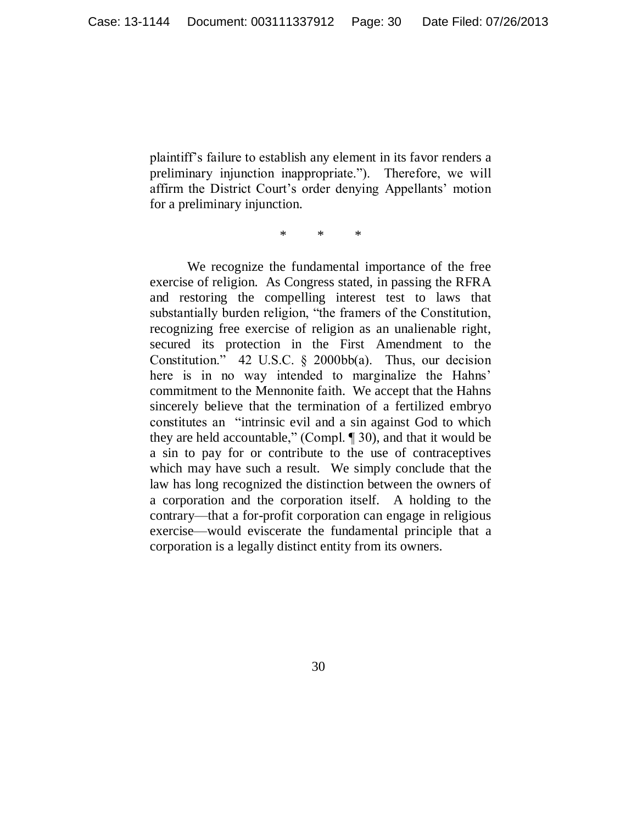plaintiff's failure to establish any element in its favor renders a preliminary injunction inappropriate."). Therefore, we will affirm the District Court's order denying Appellants' motion for a preliminary injunction.

\* \* \*

We recognize the fundamental importance of the free exercise of religion. As Congress stated, in passing the RFRA and restoring the compelling interest test to laws that substantially burden religion, "the framers of the Constitution, recognizing free exercise of religion as an unalienable right, secured its protection in the First Amendment to the Constitution." 42 U.S.C.  $\S$  2000bb(a). Thus, our decision here is in no way intended to marginalize the Hahns' commitment to the Mennonite faith. We accept that the Hahns sincerely believe that the termination of a fertilized embryo constitutes an "intrinsic evil and a sin against God to which they are held accountable," (Compl.  $\llbracket 30$ ), and that it would be a sin to pay for or contribute to the use of contraceptives which may have such a result. We simply conclude that the law has long recognized the distinction between the owners of a corporation and the corporation itself. A holding to the contrary—that a for-profit corporation can engage in religious exercise—would eviscerate the fundamental principle that a corporation is a legally distinct entity from its owners.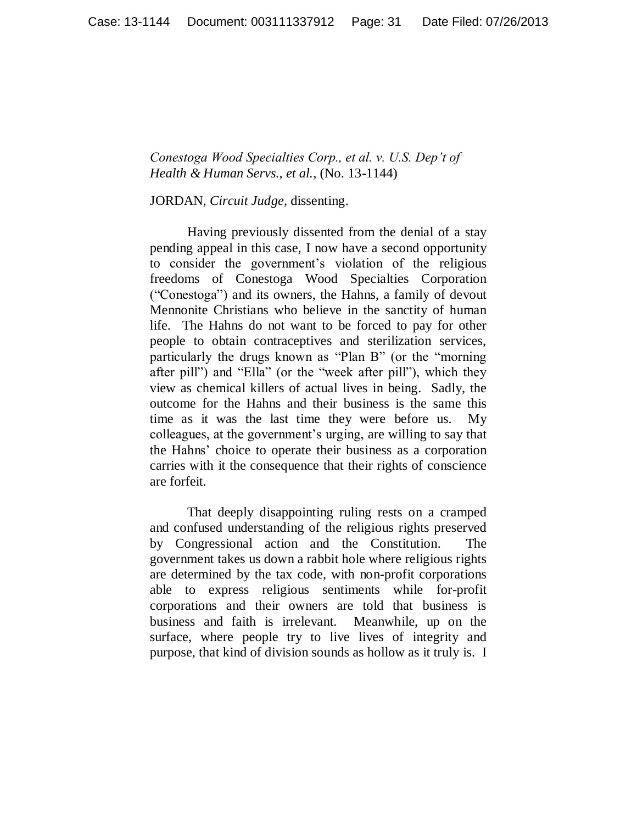*Conestoga Wood Specialties Corp., et al. v. U.S. Dep't of Health & Human Servs., et al.*, (No. 13-1144)

JORDAN, *Circuit Judge*, dissenting.

Having previously dissented from the denial of a stay pending appeal in this case, I now have a second opportunity to consider the government"s violation of the religious freedoms of Conestoga Wood Specialties Corporation ("Conestoga") and its owners, the Hahns, a family of devout Mennonite Christians who believe in the sanctity of human life. The Hahns do not want to be forced to pay for other people to obtain contraceptives and sterilization services, particularly the drugs known as "Plan B" (or the "morning after pill") and "Ella" (or the "week after pill"), which they view as chemical killers of actual lives in being. Sadly, the outcome for the Hahns and their business is the same this time as it was the last time they were before us. My colleagues, at the government"s urging, are willing to say that the Hahns" choice to operate their business as a corporation carries with it the consequence that their rights of conscience are forfeit.

That deeply disappointing ruling rests on a cramped and confused understanding of the religious rights preserved by Congressional action and the Constitution. The government takes us down a rabbit hole where religious rights are determined by the tax code, with non-profit corporations able to express religious sentiments while for-profit corporations and their owners are told that business is business and faith is irrelevant. Meanwhile, up on the surface, where people try to live lives of integrity and purpose, that kind of division sounds as hollow as it truly is. I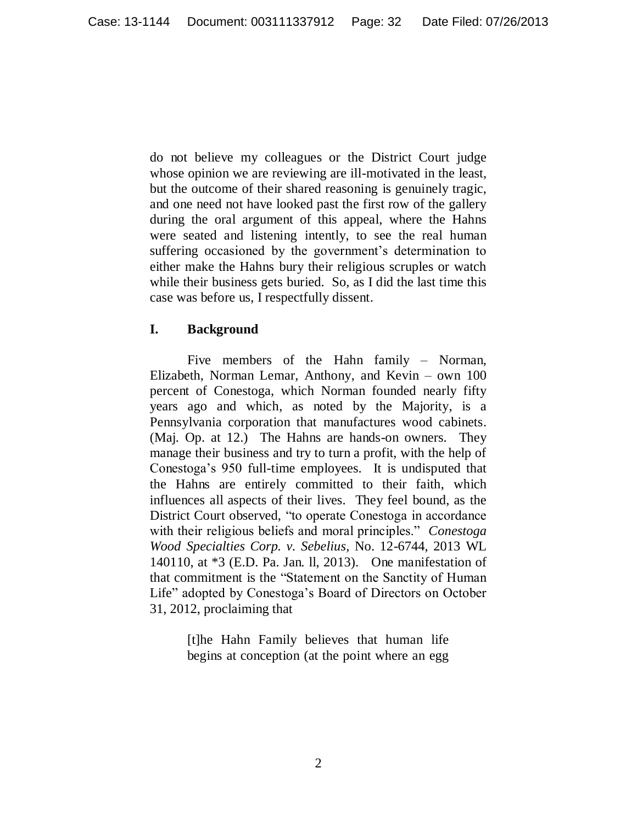do not believe my colleagues or the District Court judge whose opinion we are reviewing are ill-motivated in the least, but the outcome of their shared reasoning is genuinely tragic, and one need not have looked past the first row of the gallery during the oral argument of this appeal, where the Hahns were seated and listening intently, to see the real human suffering occasioned by the government's determination to either make the Hahns bury their religious scruples or watch while their business gets buried. So, as I did the last time this case was before us, I respectfully dissent.

# **I. Background**

Five members of the Hahn family – Norman, Elizabeth, Norman Lemar, Anthony, and Kevin – own 100 percent of Conestoga, which Norman founded nearly fifty years ago and which, as noted by the Majority, is a Pennsylvania corporation that manufactures wood cabinets. (Maj. Op. at 12.) The Hahns are hands-on owners. They manage their business and try to turn a profit, with the help of Conestoga"s 950 full-time employees. It is undisputed that the Hahns are entirely committed to their faith, which influences all aspects of their lives. They feel bound, as the District Court observed, "to operate Conestoga in accordance with their religious beliefs and moral principles." *Conestoga Wood Specialties Corp. v. Sebelius*, No. 12-6744, 2013 WL 140110, at \*3 (E.D. Pa. Jan. ll, 2013). One manifestation of that commitment is the "Statement on the Sanctity of Human Life" adopted by Conestoga"s Board of Directors on October 31, 2012, proclaiming that

> [t]he Hahn Family believes that human life begins at conception (at the point where an egg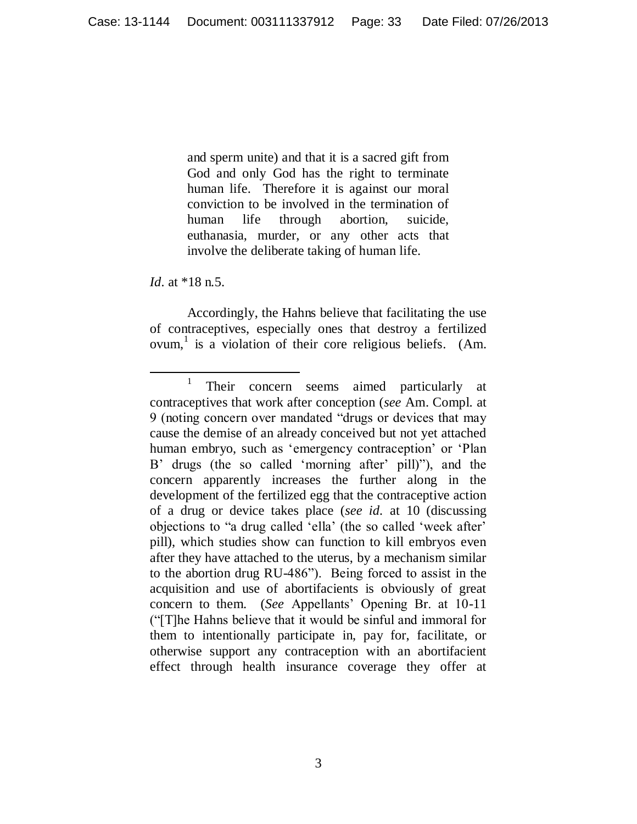and sperm unite) and that it is a sacred gift from God and only God has the right to terminate human life. Therefore it is against our moral conviction to be involved in the termination of human life through abortion, suicide, euthanasia, murder, or any other acts that involve the deliberate taking of human life.

*Id.* at \*18 n.5.

 $\overline{a}$ 

Accordingly, the Hahns believe that facilitating the use of contraceptives, especially ones that destroy a fertilized ovum,<sup>1</sup> is a violation of their core religious beliefs. (Am.

<sup>1</sup> Their concern seems aimed particularly at contraceptives that work after conception (*see* Am. Compl. at 9 (noting concern over mandated "drugs or devices that may cause the demise of an already conceived but not yet attached human embryo, such as 'emergency contraception' or 'Plan B' drugs (the so called 'morning after' pill)"), and the concern apparently increases the further along in the development of the fertilized egg that the contraceptive action of a drug or device takes place (*see id.* at 10 (discussing objections to "a drug called "ella" (the so called "week after" pill), which studies show can function to kill embryos even after they have attached to the uterus, by a mechanism similar to the abortion drug RU-486"). Being forced to assist in the acquisition and use of abortifacients is obviously of great concern to them. (*See* Appellants" Opening Br. at 10-11 ("[T]he Hahns believe that it would be sinful and immoral for them to intentionally participate in, pay for, facilitate, or otherwise support any contraception with an abortifacient effect through health insurance coverage they offer at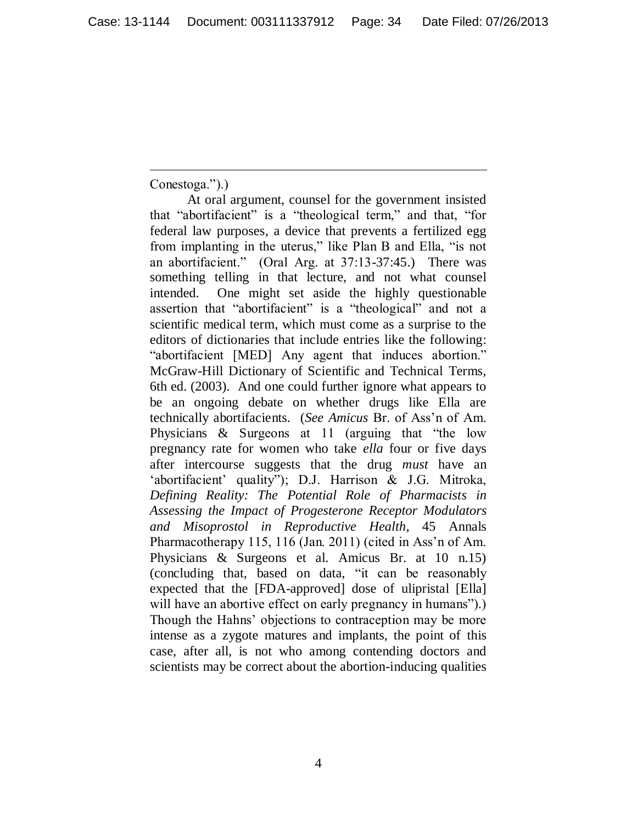Conestoga.").)

 $\overline{a}$ 

At oral argument, counsel for the government insisted that "abortifacient" is a "theological term," and that, "for federal law purposes, a device that prevents a fertilized egg from implanting in the uterus," like Plan B and Ella, "is not an abortifacient." (Oral Arg. at 37:13-37:45.) There was something telling in that lecture, and not what counsel intended. One might set aside the highly questionable assertion that "abortifacient" is a "theological" and not a scientific medical term, which must come as a surprise to the editors of dictionaries that include entries like the following: "abortifacient [MED] Any agent that induces abortion." McGraw-Hill Dictionary of Scientific and Technical Terms, 6th ed. (2003). And one could further ignore what appears to be an ongoing debate on whether drugs like Ella are technically abortifacients. (*See Amicus* Br. of Ass"n of Am. Physicians & Surgeons at 11 (arguing that "the low pregnancy rate for women who take *ella* four or five days after intercourse suggests that the drug *must* have an 'abortifacient' quality"); D.J. Harrison & J.G. Mitroka, *Defining Reality: The Potential Role of Pharmacists in Assessing the Impact of Progesterone Receptor Modulators and Misoprostol in Reproductive Health*, 45 Annals Pharmacotherapy 115, 116 (Jan. 2011) (cited in Ass'n of Am. Physicians & Surgeons et al. Amicus Br. at 10 n.15) (concluding that, based on data, "it can be reasonably expected that the [FDA-approved] dose of ulipristal [Ella] will have an abortive effect on early pregnancy in humans".) Though the Hahns" objections to contraception may be more intense as a zygote matures and implants, the point of this case, after all, is not who among contending doctors and scientists may be correct about the abortion-inducing qualities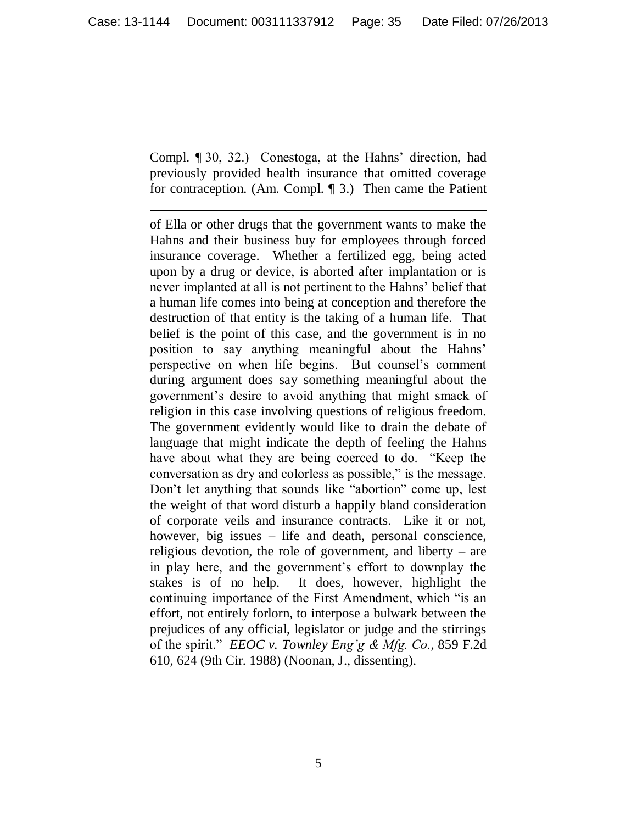Compl. ¶ 30, 32.) Conestoga, at the Hahns" direction, had previously provided health insurance that omitted coverage for contraception. (Am. Compl. ¶ 3.) Then came the Patient

 $\overline{a}$ 

of Ella or other drugs that the government wants to make the Hahns and their business buy for employees through forced insurance coverage. Whether a fertilized egg, being acted upon by a drug or device, is aborted after implantation or is never implanted at all is not pertinent to the Hahns" belief that a human life comes into being at conception and therefore the destruction of that entity is the taking of a human life. That belief is the point of this case, and the government is in no position to say anything meaningful about the Hahns" perspective on when life begins. But counsel"s comment during argument does say something meaningful about the government"s desire to avoid anything that might smack of religion in this case involving questions of religious freedom. The government evidently would like to drain the debate of language that might indicate the depth of feeling the Hahns have about what they are being coerced to do. "Keep the conversation as dry and colorless as possible," is the message. Don"t let anything that sounds like "abortion" come up, lest the weight of that word disturb a happily bland consideration of corporate veils and insurance contracts. Like it or not, however, big issues – life and death, personal conscience, religious devotion, the role of government, and liberty – are in play here, and the government's effort to downplay the stakes is of no help. It does, however, highlight the continuing importance of the First Amendment, which "is an effort, not entirely forlorn, to interpose a bulwark between the prejudices of any official, legislator or judge and the stirrings of the spirit." *EEOC v. Townley Eng'g & Mfg. Co.*, 859 F.2d 610, 624 (9th Cir. 1988) (Noonan, J., dissenting).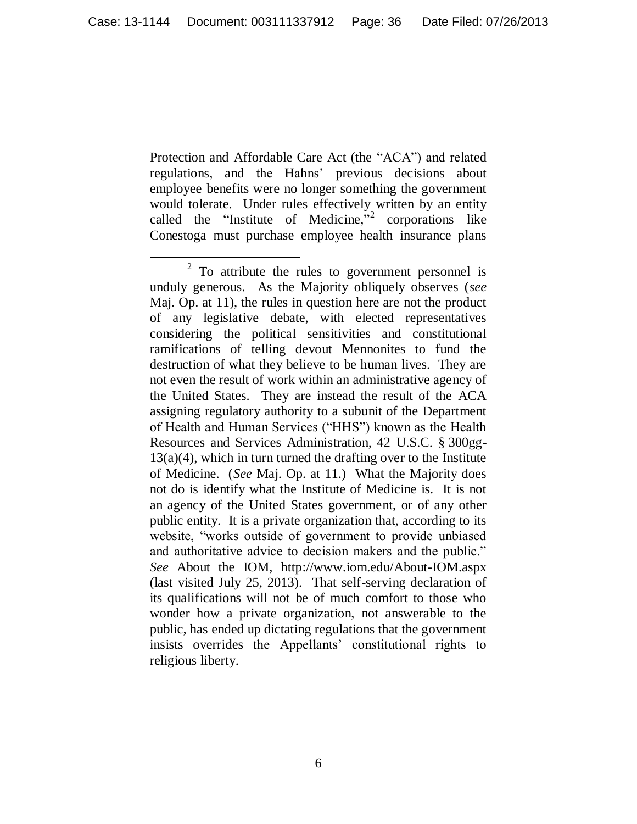Protection and Affordable Care Act (the "ACA") and related regulations, and the Hahns" previous decisions about employee benefits were no longer something the government would tolerate. Under rules effectively written by an entity called the "Institute of Medicine," corporations like Conestoga must purchase employee health insurance plans

 $\overline{a}$  $2^2$  To attribute the rules to government personnel is unduly generous. As the Majority obliquely observes (*see*  Maj. Op. at 11), the rules in question here are not the product of any legislative debate, with elected representatives considering the political sensitivities and constitutional ramifications of telling devout Mennonites to fund the destruction of what they believe to be human lives. They are not even the result of work within an administrative agency of the United States. They are instead the result of the ACA assigning regulatory authority to a subunit of the Department of Health and Human Services ("HHS") known as the Health Resources and Services Administration, 42 U.S.C. § 300gg- $13(a)(4)$ , which in turn turned the drafting over to the Institute of Medicine. (*See* Maj. Op. at 11.) What the Majority does not do is identify what the Institute of Medicine is. It is not an agency of the United States government, or of any other public entity. It is a private organization that, according to its website, "works outside of government to provide unbiased and authoritative advice to decision makers and the public." *See* About the IOM, http://www.iom.edu/About-IOM.aspx (last visited July 25, 2013). That self-serving declaration of its qualifications will not be of much comfort to those who wonder how a private organization, not answerable to the public, has ended up dictating regulations that the government insists overrides the Appellants" constitutional rights to religious liberty.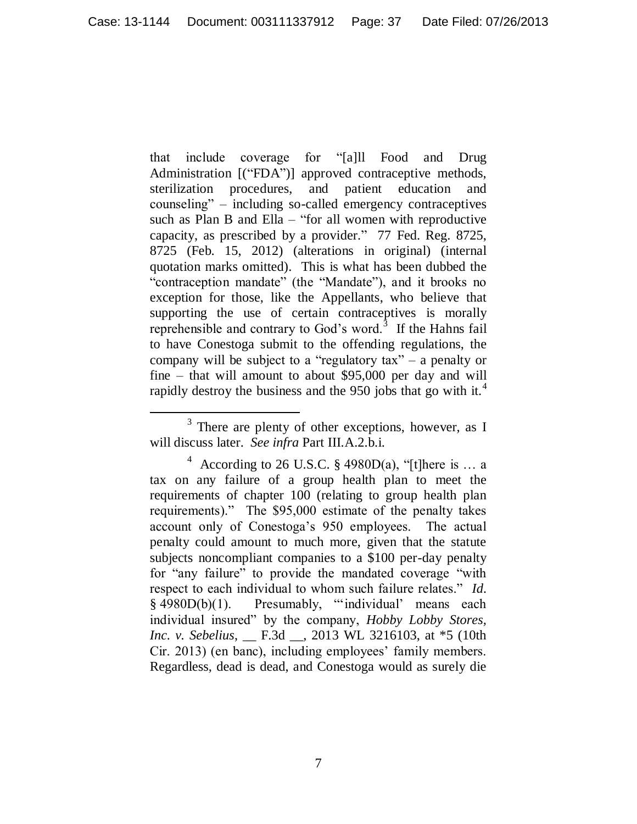that include coverage for "[a]ll Food and Drug Administration [("FDA")] approved contraceptive methods, sterilization procedures, and patient education and counseling" – including so-called emergency contraceptives such as Plan B and Ella – "for all women with reproductive capacity, as prescribed by a provider." 77 Fed. Reg. 8725, 8725 (Feb. 15, 2012) (alterations in original) (internal quotation marks omitted). This is what has been dubbed the "contraception mandate" (the "Mandate"), and it brooks no exception for those, like the Appellants, who believe that supporting the use of certain contraceptives is morally reprehensible and contrary to God's word. $3$  If the Hahns fail to have Conestoga submit to the offending regulations, the company will be subject to a "regulatory tax" – a penalty or fine – that will amount to about \$95,000 per day and will rapidly destroy the business and the 950 jobs that go with it.<sup>4</sup>

 $3$  There are plenty of other exceptions, however, as I will discuss later. *See infra* Part III.A.2.b.i.

<sup>&</sup>lt;sup>4</sup> According to 26 U.S.C. § 4980D(a), "[t]here is ... a tax on any failure of a group health plan to meet the requirements of chapter 100 (relating to group health plan requirements)." The \$95,000 estimate of the penalty takes account only of Conestoga"s 950 employees. The actual penalty could amount to much more, given that the statute subjects noncompliant companies to a \$100 per-day penalty for "any failure" to provide the mandated coverage "with respect to each individual to whom such failure relates." *Id.* § 4980D(b)(1). Presumably, ""individual" means each individual insured" by the company, *Hobby Lobby Stores, Inc. v. Sebelius*, \_\_ F.3d \_\_, 2013 WL 3216103, at \*5 (10th Cir. 2013) (en banc), including employees' family members. Regardless, dead is dead, and Conestoga would as surely die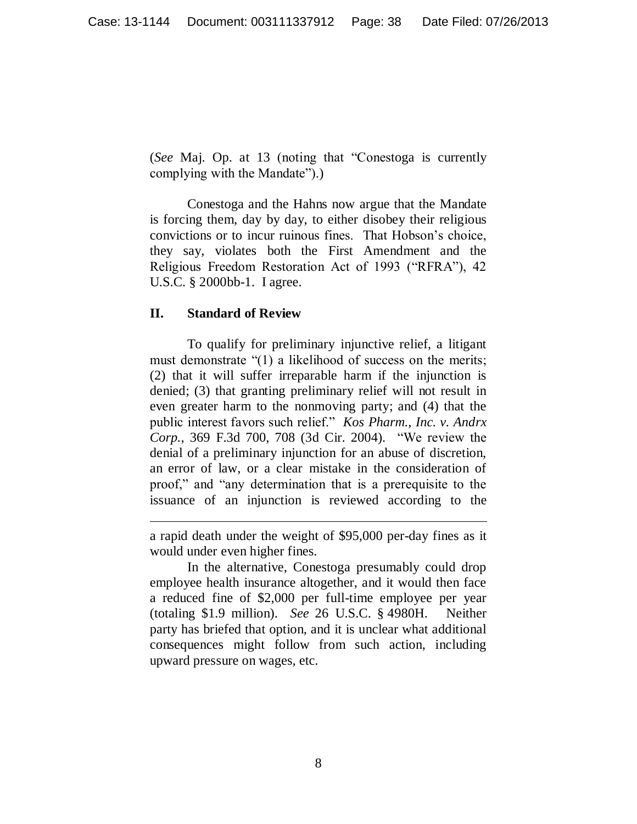(*See* Maj. Op. at 13 (noting that "Conestoga is currently complying with the Mandate").)

Conestoga and the Hahns now argue that the Mandate is forcing them, day by day, to either disobey their religious convictions or to incur ruinous fines. That Hobson"s choice, they say, violates both the First Amendment and the Religious Freedom Restoration Act of 1993 ("RFRA"), 42 U.S.C. § 2000bb-1. I agree.

#### **II. Standard of Review**

 $\overline{a}$ 

To qualify for preliminary injunctive relief, a litigant must demonstrate "(1) a likelihood of success on the merits; (2) that it will suffer irreparable harm if the injunction is denied; (3) that granting preliminary relief will not result in even greater harm to the nonmoving party; and (4) that the public interest favors such relief." *Kos Pharm., Inc. v. Andrx Corp.*, 369 F.3d 700, 708 (3d Cir. 2004). "We review the denial of a preliminary injunction for an abuse of discretion, an error of law, or a clear mistake in the consideration of proof," and "any determination that is a prerequisite to the issuance of an injunction is reviewed according to the

In the alternative, Conestoga presumably could drop employee health insurance altogether, and it would then face a reduced fine of \$2,000 per full-time employee per year (totaling \$1.9 million). *See* 26 U.S.C. § 4980H. Neither party has briefed that option, and it is unclear what additional consequences might follow from such action, including upward pressure on wages, etc.

a rapid death under the weight of \$95,000 per-day fines as it would under even higher fines.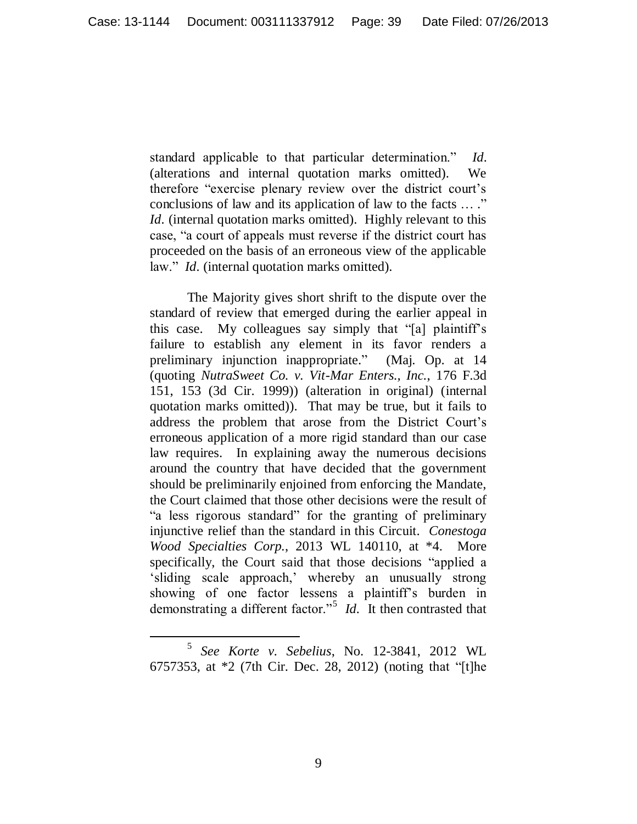standard applicable to that particular determination." *Id.* (alterations and internal quotation marks omitted). We therefore "exercise plenary review over the district court"s conclusions of law and its application of law to the facts … ." *Id.* (internal quotation marks omitted). Highly relevant to this case, "a court of appeals must reverse if the district court has proceeded on the basis of an erroneous view of the applicable law." *Id.* (internal quotation marks omitted).

The Majority gives short shrift to the dispute over the standard of review that emerged during the earlier appeal in this case. My colleagues say simply that "[a] plaintiff"s failure to establish any element in its favor renders a preliminary injunction inappropriate." (Maj. Op. at 14 (quoting *NutraSweet Co. v. Vit-Mar Enters., Inc.*, 176 F.3d 151, 153 (3d Cir. 1999)) (alteration in original) (internal quotation marks omitted)). That may be true, but it fails to address the problem that arose from the District Court"s erroneous application of a more rigid standard than our case law requires. In explaining away the numerous decisions around the country that have decided that the government should be preliminarily enjoined from enforcing the Mandate, the Court claimed that those other decisions were the result of "a less rigorous standard" for the granting of preliminary injunctive relief than the standard in this Circuit. *Conestoga Wood Specialties Corp.*, 2013 WL 140110, at \*4. More specifically, the Court said that those decisions "applied a sliding scale approach,' whereby an unusually strong showing of one factor lessens a plaintiff's burden in demonstrating a different factor."<sup>5</sup> *Id.* It then contrasted that

 $\overline{a}$ 5 *See Korte v. Sebelius*, No. 12-3841, 2012 WL 6757353, at \*2 (7th Cir. Dec. 28, 2012) (noting that "[t]he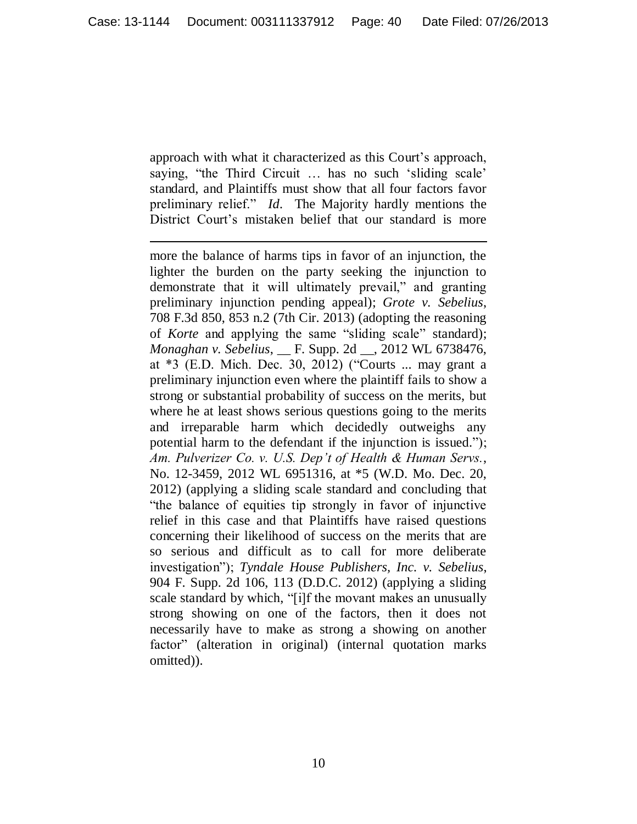approach with what it characterized as this Court's approach, saying, "the Third Circuit ... has no such 'sliding scale' standard, and Plaintiffs must show that all four factors favor preliminary relief." *Id.* The Majority hardly mentions the District Court's mistaken belief that our standard is more

l more the balance of harms tips in favor of an injunction, the lighter the burden on the party seeking the injunction to demonstrate that it will ultimately prevail," and granting preliminary injunction pending appeal); *Grote v. Sebelius*, 708 F.3d 850, 853 n.2 (7th Cir. 2013) (adopting the reasoning of *Korte* and applying the same "sliding scale" standard); *Monaghan v. Sebelius*, \_\_ F. Supp. 2d \_\_, 2012 WL 6738476, at \*3 (E.D. Mich. Dec. 30, 2012) ("Courts ... may grant a preliminary injunction even where the plaintiff fails to show a strong or substantial probability of success on the merits, but where he at least shows serious questions going to the merits and irreparable harm which decidedly outweighs any potential harm to the defendant if the injunction is issued."); *Am. Pulverizer Co. v. U.S. Dep't of Health & Human Servs.*, No. 12-3459, 2012 WL 6951316, at \*5 (W.D. Mo. Dec. 20, 2012) (applying a sliding scale standard and concluding that "the balance of equities tip strongly in favor of injunctive relief in this case and that Plaintiffs have raised questions concerning their likelihood of success on the merits that are so serious and difficult as to call for more deliberate investigation"); *Tyndale House Publishers, Inc. v. Sebelius*, 904 F. Supp. 2d 106, 113 (D.D.C. 2012) (applying a sliding scale standard by which, "[i]f the movant makes an unusually strong showing on one of the factors, then it does not necessarily have to make as strong a showing on another factor" (alteration in original) (internal quotation marks omitted)).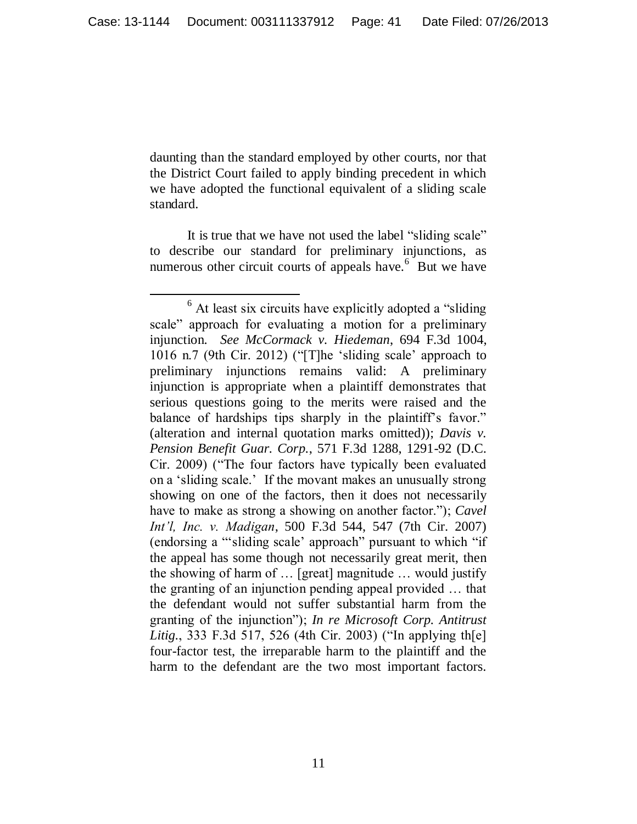daunting than the standard employed by other courts, nor that the District Court failed to apply binding precedent in which we have adopted the functional equivalent of a sliding scale standard.

It is true that we have not used the label "sliding scale" to describe our standard for preliminary injunctions, as numerous other circuit courts of appeals have.<sup>6</sup> But we have

 $\overline{a}$ <sup>6</sup> At least six circuits have explicitly adopted a "sliding" scale" approach for evaluating a motion for a preliminary injunction. *See McCormack v. Hiedeman*, 694 F.3d 1004, 1016 n.7 (9th Cir. 2012) ("[T]he "sliding scale" approach to preliminary injunctions remains valid: A preliminary injunction is appropriate when a plaintiff demonstrates that serious questions going to the merits were raised and the balance of hardships tips sharply in the plaintiff's favor." (alteration and internal quotation marks omitted)); *Davis v. Pension Benefit Guar. Corp.*, 571 F.3d 1288, 1291-92 (D.C. Cir. 2009) ("The four factors have typically been evaluated on a "sliding scale." If the movant makes an unusually strong showing on one of the factors, then it does not necessarily have to make as strong a showing on another factor."); *Cavel Int'l, Inc. v. Madigan*, 500 F.3d 544, 547 (7th Cir. 2007) (endorsing a ""sliding scale" approach" pursuant to which "if the appeal has some though not necessarily great merit, then the showing of harm of … [great] magnitude … would justify the granting of an injunction pending appeal provided … that the defendant would not suffer substantial harm from the granting of the injunction"); *In re Microsoft Corp. Antitrust Litig.*, 333 F.3d 517, 526 (4th Cir. 2003) ("In applying th[e] four-factor test, the irreparable harm to the plaintiff and the harm to the defendant are the two most important factors.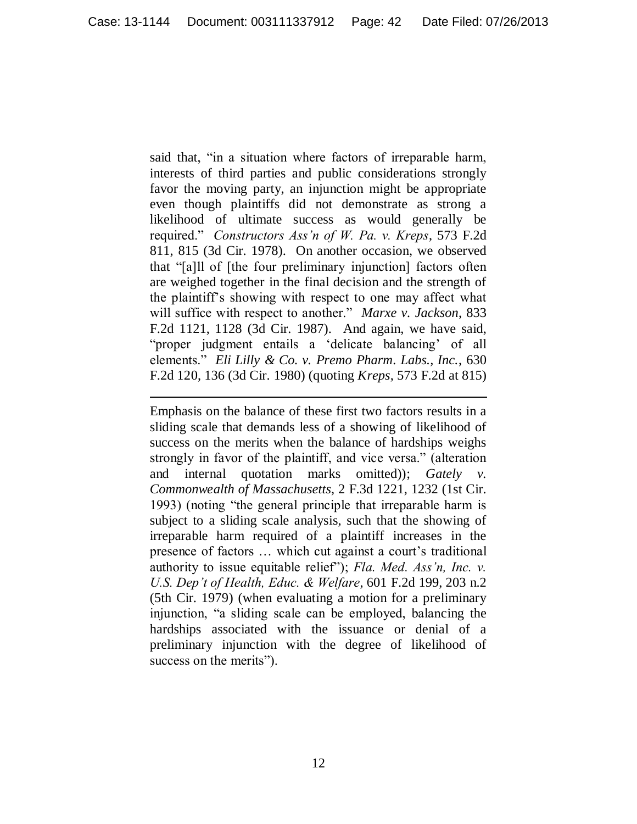said that, "in a situation where factors of irreparable harm, interests of third parties and public considerations strongly favor the moving party, an injunction might be appropriate even though plaintiffs did not demonstrate as strong a likelihood of ultimate success as would generally be required." *Constructors Ass'n of W. Pa. v. Kreps*, 573 F.2d 811, 815 (3d Cir. 1978). On another occasion, we observed that "[a]ll of [the four preliminary injunction] factors often are weighed together in the final decision and the strength of the plaintiff"s showing with respect to one may affect what will suffice with respect to another." *Marxe v. Jackson*, 833 F.2d 1121, 1128 (3d Cir. 1987). And again, we have said, "proper judgment entails a 'delicate balancing' of all elements." *Eli Lilly & Co. v. Premo Pharm. Labs., Inc.*, 630 F.2d 120, 136 (3d Cir. 1980) (quoting *Kreps*, 573 F.2d at 815)

 $\overline{a}$ 

Emphasis on the balance of these first two factors results in a sliding scale that demands less of a showing of likelihood of success on the merits when the balance of hardships weighs strongly in favor of the plaintiff, and vice versa." (alteration and internal quotation marks omitted)); *Gately v. Commonwealth of Massachusetts*, 2 F.3d 1221, 1232 (1st Cir. 1993) (noting "the general principle that irreparable harm is subject to a sliding scale analysis, such that the showing of irreparable harm required of a plaintiff increases in the presence of factors ... which cut against a court's traditional authority to issue equitable relief"); *Fla. Med. Ass'n, Inc. v. U.S. Dep't of Health, Educ. & Welfare*, 601 F.2d 199, 203 n.2 (5th Cir. 1979) (when evaluating a motion for a preliminary injunction, "a sliding scale can be employed, balancing the hardships associated with the issuance or denial of a preliminary injunction with the degree of likelihood of success on the merits").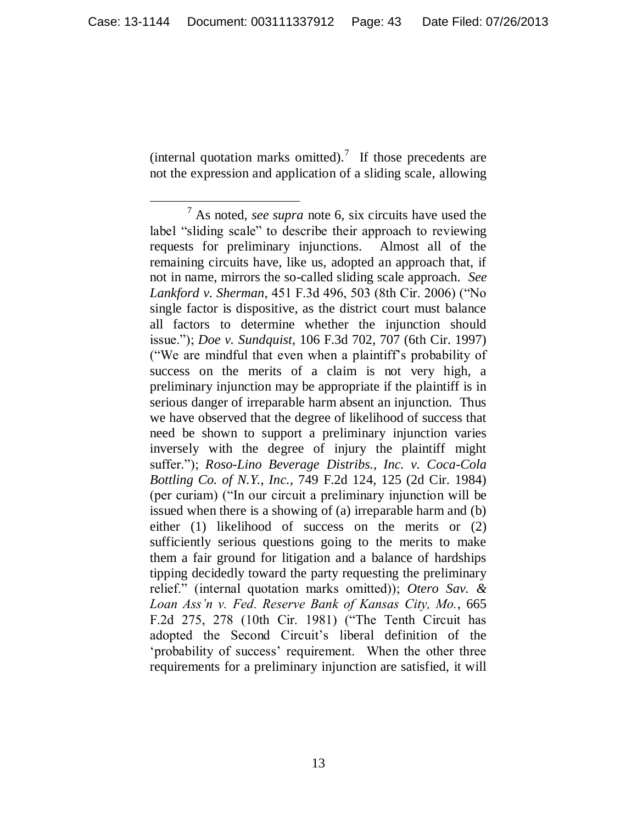(internal quotation marks omitted).<sup>7</sup> If those precedents are not the expression and application of a sliding scale, allowing

 $\overline{a}$ <sup>7</sup> As noted, *see supra* note 6, six circuits have used the label "sliding scale" to describe their approach to reviewing requests for preliminary injunctions. Almost all of the remaining circuits have, like us, adopted an approach that, if not in name, mirrors the so-called sliding scale approach. *See Lankford v. Sherman*, 451 F.3d 496, 503 (8th Cir. 2006) ("No single factor is dispositive, as the district court must balance all factors to determine whether the injunction should issue."); *Doe v. Sundquist*, 106 F.3d 702, 707 (6th Cir. 1997) ("We are mindful that even when a plaintiff"s probability of success on the merits of a claim is not very high, a preliminary injunction may be appropriate if the plaintiff is in serious danger of irreparable harm absent an injunction. Thus we have observed that the degree of likelihood of success that need be shown to support a preliminary injunction varies inversely with the degree of injury the plaintiff might suffer."); *Roso-Lino Beverage Distribs., Inc. v. Coca-Cola Bottling Co. of N.Y., Inc.*, 749 F.2d 124, 125 (2d Cir. 1984) (per curiam) ("In our circuit a preliminary injunction will be issued when there is a showing of (a) irreparable harm and (b) either (1) likelihood of success on the merits or (2) sufficiently serious questions going to the merits to make them a fair ground for litigation and a balance of hardships tipping decidedly toward the party requesting the preliminary relief." (internal quotation marks omitted)); *Otero Sav. & Loan Ass'n v. Fed. Reserve Bank of Kansas City, Mo.*, 665 F.2d 275, 278 (10th Cir. 1981) ("The Tenth Circuit has adopted the Second Circuit"s liberal definition of the 'probability of success' requirement. When the other three requirements for a preliminary injunction are satisfied, it will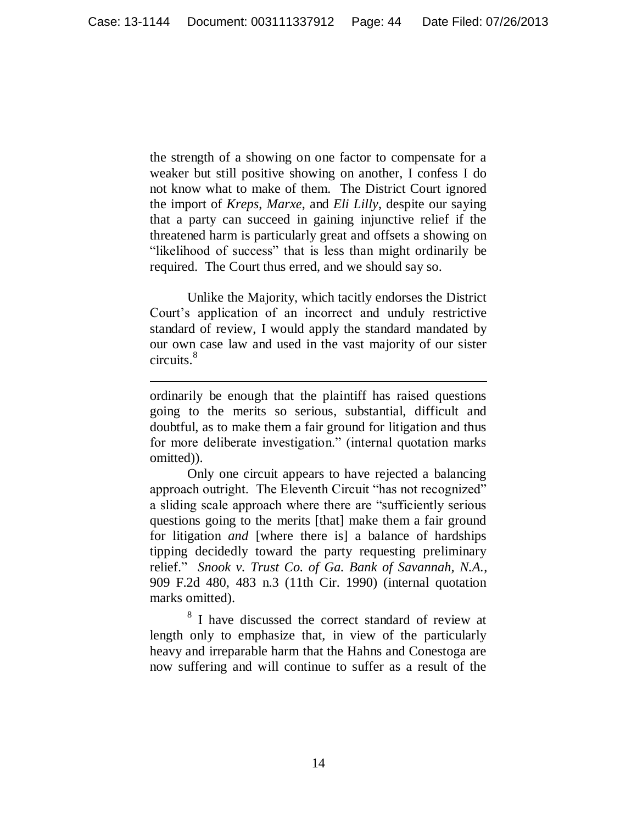the strength of a showing on one factor to compensate for a weaker but still positive showing on another, I confess I do not know what to make of them. The District Court ignored the import of *Kreps*, *Marxe*, and *Eli Lilly*, despite our saying that a party can succeed in gaining injunctive relief if the threatened harm is particularly great and offsets a showing on "likelihood of success" that is less than might ordinarily be required. The Court thus erred, and we should say so.

Unlike the Majority, which tacitly endorses the District Court"s application of an incorrect and unduly restrictive standard of review, I would apply the standard mandated by our own case law and used in the vast majority of our sister circuits. 8

ordinarily be enough that the plaintiff has raised questions going to the merits so serious, substantial, difficult and doubtful, as to make them a fair ground for litigation and thus for more deliberate investigation." (internal quotation marks omitted)).

 $\overline{a}$ 

Only one circuit appears to have rejected a balancing approach outright. The Eleventh Circuit "has not recognized" a sliding scale approach where there are "sufficiently serious questions going to the merits [that] make them a fair ground for litigation *and* [where there is] a balance of hardships tipping decidedly toward the party requesting preliminary relief." *Snook v. Trust Co. of Ga. Bank of Savannah, N.A.*, 909 F.2d 480, 483 n.3 (11th Cir. 1990) (internal quotation marks omitted).

<sup>8</sup> I have discussed the correct standard of review at length only to emphasize that, in view of the particularly heavy and irreparable harm that the Hahns and Conestoga are now suffering and will continue to suffer as a result of the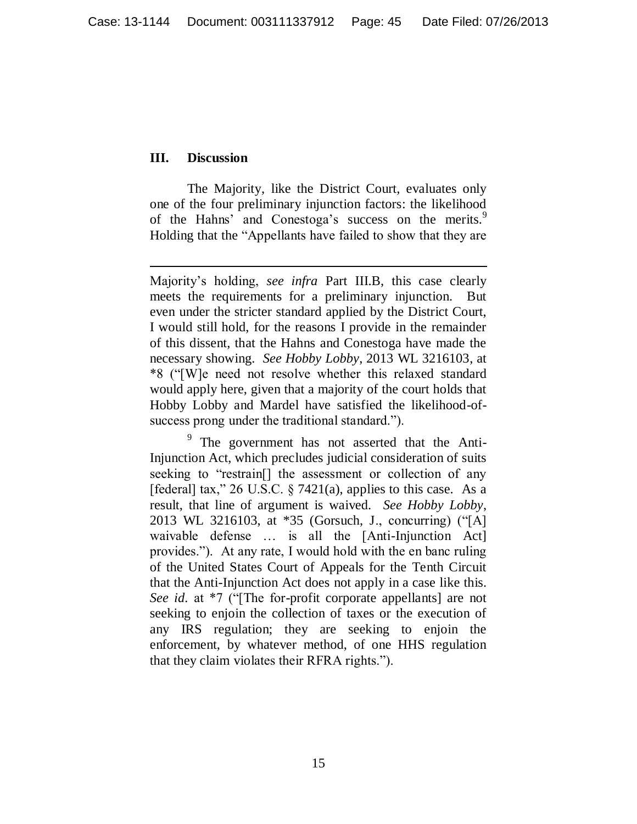#### **III. Discussion**

 $\overline{a}$ 

The Majority, like the District Court, evaluates only one of the four preliminary injunction factors: the likelihood of the Hahns' and Conestoga's success on the merits.<sup>9</sup> Holding that the "Appellants have failed to show that they are

Majority"s holding, *see infra* Part III.B, this case clearly meets the requirements for a preliminary injunction. But even under the stricter standard applied by the District Court, I would still hold, for the reasons I provide in the remainder of this dissent, that the Hahns and Conestoga have made the necessary showing. *See Hobby Lobby*, 2013 WL 3216103, at \*8 ("[W]e need not resolve whether this relaxed standard would apply here, given that a majority of the court holds that Hobby Lobby and Mardel have satisfied the likelihood-ofsuccess prong under the traditional standard.").

<sup>&</sup>lt;sup>9</sup> The government has not asserted that the Anti-Injunction Act, which precludes judicial consideration of suits seeking to "restrain[] the assessment or collection of any [federal] tax," 26 U.S.C.  $\S$  7421(a), applies to this case. As a result, that line of argument is waived. *See Hobby Lobby*, 2013 WL 3216103, at \*35 (Gorsuch, J., concurring) ("[A] waivable defense … is all the [Anti-Injunction Act] provides."). At any rate, I would hold with the en banc ruling of the United States Court of Appeals for the Tenth Circuit that the Anti-Injunction Act does not apply in a case like this. *See id.* at \*7 ("[The for-profit corporate appellants] are not seeking to enjoin the collection of taxes or the execution of any IRS regulation; they are seeking to enjoin the enforcement, by whatever method, of one HHS regulation that they claim violates their RFRA rights.").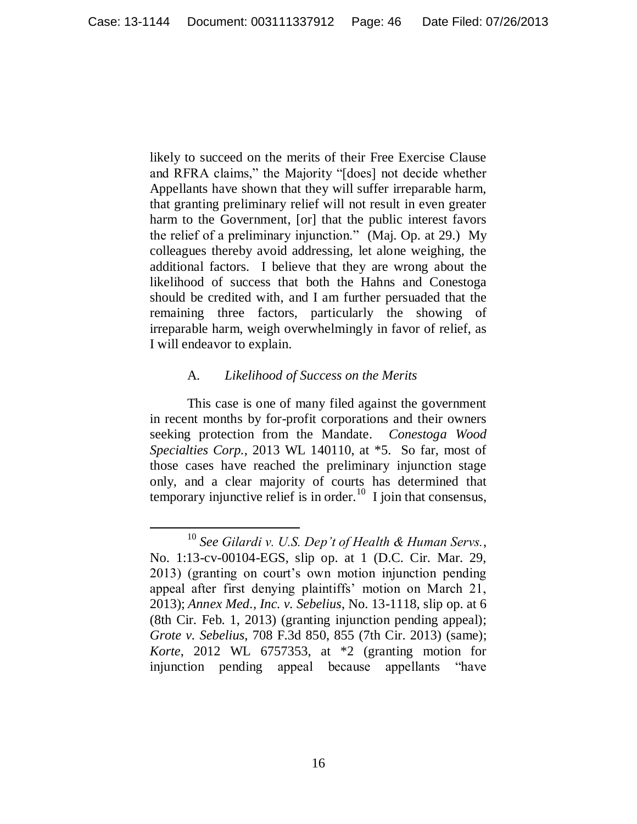likely to succeed on the merits of their Free Exercise Clause and RFRA claims," the Majority "[does] not decide whether Appellants have shown that they will suffer irreparable harm, that granting preliminary relief will not result in even greater harm to the Government, [or] that the public interest favors the relief of a preliminary injunction." (Maj. Op. at 29.) My colleagues thereby avoid addressing, let alone weighing, the additional factors. I believe that they are wrong about the likelihood of success that both the Hahns and Conestoga should be credited with, and I am further persuaded that the remaining three factors, particularly the showing of irreparable harm, weigh overwhelmingly in favor of relief, as I will endeavor to explain.

## A. *Likelihood of Success on the Merits*

 $\overline{a}$ 

This case is one of many filed against the government in recent months by for-profit corporations and their owners seeking protection from the Mandate. *Conestoga Wood Specialties Corp.*, 2013 WL 140110, at \*5. So far, most of those cases have reached the preliminary injunction stage only, and a clear majority of courts has determined that temporary injunctive relief is in order.<sup>10</sup> I join that consensus,

<sup>10</sup> *See Gilardi v. U.S. Dep't of Health & Human Servs.*, No. 1:13-cv-00104-EGS, slip op. at 1 (D.C. Cir. Mar. 29, 2013) (granting on court"s own motion injunction pending appeal after first denying plaintiffs' motion on March 21, 2013); *Annex Med., Inc. v. Sebelius*, No. 13-1118, slip op. at 6 (8th Cir. Feb. 1, 2013) (granting injunction pending appeal); *Grote v. Sebelius*, 708 F.3d 850, 855 (7th Cir. 2013) (same); *Korte*, 2012 WL 6757353, at \*2 (granting motion for injunction pending appeal because appellants "have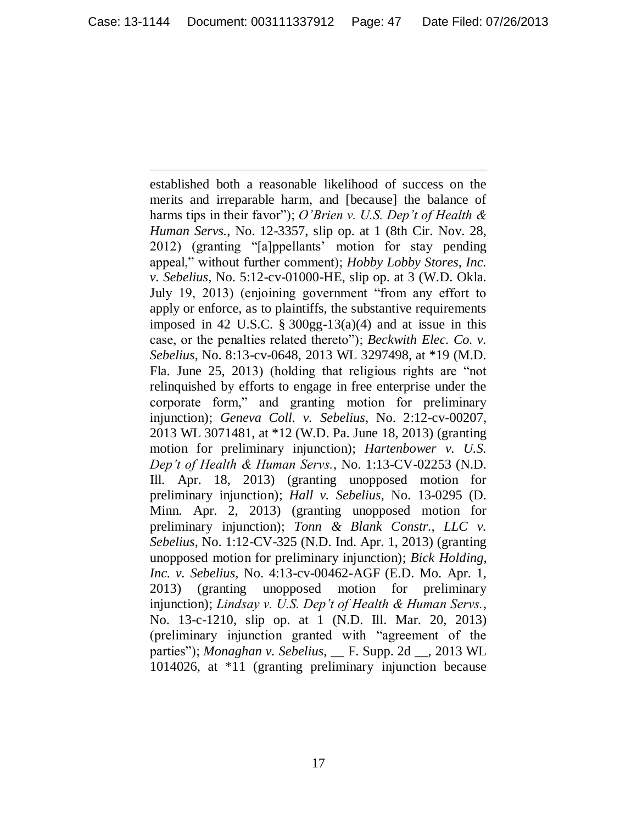established both a reasonable likelihood of success on the merits and irreparable harm, and [because] the balance of harms tips in their favor"); *O'Brien v. U.S. Dep't of Health & Human Servs.*, No. 12-3357, slip op. at 1 (8th Cir. Nov. 28, 2012) (granting "[a]ppellants" motion for stay pending appeal," without further comment); *Hobby Lobby Stores, Inc. v. Sebelius*, No. 5:12-cv-01000-HE, slip op. at 3 (W.D. Okla. July 19, 2013) (enjoining government "from any effort to apply or enforce, as to plaintiffs, the substantive requirements imposed in 42 U.S.C.  $\S 300gg-13(a)(4)$  and at issue in this case, or the penalties related thereto"); *Beckwith Elec. Co. v. Sebelius*, No. 8:13-cv-0648, 2013 WL 3297498, at \*19 (M.D. Fla. June 25, 2013) (holding that religious rights are "not relinquished by efforts to engage in free enterprise under the corporate form," and granting motion for preliminary injunction); *Geneva Coll. v. Sebelius*, No. 2:12-cv-00207, 2013 WL 3071481, at \*12 (W.D. Pa. June 18, 2013) (granting motion for preliminary injunction); *Hartenbower v. U.S. Dep't of Health & Human Servs.*, No. 1:13-CV-02253 (N.D. Ill. Apr. 18, 2013) (granting unopposed motion for preliminary injunction); *Hall v. Sebelius*, No. 13-0295 (D. Minn. Apr. 2, 2013) (granting unopposed motion for preliminary injunction); *Tonn & Blank Constr., LLC v. Sebelius*, No. 1:12-CV-325 (N.D. Ind. Apr. 1, 2013) (granting unopposed motion for preliminary injunction); *Bick Holding, Inc. v. Sebelius*, No. 4:13-cv-00462-AGF (E.D. Mo. Apr. 1, 2013) (granting unopposed motion for preliminary injunction); *Lindsay v. U.S. Dep't of Health & Human Servs.*, No. 13-c-1210, slip op. at 1 (N.D. Ill. Mar. 20, 2013) (preliminary injunction granted with "agreement of the parties"); *Monaghan v. Sebelius*, \_\_ F. Supp. 2d \_\_, 2013 WL 1014026, at \*11 (granting preliminary injunction because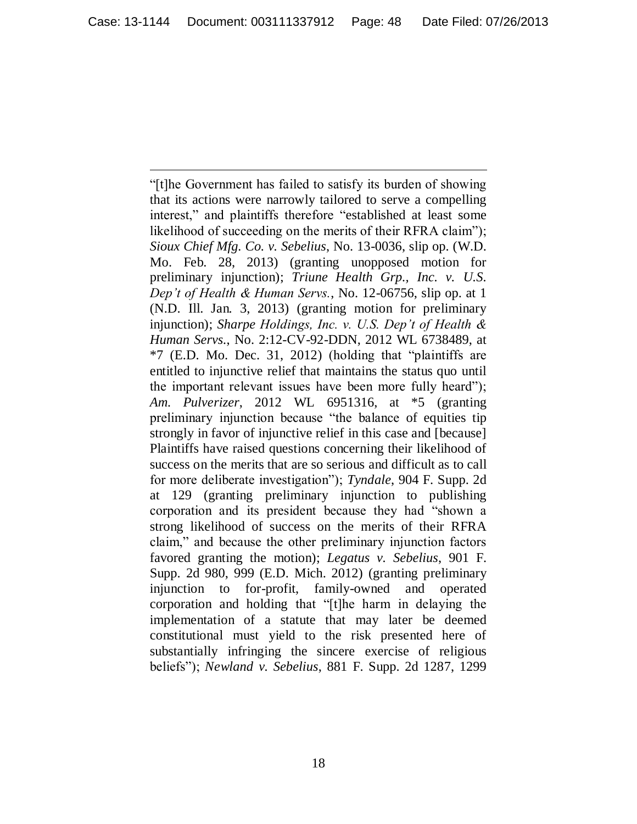"[t]he Government has failed to satisfy its burden of showing that its actions were narrowly tailored to serve a compelling interest," and plaintiffs therefore "established at least some likelihood of succeeding on the merits of their RFRA claim"); *Sioux Chief Mfg. Co. v. Sebelius*, No. 13-0036, slip op. (W.D. Mo. Feb. 28, 2013) (granting unopposed motion for preliminary injunction); *Triune Health Grp., Inc. v. U.S. Dep't of Health & Human Servs.*, No. 12-06756, slip op. at 1 (N.D. Ill. Jan. 3, 2013) (granting motion for preliminary injunction); *Sharpe Holdings, Inc. v. U.S. Dep't of Health & Human Servs.*, No. 2:12-CV-92-DDN, 2012 WL 6738489, at \*7 (E.D. Mo. Dec. 31, 2012) (holding that "plaintiffs are entitled to injunctive relief that maintains the status quo until the important relevant issues have been more fully heard"); *Am. Pulverizer*, 2012 WL 6951316, at \*5 (granting preliminary injunction because "the balance of equities tip strongly in favor of injunctive relief in this case and [because] Plaintiffs have raised questions concerning their likelihood of success on the merits that are so serious and difficult as to call for more deliberate investigation"); *Tyndale*, 904 F. Supp. 2d at 129 (granting preliminary injunction to publishing corporation and its president because they had "shown a strong likelihood of success on the merits of their RFRA claim," and because the other preliminary injunction factors favored granting the motion); *Legatus v. Sebelius*, 901 F. Supp. 2d 980, 999 (E.D. Mich. 2012) (granting preliminary injunction to for-profit, family-owned and operated corporation and holding that "[t]he harm in delaying the implementation of a statute that may later be deemed constitutional must yield to the risk presented here of substantially infringing the sincere exercise of religious beliefs"); *Newland v. Sebelius*, 881 F. Supp. 2d 1287, 1299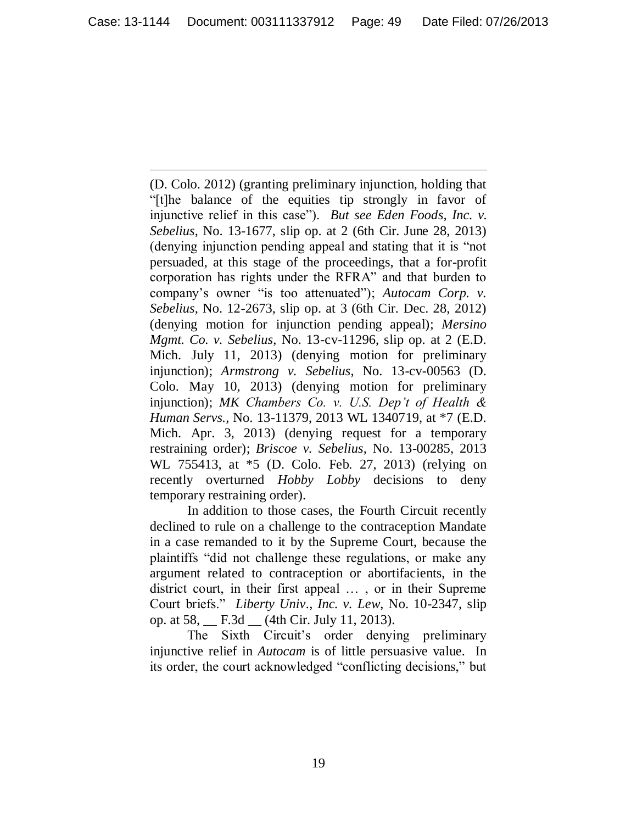(D. Colo. 2012) (granting preliminary injunction, holding that "[t]he balance of the equities tip strongly in favor of injunctive relief in this case"). *But see Eden Foods, Inc. v. Sebelius*, No. 13-1677, slip op. at 2 (6th Cir. June 28, 2013) (denying injunction pending appeal and stating that it is "not persuaded, at this stage of the proceedings, that a for-profit corporation has rights under the RFRA" and that burden to company"s owner "is too attenuated"); *Autocam Corp. v. Sebelius*, No. 12-2673, slip op. at 3 (6th Cir. Dec. 28, 2012) (denying motion for injunction pending appeal); *Mersino Mgmt. Co. v. Sebelius*, No. 13-cv-11296, slip op. at 2 (E.D. Mich. July 11, 2013) (denying motion for preliminary injunction); *Armstrong v. Sebelius*, No. 13-cv-00563 (D. Colo. May 10, 2013) (denying motion for preliminary injunction); *MK Chambers Co. v. U.S. Dep't of Health & Human Servs.*, No. 13-11379, 2013 WL 1340719, at \*7 (E.D. Mich. Apr. 3, 2013) (denying request for a temporary restraining order); *Briscoe v. Sebelius*, No. 13-00285, 2013 WL 755413, at \*5 (D. Colo. Feb. 27, 2013) (relying on recently overturned *Hobby Lobby* decisions to deny temporary restraining order).

In addition to those cases, the Fourth Circuit recently declined to rule on a challenge to the contraception Mandate in a case remanded to it by the Supreme Court, because the plaintiffs "did not challenge these regulations, or make any argument related to contraception or abortifacients, in the district court, in their first appeal … , or in their Supreme Court briefs." *Liberty Univ., Inc. v. Lew*, No. 10-2347, slip op. at 58, \_\_ F.3d \_\_ (4th Cir. July 11, 2013).

The Sixth Circuit's order denying preliminary injunctive relief in *Autocam* is of little persuasive value. In its order, the court acknowledged "conflicting decisions," but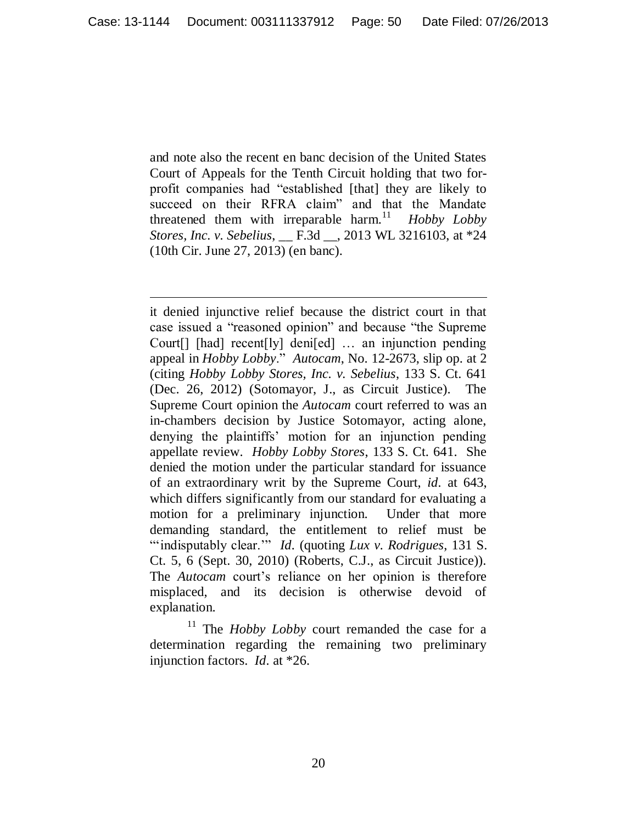and note also the recent en banc decision of the United States Court of Appeals for the Tenth Circuit holding that two forprofit companies had "established [that] they are likely to succeed on their RFRA claim" and that the Mandate threatened them with irreparable harm.<sup>11</sup> *Hobby Lobby Stores, Inc. v. Sebelius*, \_\_ F.3d \_\_, 2013 WL 3216103, at \*24 (10th Cir. June 27, 2013) (en banc).

 $\overline{a}$ 

it denied injunctive relief because the district court in that case issued a "reasoned opinion" and because "the Supreme Court[] [had] recent[ly] deni[ed] … an injunction pending appeal in *Hobby Lobby*." *Autocam*, No. 12-2673, slip op. at 2 (citing *Hobby Lobby Stores, Inc. v. Sebelius*, 133 S. Ct. 641 (Dec. 26, 2012) (Sotomayor, J., as Circuit Justice). The Supreme Court opinion the *Autocam* court referred to was an in-chambers decision by Justice Sotomayor, acting alone, denying the plaintiffs" motion for an injunction pending appellate review. *Hobby Lobby Stores*, 133 S. Ct. 641. She denied the motion under the particular standard for issuance of an extraordinary writ by the Supreme Court, *id.* at 643, which differs significantly from our standard for evaluating a motion for a preliminary injunction. Under that more demanding standard, the entitlement to relief must be ""indisputably clear."" *Id.* (quoting *Lux v. Rodrigues*, 131 S. Ct. 5, 6 (Sept. 30, 2010) (Roberts, C.J., as Circuit Justice)). The *Autocam* court's reliance on her opinion is therefore misplaced, and its decision is otherwise devoid of explanation.

<sup>11</sup> The *Hobby Lobby* court remanded the case for a determination regarding the remaining two preliminary injunction factors. *Id.* at \*26.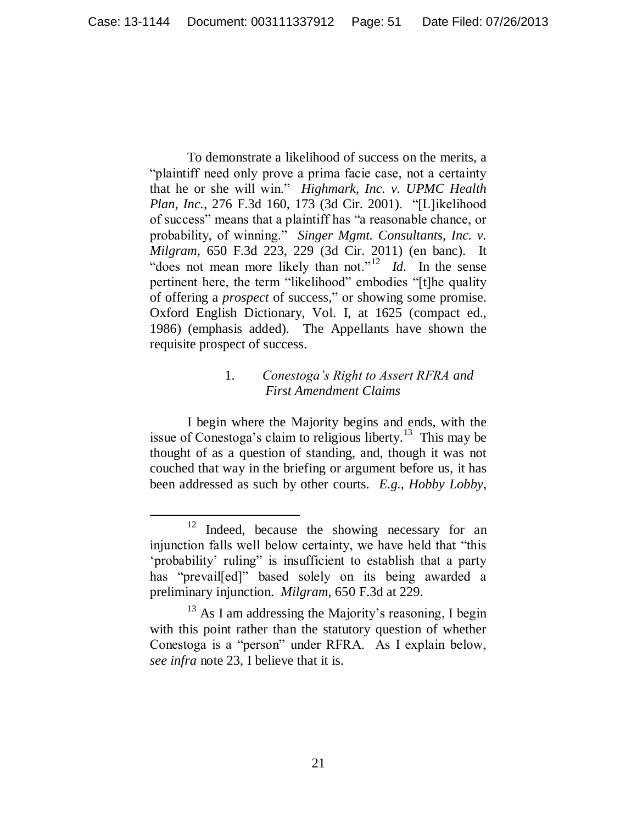To demonstrate a likelihood of success on the merits, a "plaintiff need only prove a prima facie case, not a certainty that he or she will win." *Highmark, Inc. v. UPMC Health Plan, Inc.*, 276 F.3d 160, 173 (3d Cir. 2001). "[L]ikelihood of success" means that a plaintiff has "a reasonable chance, or probability, of winning." *Singer Mgmt. Consultants, Inc. v. Milgram*, 650 F.3d 223, 229 (3d Cir. 2011) (en banc). It "does not mean more likely than not."<sup>12</sup> *Id*. In the sense pertinent here, the term "likelihood" embodies "[t]he quality of offering a *prospect* of success," or showing some promise. Oxford English Dictionary, Vol. I, at 1625 (compact ed., 1986) (emphasis added). The Appellants have shown the requisite prospect of success.

# 1. *Conestoga's Right to Assert RFRA and First Amendment Claims*

I begin where the Majority begins and ends, with the issue of Conestoga's claim to religious liberty.<sup>13</sup> This may be thought of as a question of standing, and, though it was not couched that way in the briefing or argument before us, it has been addressed as such by other courts. *E.g.*, *Hobby Lobby*,

<sup>&</sup>lt;sup>12</sup> Indeed, because the showing necessary for an injunction falls well below certainty, we have held that "this 'probability' ruling" is insufficient to establish that a party has "prevail[ed]" based solely on its being awarded a preliminary injunction. *Milgram*, 650 F.3d at 229.

 $13$  As I am addressing the Majority's reasoning, I begin with this point rather than the statutory question of whether Conestoga is a "person" under RFRA. As I explain below, *see infra* note 23, I believe that it is.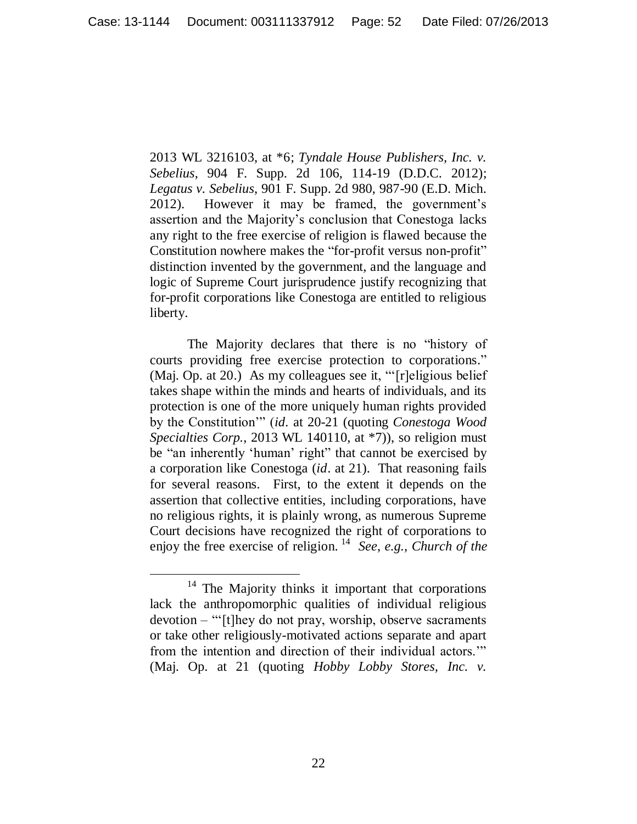2013 WL 3216103, at \*6; *Tyndale House Publishers, Inc. v. Sebelius*, 904 F. Supp. 2d 106, 114-19 (D.D.C. 2012); *Legatus v. Sebelius*, 901 F. Supp. 2d 980, 987-90 (E.D. Mich. 2012). However it may be framed, the government"s assertion and the Majority"s conclusion that Conestoga lacks any right to the free exercise of religion is flawed because the Constitution nowhere makes the "for-profit versus non-profit" distinction invented by the government, and the language and logic of Supreme Court jurisprudence justify recognizing that for-profit corporations like Conestoga are entitled to religious liberty.

The Majority declares that there is no "history of courts providing free exercise protection to corporations." (Maj. Op. at 20.) As my colleagues see it, ""[r]eligious belief takes shape within the minds and hearts of individuals, and its protection is one of the more uniquely human rights provided by the Constitution"" (*id.* at 20-21 (quoting *Conestoga Wood Specialties Corp.*, 2013 WL 140110, at \*7)), so religion must be "an inherently 'human' right" that cannot be exercised by a corporation like Conestoga (*id*. at 21). That reasoning fails for several reasons. First, to the extent it depends on the assertion that collective entities, including corporations, have no religious rights, it is plainly wrong, as numerous Supreme Court decisions have recognized the right of corporations to enjoy the free exercise of religion. <sup>14</sup> *See*, *e.g.*, *Church of the* 

<sup>&</sup>lt;sup>14</sup> The Majority thinks it important that corporations lack the anthropomorphic qualities of individual religious devotion – ""[t]hey do not pray, worship, observe sacraments or take other religiously-motivated actions separate and apart from the intention and direction of their individual actors."" (Maj. Op. at 21 (quoting *Hobby Lobby Stores, Inc. v.*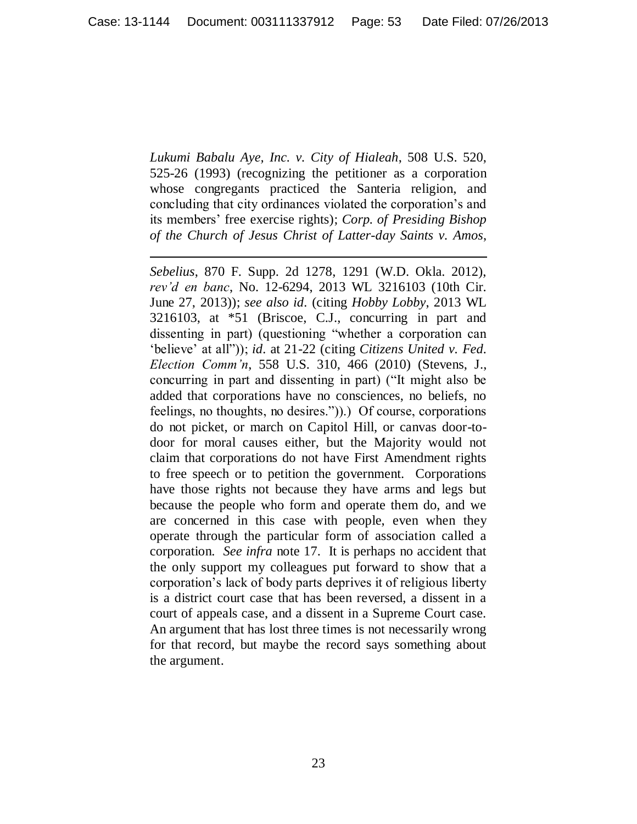*Lukumi Babalu Aye, Inc. v. City of Hialeah*, 508 U.S. 520, 525-26 (1993) (recognizing the petitioner as a corporation whose congregants practiced the Santeria religion, and concluding that city ordinances violated the corporation"s and its members" free exercise rights); *Corp. of Presiding Bishop of the Church of Jesus Christ of Latter-day Saints v. Amos*,

 $\overline{a}$ 

*Sebelius*, 870 F. Supp. 2d 1278, 1291 (W.D. Okla. 2012), *rev'd en banc*, No. 12-6294, 2013 WL 3216103 (10th Cir. June 27, 2013)); *see also id.* (citing *Hobby Lobby*, 2013 WL 3216103, at \*51 (Briscoe, C.J., concurring in part and dissenting in part) (questioning "whether a corporation can "believe" at all")); *id.* at 21-22 (citing *Citizens United v. Fed. Election Comm'n*, 558 U.S. 310, 466 (2010) (Stevens, J., concurring in part and dissenting in part) ("It might also be added that corporations have no consciences, no beliefs, no feelings, no thoughts, no desires.")).) Of course, corporations do not picket, or march on Capitol Hill, or canvas door-todoor for moral causes either, but the Majority would not claim that corporations do not have First Amendment rights to free speech or to petition the government. Corporations have those rights not because they have arms and legs but because the people who form and operate them do, and we are concerned in this case with people, even when they operate through the particular form of association called a corporation. *See infra* note 17. It is perhaps no accident that the only support my colleagues put forward to show that a corporation"s lack of body parts deprives it of religious liberty is a district court case that has been reversed, a dissent in a court of appeals case, and a dissent in a Supreme Court case. An argument that has lost three times is not necessarily wrong for that record, but maybe the record says something about the argument.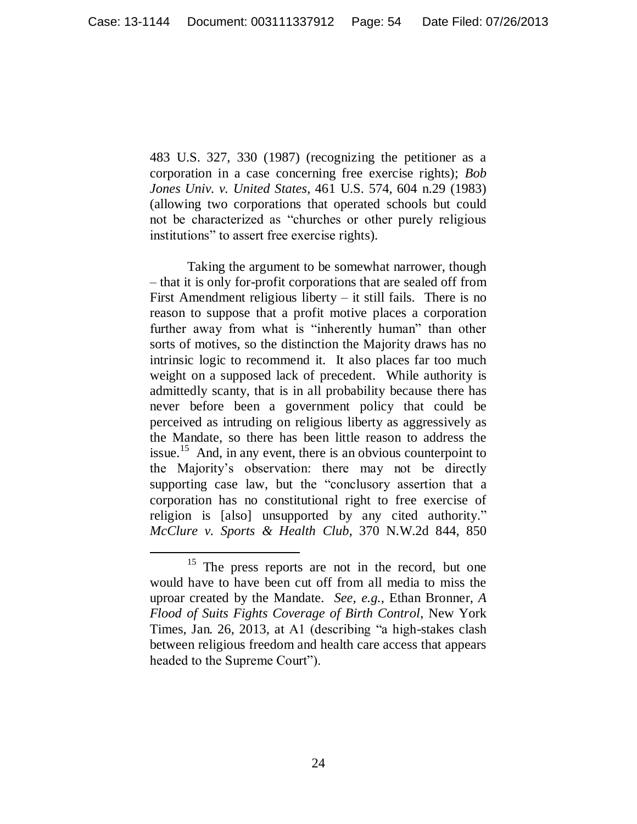483 U.S. 327, 330 (1987) (recognizing the petitioner as a corporation in a case concerning free exercise rights); *Bob Jones Univ. v. United States*, 461 U.S. 574, 604 n.29 (1983) (allowing two corporations that operated schools but could not be characterized as "churches or other purely religious institutions" to assert free exercise rights).

Taking the argument to be somewhat narrower, though – that it is only for-profit corporations that are sealed off from First Amendment religious liberty  $-$  it still fails. There is no reason to suppose that a profit motive places a corporation further away from what is "inherently human" than other sorts of motives, so the distinction the Majority draws has no intrinsic logic to recommend it. It also places far too much weight on a supposed lack of precedent. While authority is admittedly scanty, that is in all probability because there has never before been a government policy that could be perceived as intruding on religious liberty as aggressively as the Mandate, so there has been little reason to address the issue.<sup>15</sup> And, in any event, there is an obvious counterpoint to the Majority"s observation: there may not be directly supporting case law, but the "conclusory assertion that a corporation has no constitutional right to free exercise of religion is [also] unsupported by any cited authority." *McClure v. Sports & Health Club*, 370 N.W.2d 844, 850

<sup>&</sup>lt;sup>15</sup> The press reports are not in the record, but one would have to have been cut off from all media to miss the uproar created by the Mandate. *See, e.g.*, Ethan Bronner, *A Flood of Suits Fights Coverage of Birth Control*, New York Times, Jan. 26, 2013, at A1 (describing "a high-stakes clash between religious freedom and health care access that appears headed to the Supreme Court").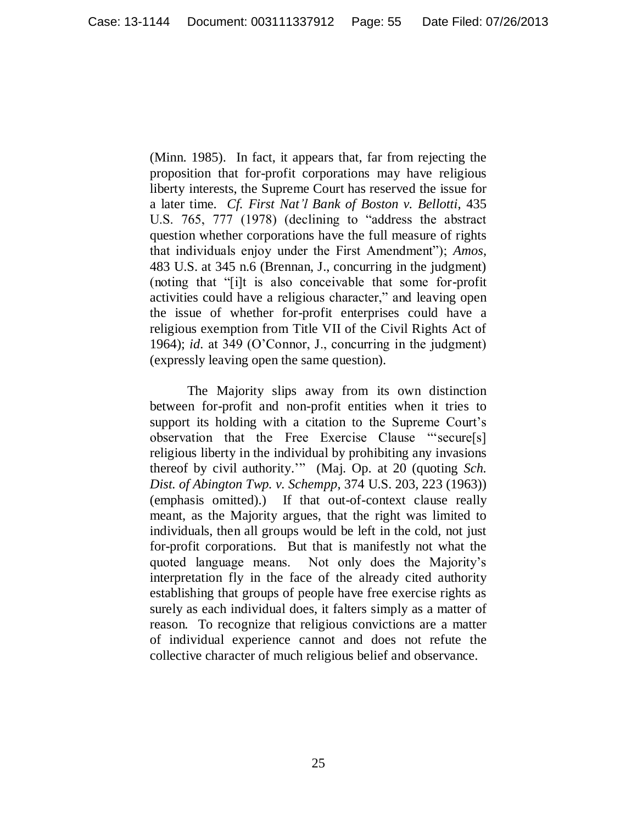(Minn. 1985). In fact, it appears that, far from rejecting the proposition that for-profit corporations may have religious liberty interests, the Supreme Court has reserved the issue for a later time. *Cf. First Nat'l Bank of Boston v. Bellotti*, 435 U.S. 765, 777 (1978) (declining to "address the abstract question whether corporations have the full measure of rights that individuals enjoy under the First Amendment"); *Amos*, 483 U.S. at 345 n.6 (Brennan, J., concurring in the judgment) (noting that "[i]t is also conceivable that some for-profit activities could have a religious character," and leaving open the issue of whether for-profit enterprises could have a religious exemption from Title VII of the Civil Rights Act of 1964); *id.* at 349 (O"Connor, J., concurring in the judgment) (expressly leaving open the same question).

The Majority slips away from its own distinction between for-profit and non-profit entities when it tries to support its holding with a citation to the Supreme Court's observation that the Free Exercise Clause ""secure[s] religious liberty in the individual by prohibiting any invasions thereof by civil authority."" (Maj. Op. at 20 (quoting *Sch. Dist. of Abington Twp. v. Schempp*, 374 U.S. 203, 223 (1963)) (emphasis omitted).) If that out-of-context clause really meant, as the Majority argues, that the right was limited to individuals, then all groups would be left in the cold, not just for-profit corporations. But that is manifestly not what the quoted language means. Not only does the Majority"s interpretation fly in the face of the already cited authority establishing that groups of people have free exercise rights as surely as each individual does, it falters simply as a matter of reason. To recognize that religious convictions are a matter of individual experience cannot and does not refute the collective character of much religious belief and observance.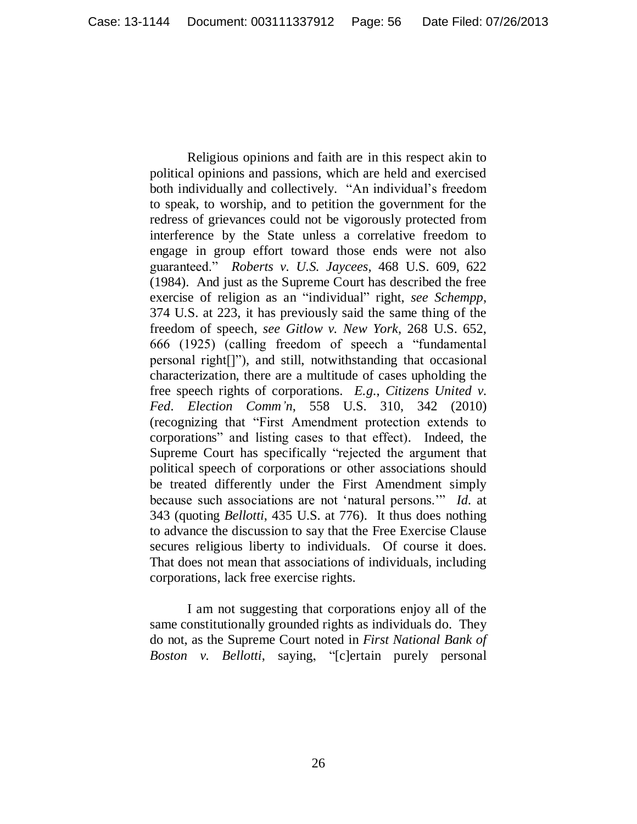Religious opinions and faith are in this respect akin to political opinions and passions, which are held and exercised both individually and collectively. "An individual's freedom to speak, to worship, and to petition the government for the redress of grievances could not be vigorously protected from interference by the State unless a correlative freedom to engage in group effort toward those ends were not also guaranteed." *Roberts v. U.S. Jaycees*, 468 U.S. 609, 622 (1984). And just as the Supreme Court has described the free exercise of religion as an "individual" right, *see Schempp*, 374 U.S. at 223, it has previously said the same thing of the freedom of speech, *see Gitlow v. New York*, 268 U.S. 652, 666 (1925) (calling freedom of speech a "fundamental personal right[]"), and still, notwithstanding that occasional characterization, there are a multitude of cases upholding the free speech rights of corporations. *E.g.*, *Citizens United v. Fed. Election Comm'n*, 558 U.S. 310, 342 (2010) (recognizing that "First Amendment protection extends to corporations" and listing cases to that effect). Indeed, the Supreme Court has specifically "rejected the argument that political speech of corporations or other associations should be treated differently under the First Amendment simply because such associations are not "natural persons."" *Id.* at 343 (quoting *Bellotti*, 435 U.S. at 776). It thus does nothing to advance the discussion to say that the Free Exercise Clause secures religious liberty to individuals. Of course it does. That does not mean that associations of individuals, including corporations, lack free exercise rights.

I am not suggesting that corporations enjoy all of the same constitutionally grounded rights as individuals do. They do not, as the Supreme Court noted in *First National Bank of Boston v. Bellotti*, saying, "[c]ertain purely personal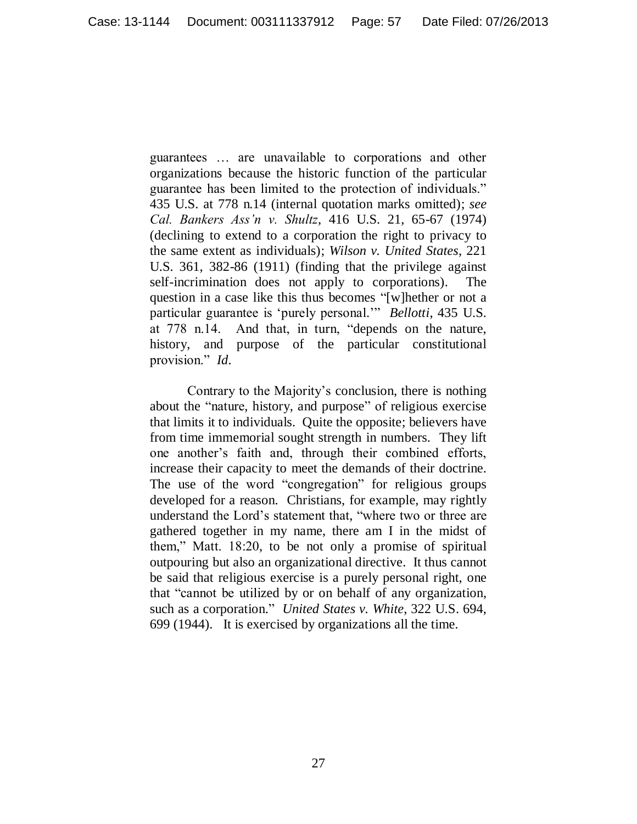guarantees … are unavailable to corporations and other organizations because the historic function of the particular guarantee has been limited to the protection of individuals." 435 U.S. at 778 n.14 (internal quotation marks omitted); *see Cal. Bankers Ass'n v. Shultz*, 416 U.S. 21, 65-67 (1974) (declining to extend to a corporation the right to privacy to the same extent as individuals); *Wilson v. United States*, 221 U.S. 361, 382-86 (1911) (finding that the privilege against self-incrimination does not apply to corporations). The question in a case like this thus becomes "[w]hether or not a particular guarantee is "purely personal."" *Bellotti*, 435 U.S. at 778 n.14. And that, in turn, "depends on the nature, history, and purpose of the particular constitutional provision." *Id.*

Contrary to the Majority"s conclusion, there is nothing about the "nature, history, and purpose" of religious exercise that limits it to individuals. Quite the opposite; believers have from time immemorial sought strength in numbers. They lift one another"s faith and, through their combined efforts, increase their capacity to meet the demands of their doctrine. The use of the word "congregation" for religious groups developed for a reason. Christians, for example, may rightly understand the Lord"s statement that, "where two or three are gathered together in my name, there am I in the midst of them," Matt. 18:20, to be not only a promise of spiritual outpouring but also an organizational directive. It thus cannot be said that religious exercise is a purely personal right, one that "cannot be utilized by or on behalf of any organization, such as a corporation." *United States v. White*, 322 U.S. 694, 699 (1944). It is exercised by organizations all the time.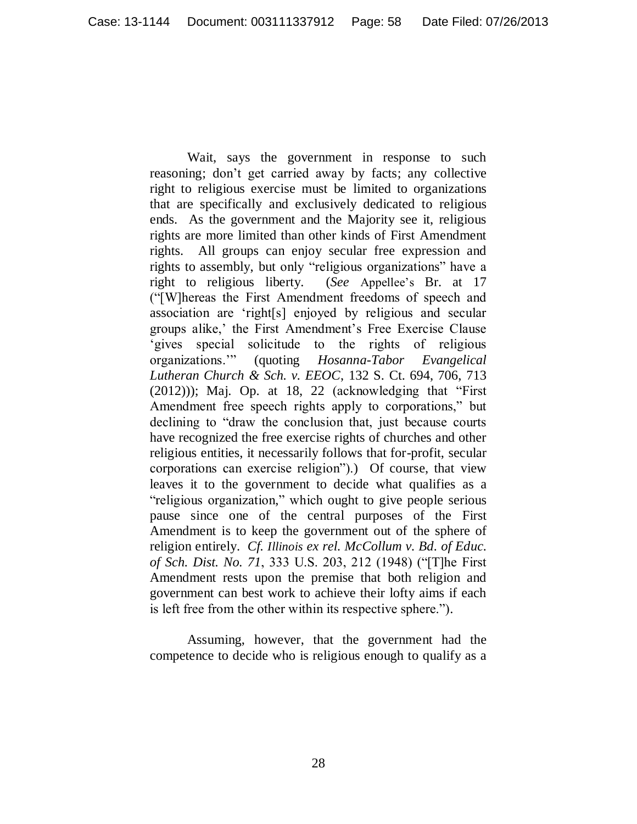Wait, says the government in response to such reasoning; don"t get carried away by facts; any collective right to religious exercise must be limited to organizations that are specifically and exclusively dedicated to religious ends. As the government and the Majority see it, religious rights are more limited than other kinds of First Amendment rights. All groups can enjoy secular free expression and rights to assembly, but only "religious organizations" have a right to religious liberty. (*See* Appellee"s Br. at 17 ("[W]hereas the First Amendment freedoms of speech and association are "right[s] enjoyed by religious and secular groups alike,' the First Amendment's Free Exercise Clause 'gives special solicitude to the rights of religious organizations."" (quoting *Hosanna-Tabor Evangelical Lutheran Church & Sch. v. EEOC*, 132 S. Ct. 694, 706, 713  $(2012))$ ; Maj. Op. at 18, 22 (acknowledging that "First" Amendment free speech rights apply to corporations," but declining to "draw the conclusion that, just because courts have recognized the free exercise rights of churches and other religious entities, it necessarily follows that for-profit, secular corporations can exercise religion").) Of course, that view leaves it to the government to decide what qualifies as a "religious organization," which ought to give people serious pause since one of the central purposes of the First Amendment is to keep the government out of the sphere of religion entirely. *Cf. Illinois ex rel. McCollum v. Bd. of Educ. of Sch. Dist. No. 71*, 333 U.S. 203, 212 (1948) ("[T]he First Amendment rests upon the premise that both religion and government can best work to achieve their lofty aims if each is left free from the other within its respective sphere.").

Assuming, however, that the government had the competence to decide who is religious enough to qualify as a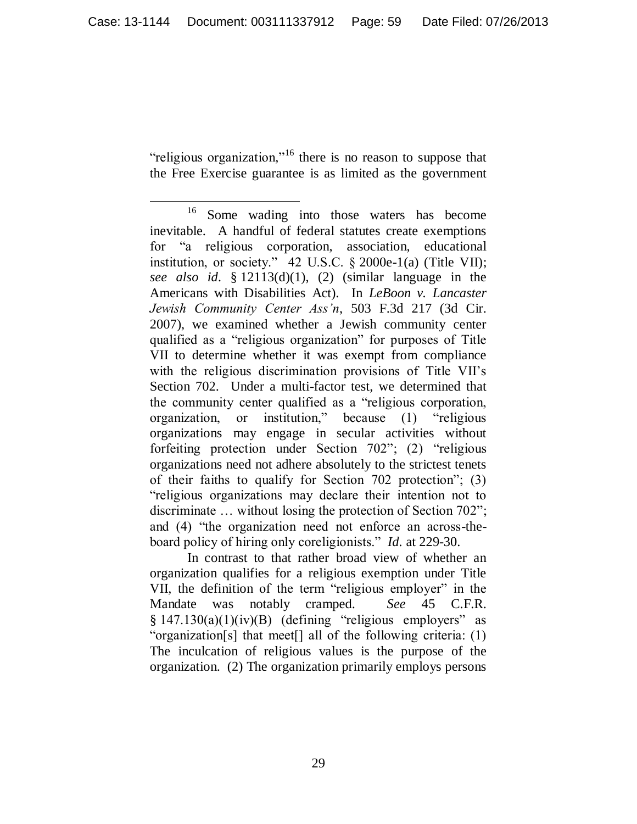"religious organization,"<sup>16</sup> there is no reason to suppose that the Free Exercise guarantee is as limited as the government

In contrast to that rather broad view of whether an organization qualifies for a religious exemption under Title VII, the definition of the term "religious employer" in the Mandate was notably cramped. *See* 45 C.F.R.  $§ 147.130(a)(1)(iv)(B)$  (defining "religious employers" as "organization[s] that meet[] all of the following criteria: (1) The inculcation of religious values is the purpose of the organization. (2) The organization primarily employs persons

 $\overline{a}$ <sup>16</sup> Some wading into those waters has become inevitable. A handful of federal statutes create exemptions for "a religious corporation, association, educational institution, or society." 42 U.S.C. § 2000e-1(a) (Title VII); *see also id.* § 12113(d)(1), (2) (similar language in the Americans with Disabilities Act). In *LeBoon v. Lancaster Jewish Community Center Ass'n*, 503 F.3d 217 (3d Cir. 2007), we examined whether a Jewish community center qualified as a "religious organization" for purposes of Title VII to determine whether it was exempt from compliance with the religious discrimination provisions of Title VII"s Section 702. Under a multi-factor test, we determined that the community center qualified as a "religious corporation, organization, or institution," because (1) "religious organizations may engage in secular activities without forfeiting protection under Section 702"; (2) "religious organizations need not adhere absolutely to the strictest tenets of their faiths to qualify for Section 702 protection"; (3) "religious organizations may declare their intention not to discriminate ... without losing the protection of Section 702"; and (4) "the organization need not enforce an across-theboard policy of hiring only coreligionists." *Id.* at 229-30.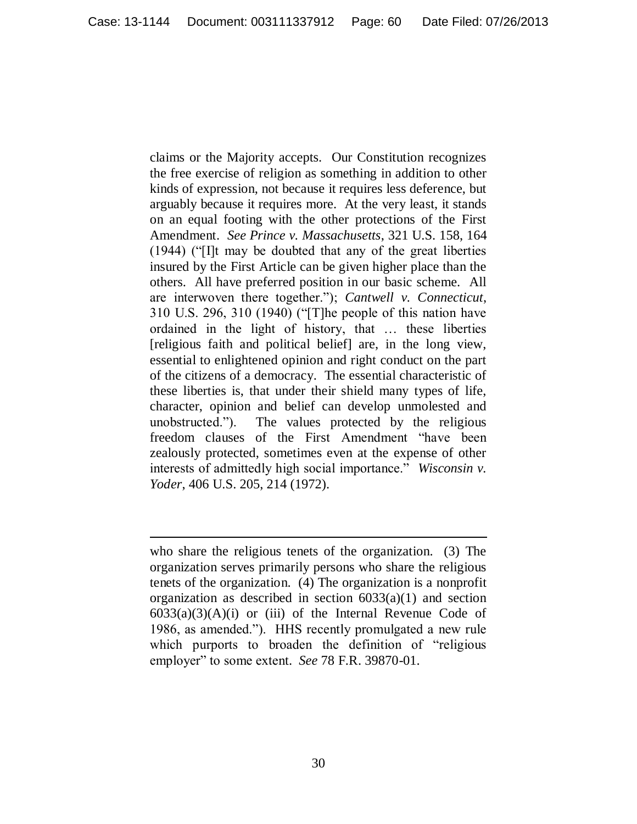claims or the Majority accepts. Our Constitution recognizes the free exercise of religion as something in addition to other kinds of expression, not because it requires less deference, but arguably because it requires more. At the very least, it stands on an equal footing with the other protections of the First Amendment. *See Prince v. Massachusetts*, 321 U.S. 158, 164 (1944) ("[I]t may be doubted that any of the great liberties insured by the First Article can be given higher place than the others. All have preferred position in our basic scheme. All are interwoven there together."); *Cantwell v. Connecticut*, 310 U.S. 296, 310 (1940) ("[T]he people of this nation have ordained in the light of history, that … these liberties [religious faith and political belief] are, in the long view, essential to enlightened opinion and right conduct on the part of the citizens of a democracy. The essential characteristic of these liberties is, that under their shield many types of life, character, opinion and belief can develop unmolested and unobstructed."). The values protected by the religious freedom clauses of the First Amendment "have been zealously protected, sometimes even at the expense of other interests of admittedly high social importance." *Wisconsin v. Yoder*, 406 U.S. 205, 214 (1972).

who share the religious tenets of the organization. (3) The organization serves primarily persons who share the religious tenets of the organization. (4) The organization is a nonprofit organization as described in section  $6033(a)(1)$  and section  $6033(a)(3)(A)(i)$  or (iii) of the Internal Revenue Code of 1986, as amended."). HHS recently promulgated a new rule which purports to broaden the definition of "religious employer" to some extent. *See* 78 F.R. 39870-01.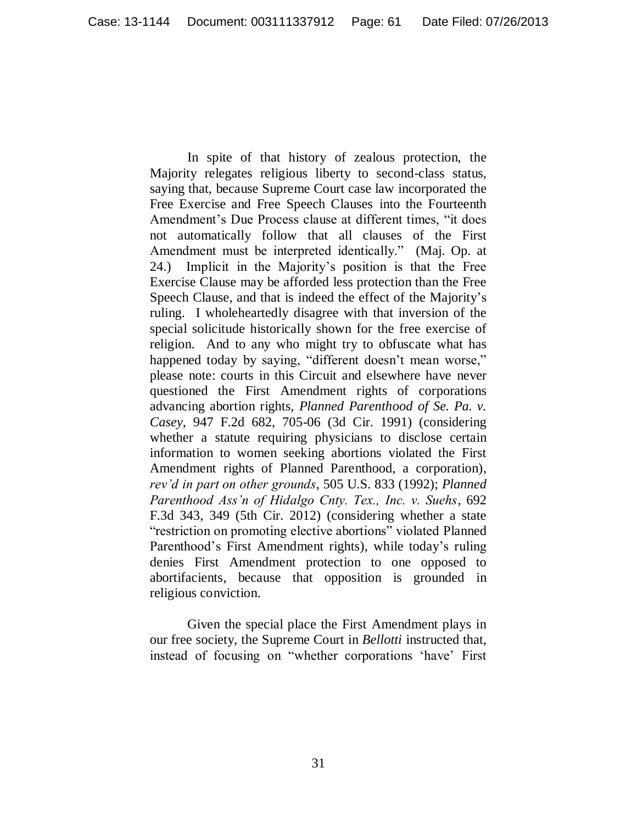In spite of that history of zealous protection, the Majority relegates religious liberty to second-class status, saying that, because Supreme Court case law incorporated the Free Exercise and Free Speech Clauses into the Fourteenth Amendment's Due Process clause at different times, "it does not automatically follow that all clauses of the First Amendment must be interpreted identically." (Maj. Op. at 24.) Implicit in the Majority"s position is that the Free Exercise Clause may be afforded less protection than the Free Speech Clause, and that is indeed the effect of the Majority"s ruling. I wholeheartedly disagree with that inversion of the special solicitude historically shown for the free exercise of religion. And to any who might try to obfuscate what has happened today by saying, "different doesn't mean worse," please note: courts in this Circuit and elsewhere have never questioned the First Amendment rights of corporations advancing abortion rights, *Planned Parenthood of Se. Pa. v. Casey*, 947 F.2d 682, 705-06 (3d Cir. 1991) (considering whether a statute requiring physicians to disclose certain information to women seeking abortions violated the First Amendment rights of Planned Parenthood, a corporation), *rev'd in part on other grounds*, 505 U.S. 833 (1992); *Planned Parenthood Ass'n of Hidalgo Cnty. Tex., Inc. v. Suehs*, 692 F.3d 343, 349 (5th Cir. 2012) (considering whether a state "restriction on promoting elective abortions" violated Planned Parenthood's First Amendment rights), while today's ruling denies First Amendment protection to one opposed to abortifacients, because that opposition is grounded in religious conviction.

Given the special place the First Amendment plays in our free society, the Supreme Court in *Bellotti* instructed that, instead of focusing on "whether corporations "have" First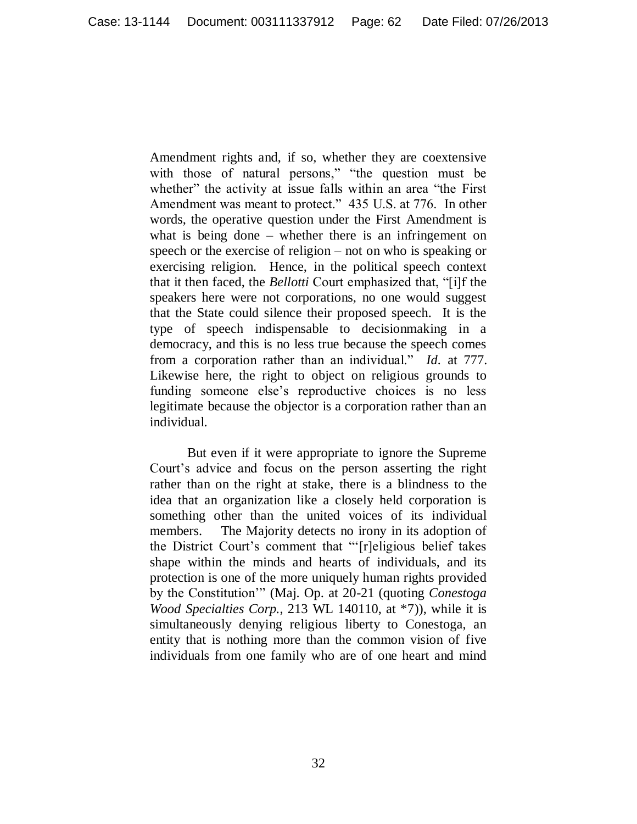Amendment rights and, if so, whether they are coextensive with those of natural persons," "the question must be whether" the activity at issue falls within an area "the First" Amendment was meant to protect." 435 U.S. at 776. In other words, the operative question under the First Amendment is what is being done – whether there is an infringement on speech or the exercise of religion – not on who is speaking or exercising religion. Hence, in the political speech context that it then faced, the *Bellotti* Court emphasized that, "[i]f the speakers here were not corporations, no one would suggest that the State could silence their proposed speech. It is the type of speech indispensable to decisionmaking in a democracy, and this is no less true because the speech comes from a corporation rather than an individual." *Id.* at 777. Likewise here, the right to object on religious grounds to funding someone else"s reproductive choices is no less legitimate because the objector is a corporation rather than an individual.

But even if it were appropriate to ignore the Supreme Court"s advice and focus on the person asserting the right rather than on the right at stake, there is a blindness to the idea that an organization like a closely held corporation is something other than the united voices of its individual members. The Majority detects no irony in its adoption of the District Court's comment that "'[r]eligious belief takes shape within the minds and hearts of individuals, and its protection is one of the more uniquely human rights provided by the Constitution"" (Maj. Op. at 20-21 (quoting *Conestoga Wood Specialties Corp.*, 213 WL 140110, at \*7)), while it is simultaneously denying religious liberty to Conestoga, an entity that is nothing more than the common vision of five individuals from one family who are of one heart and mind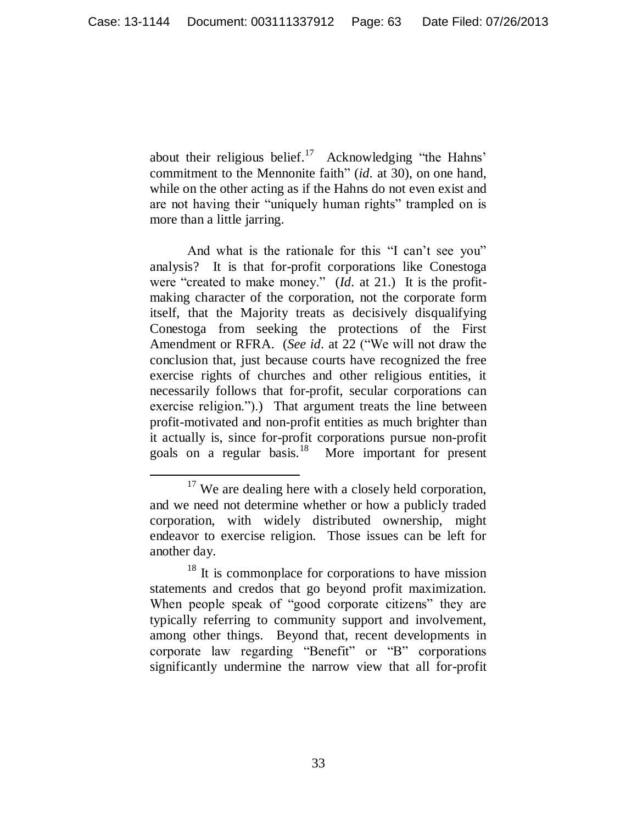about their religious belief.<sup>17</sup> Acknowledging "the Hahns" commitment to the Mennonite faith" (*id.* at 30), on one hand, while on the other acting as if the Hahns do not even exist and are not having their "uniquely human rights" trampled on is more than a little jarring.

And what is the rationale for this "I can't see you" analysis? It is that for-profit corporations like Conestoga were "created to make money." (*Id.* at 21.) It is the profitmaking character of the corporation, not the corporate form itself, that the Majority treats as decisively disqualifying Conestoga from seeking the protections of the First Amendment or RFRA. (*See id.* at 22 ("We will not draw the conclusion that, just because courts have recognized the free exercise rights of churches and other religious entities, it necessarily follows that for-profit, secular corporations can exercise religion.").) That argument treats the line between profit-motivated and non-profit entities as much brighter than it actually is, since for-profit corporations pursue non-profit goals on a regular basis.<sup>18</sup> More important for present

 $17$  We are dealing here with a closely held corporation, and we need not determine whether or how a publicly traded corporation, with widely distributed ownership, might endeavor to exercise religion. Those issues can be left for another day.

<sup>&</sup>lt;sup>18</sup> It is commonplace for corporations to have mission statements and credos that go beyond profit maximization. When people speak of "good corporate citizens" they are typically referring to community support and involvement, among other things. Beyond that, recent developments in corporate law regarding "Benefit" or "B" corporations significantly undermine the narrow view that all for-profit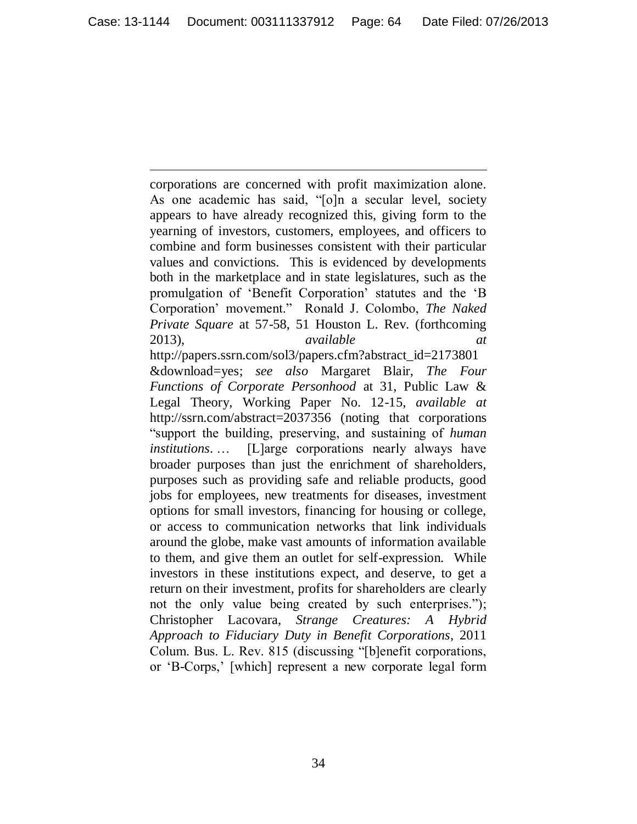corporations are concerned with profit maximization alone. As one academic has said, "[o]n a secular level, society appears to have already recognized this, giving form to the yearning of investors, customers, employees, and officers to combine and form businesses consistent with their particular values and convictions. This is evidenced by developments both in the marketplace and in state legislatures, such as the promulgation of "Benefit Corporation" statutes and the "B Corporation" movement." Ronald J. Colombo, *The Naked Private Square* at 57-58, 51 Houston L. Rev. (forthcoming 2013), *available* http://papers.ssrn.com/sol3/papers.cfm?abstract\_id=2173801 &download=yes; *see also* Margaret Blair, *The Four Functions of Corporate Personhood* at 31, Public Law & Legal Theory, Working Paper No. 12-15, *available at*  http://ssrn.com/abstract=2037356 (noting that corporations "support the building, preserving, and sustaining of *human institutions*. … [L]arge corporations nearly always have broader purposes than just the enrichment of shareholders, purposes such as providing safe and reliable products, good jobs for employees, new treatments for diseases, investment options for small investors, financing for housing or college, or access to communication networks that link individuals around the globe, make vast amounts of information available to them, and give them an outlet for self-expression. While investors in these institutions expect, and deserve, to get a return on their investment, profits for shareholders are clearly not the only value being created by such enterprises."); Christopher Lacovara, *Strange Creatures: A Hybrid Approach to Fiduciary Duty in Benefit Corporations*, 2011 Colum. Bus. L. Rev. 815 (discussing "[b]enefit corporations, or "B-Corps," [which] represent a new corporate legal form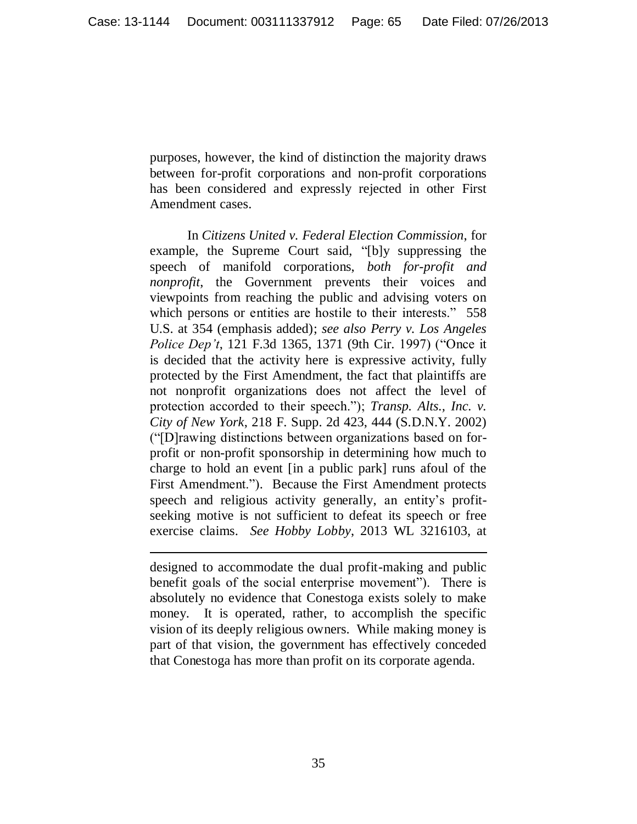purposes, however, the kind of distinction the majority draws between for-profit corporations and non-profit corporations has been considered and expressly rejected in other First Amendment cases.

In *Citizens United v. Federal Election Commission*, for example, the Supreme Court said, "[b]y suppressing the speech of manifold corporations, *both for-profit and nonprofit*, the Government prevents their voices and viewpoints from reaching the public and advising voters on which persons or entities are hostile to their interests." 558 U.S. at 354 (emphasis added); *see also Perry v. Los Angeles Police Dep't*, 121 F.3d 1365, 1371 (9th Cir. 1997) ("Once it is decided that the activity here is expressive activity, fully protected by the First Amendment, the fact that plaintiffs are not nonprofit organizations does not affect the level of protection accorded to their speech."); *Transp. Alts., Inc. v. City of New York*, 218 F. Supp. 2d 423, 444 (S.D.N.Y. 2002) ("[D]rawing distinctions between organizations based on forprofit or non-profit sponsorship in determining how much to charge to hold an event [in a public park] runs afoul of the First Amendment."). Because the First Amendment protects speech and religious activity generally, an entity's profitseeking motive is not sufficient to defeat its speech or free exercise claims. *See Hobby Lobby*, 2013 WL 3216103, at

designed to accommodate the dual profit-making and public benefit goals of the social enterprise movement"). There is absolutely no evidence that Conestoga exists solely to make money. It is operated, rather, to accomplish the specific vision of its deeply religious owners. While making money is part of that vision, the government has effectively conceded that Conestoga has more than profit on its corporate agenda.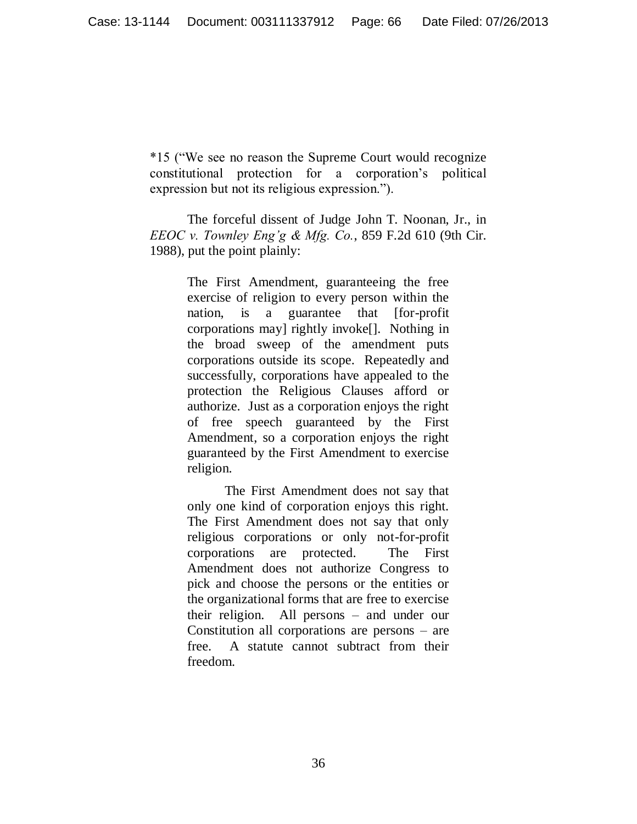\*15 ("We see no reason the Supreme Court would recognize constitutional protection for a corporation"s political expression but not its religious expression.").

The forceful dissent of Judge John T. Noonan, Jr., in *EEOC v. Townley Eng'g & Mfg. Co.*, 859 F.2d 610 (9th Cir. 1988), put the point plainly:

> The First Amendment, guaranteeing the free exercise of religion to every person within the nation, is a guarantee that [for-profit corporations may] rightly invoke[]. Nothing in the broad sweep of the amendment puts corporations outside its scope. Repeatedly and successfully, corporations have appealed to the protection the Religious Clauses afford or authorize. Just as a corporation enjoys the right of free speech guaranteed by the First Amendment, so a corporation enjoys the right guaranteed by the First Amendment to exercise religion.

> The First Amendment does not say that only one kind of corporation enjoys this right. The First Amendment does not say that only religious corporations or only not-for-profit corporations are protected. The First Amendment does not authorize Congress to pick and choose the persons or the entities or the organizational forms that are free to exercise their religion. All persons – and under our Constitution all corporations are persons – are free. A statute cannot subtract from their freedom.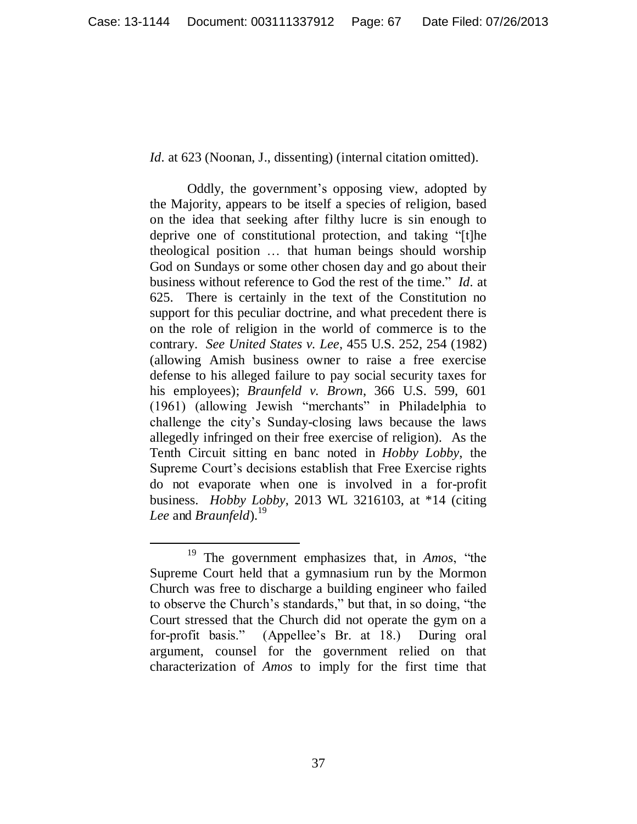*Id.* at 623 (Noonan, J., dissenting) (internal citation omitted).

Oddly, the government's opposing view, adopted by the Majority, appears to be itself a species of religion, based on the idea that seeking after filthy lucre is sin enough to deprive one of constitutional protection, and taking "[t]he theological position … that human beings should worship God on Sundays or some other chosen day and go about their business without reference to God the rest of the time." *Id.* at 625. There is certainly in the text of the Constitution no support for this peculiar doctrine, and what precedent there is on the role of religion in the world of commerce is to the contrary. *See United States v. Lee*, 455 U.S. 252, 254 (1982) (allowing Amish business owner to raise a free exercise defense to his alleged failure to pay social security taxes for his employees); *Braunfeld v. Brown*, 366 U.S. 599, 601 (1961) (allowing Jewish "merchants" in Philadelphia to challenge the city"s Sunday-closing laws because the laws allegedly infringed on their free exercise of religion). As the Tenth Circuit sitting en banc noted in *Hobby Lobby*, the Supreme Court's decisions establish that Free Exercise rights do not evaporate when one is involved in a for-profit business. *Hobby Lobby*, 2013 WL 3216103, at \*14 (citing *Lee* and *Braunfeld*). 19

 $\overline{a}$ <sup>19</sup> The government emphasizes that, in *Amos*, "the Supreme Court held that a gymnasium run by the Mormon Church was free to discharge a building engineer who failed to observe the Church"s standards," but that, in so doing, "the Court stressed that the Church did not operate the gym on a for-profit basis." (Appellee's Br. at 18.) During oral argument, counsel for the government relied on that characterization of *Amos* to imply for the first time that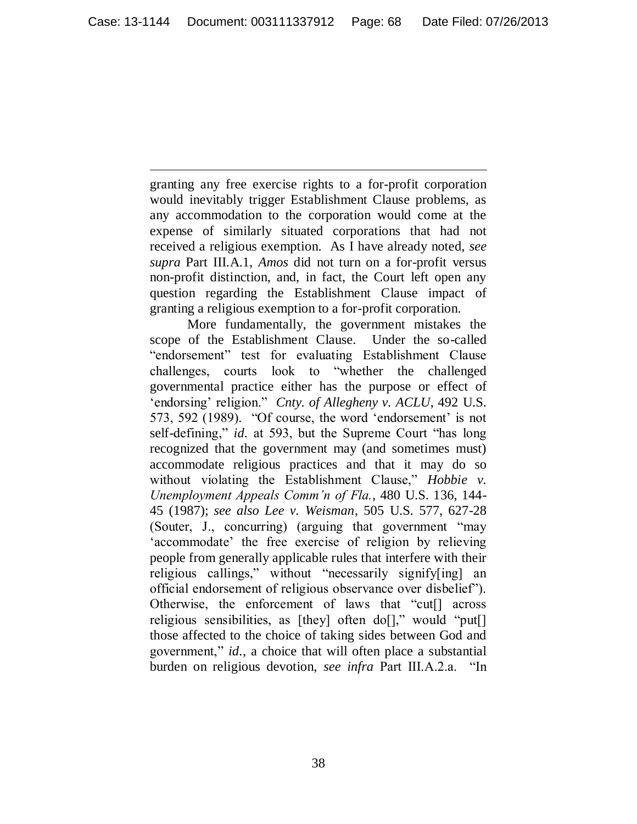granting any free exercise rights to a for-profit corporation would inevitably trigger Establishment Clause problems, as any accommodation to the corporation would come at the expense of similarly situated corporations that had not received a religious exemption. As I have already noted, *see supra* Part III.A.1, *Amos* did not turn on a for-profit versus non-profit distinction, and, in fact, the Court left open any question regarding the Establishment Clause impact of granting a religious exemption to a for-profit corporation.

 $\overline{a}$ 

More fundamentally, the government mistakes the scope of the Establishment Clause. Under the so-called "endorsement" test for evaluating Establishment Clause challenges, courts look to "whether the challenged governmental practice either has the purpose or effect of 'endorsing' religion." *Cnty. of Allegheny v. ACLU*, 492 U.S. 573, 592 (1989). "Of course, the word 'endorsement' is not self-defining," *id.* at 593, but the Supreme Court "has long recognized that the government may (and sometimes must) accommodate religious practices and that it may do so without violating the Establishment Clause," *Hobbie v. Unemployment Appeals Comm'n of Fla.*, 480 U.S. 136, 144- 45 (1987); *see also Lee v. Weisman*, 505 U.S. 577, 627-28 (Souter, J., concurring) (arguing that government "may 'accommodate' the free exercise of religion by relieving people from generally applicable rules that interfere with their religious callings," without "necessarily signify[ing] an official endorsement of religious observance over disbelief"). Otherwise, the enforcement of laws that "cut[] across religious sensibilities, as [they] often do[]," would "put[] those affected to the choice of taking sides between God and government," *id.*, a choice that will often place a substantial burden on religious devotion, *see infra* Part III.A.2.a. "In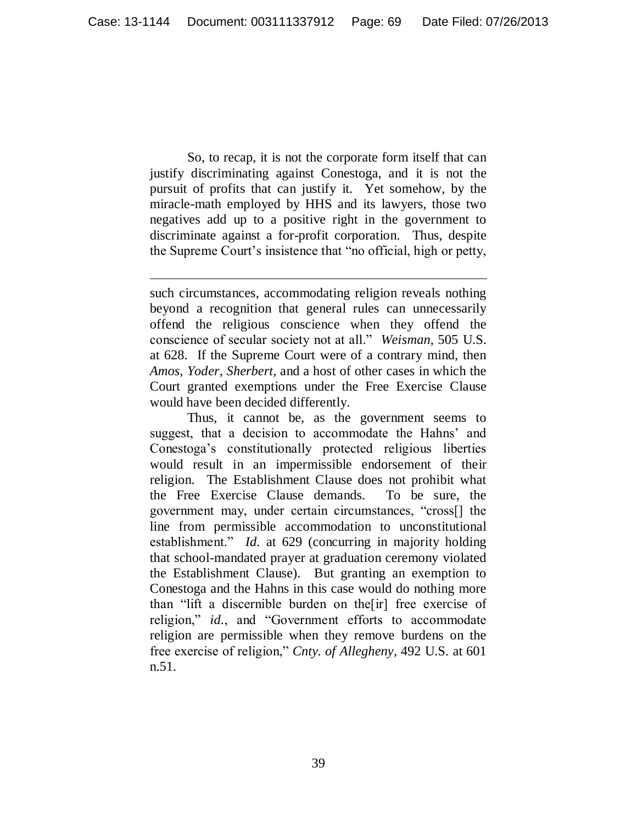So, to recap, it is not the corporate form itself that can justify discriminating against Conestoga, and it is not the pursuit of profits that can justify it. Yet somehow, by the miracle-math employed by HHS and its lawyers, those two negatives add up to a positive right in the government to discriminate against a for-profit corporation. Thus, despite the Supreme Court's insistence that "no official, high or petty,

such circumstances, accommodating religion reveals nothing beyond a recognition that general rules can unnecessarily offend the religious conscience when they offend the conscience of secular society not at all." *Weisman*, 505 U.S. at 628. If the Supreme Court were of a contrary mind, then *Amos*, *Yoder*, *Sherbert*, and a host of other cases in which the Court granted exemptions under the Free Exercise Clause would have been decided differently.

l

Thus, it cannot be, as the government seems to suggest, that a decision to accommodate the Hahns' and Conestoga"s constitutionally protected religious liberties would result in an impermissible endorsement of their religion. The Establishment Clause does not prohibit what the Free Exercise Clause demands. To be sure, the government may, under certain circumstances, "cross[] the line from permissible accommodation to unconstitutional establishment." *Id.* at 629 (concurring in majority holding that school-mandated prayer at graduation ceremony violated the Establishment Clause). But granting an exemption to Conestoga and the Hahns in this case would do nothing more than "lift a discernible burden on the[ir] free exercise of religion," *id.*, and "Government efforts to accommodate religion are permissible when they remove burdens on the free exercise of religion," *Cnty. of Allegheny*, 492 U.S. at 601 n.51.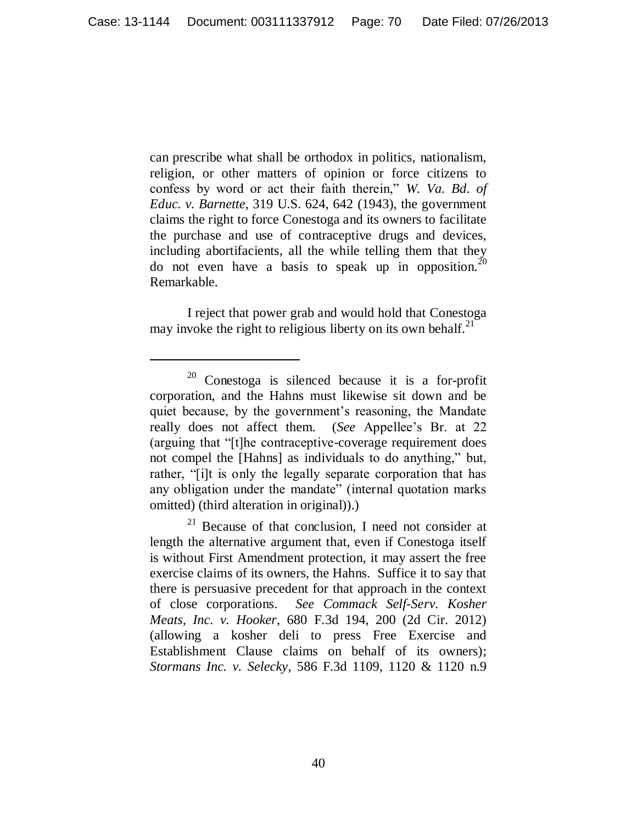can prescribe what shall be orthodox in politics, nationalism, religion, or other matters of opinion or force citizens to confess by word or act their faith therein," *W. Va. Bd. of Educ. v. Barnette*, 319 U.S. 624, 642 (1943), the government claims the right to force Conestoga and its owners to facilitate the purchase and use of contraceptive drugs and devices, including abortifacients, all the while telling them that they do not even have a basis to speak up in opposition.<sup>20</sup> Remarkable.

I reject that power grab and would hold that Conestoga may invoke the right to religious liberty on its own behalf. $^{21}$ 

<sup>20</sup> Conestoga is silenced because it is a for-profit corporation, and the Hahns must likewise sit down and be quiet because, by the government's reasoning, the Mandate really does not affect them. (*See* Appellee"s Br. at 22 (arguing that "[t]he contraceptive-coverage requirement does not compel the [Hahns] as individuals to do anything," but, rather, "[i]t is only the legally separate corporation that has any obligation under the mandate" (internal quotation marks omitted) (third alteration in original)).)

 $21$  Because of that conclusion, I need not consider at length the alternative argument that, even if Conestoga itself is without First Amendment protection, it may assert the free exercise claims of its owners, the Hahns. Suffice it to say that there is persuasive precedent for that approach in the context of close corporations. *See Commack Self-Serv. Kosher Meats, Inc. v. Hooker*, 680 F.3d 194, 200 (2d Cir. 2012) (allowing a kosher deli to press Free Exercise and Establishment Clause claims on behalf of its owners); *Stormans Inc. v. Selecky*, 586 F.3d 1109, 1120 & 1120 n.9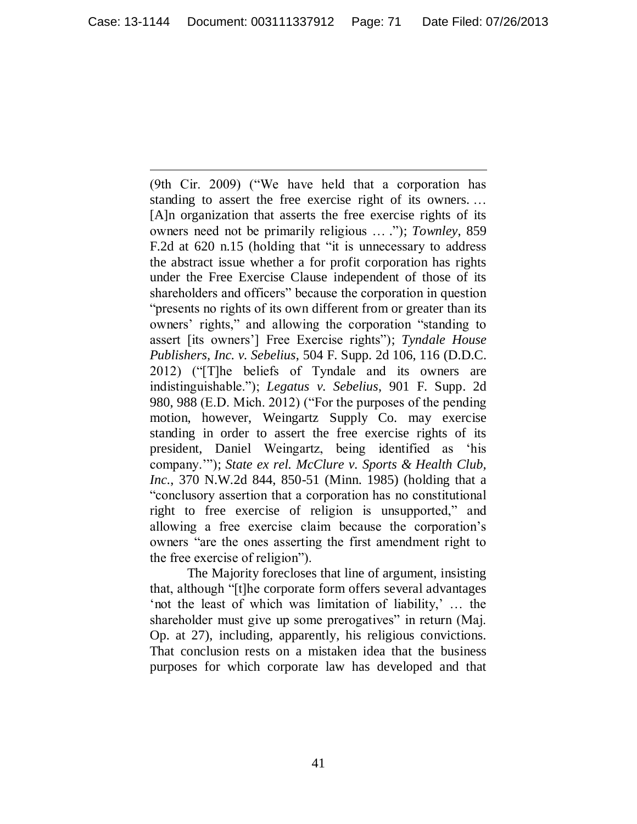(9th Cir. 2009) ("We have held that a corporation has standing to assert the free exercise right of its owners. … [A]n organization that asserts the free exercise rights of its owners need not be primarily religious … ."); *Townley*, 859 F.2d at 620 n.15 (holding that "it is unnecessary to address the abstract issue whether a for profit corporation has rights under the Free Exercise Clause independent of those of its shareholders and officers" because the corporation in question "presents no rights of its own different from or greater than its owners" rights," and allowing the corporation "standing to assert [its owners"] Free Exercise rights"); *Tyndale House Publishers, Inc. v. Sebelius*, 504 F. Supp. 2d 106, 116 (D.D.C. 2012) ("[T]he beliefs of Tyndale and its owners are indistinguishable."); *Legatus v. Sebelius*, 901 F. Supp. 2d 980, 988 (E.D. Mich. 2012) ("For the purposes of the pending motion, however, Weingartz Supply Co. may exercise standing in order to assert the free exercise rights of its president, Daniel Weingartz, being identified as "his company.""); *State ex rel. McClure v. Sports & Health Club, Inc.*, 370 N.W.2d 844, 850-51 (Minn. 1985) (holding that a "conclusory assertion that a corporation has no constitutional right to free exercise of religion is unsupported," and allowing a free exercise claim because the corporation"s owners "are the ones asserting the first amendment right to the free exercise of religion").

The Majority forecloses that line of argument, insisting that, although "[t]he corporate form offers several advantages "not the least of which was limitation of liability," ... the shareholder must give up some prerogatives" in return (Maj. Op. at 27), including, apparently, his religious convictions. That conclusion rests on a mistaken idea that the business purposes for which corporate law has developed and that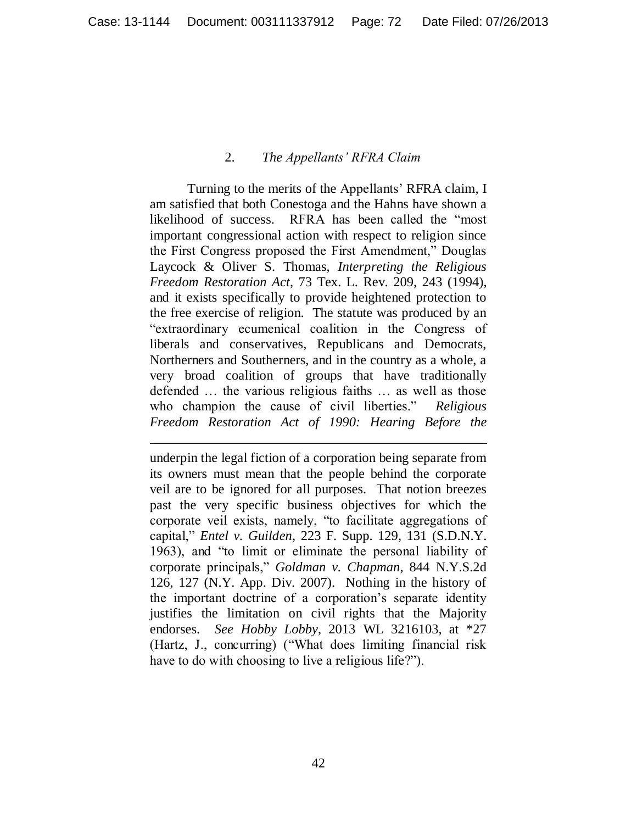## 2. *The Appellants' RFRA Claim*

Turning to the merits of the Appellants" RFRA claim, I am satisfied that both Conestoga and the Hahns have shown a likelihood of success. RFRA has been called the "most important congressional action with respect to religion since the First Congress proposed the First Amendment," Douglas Laycock & Oliver S. Thomas, *Interpreting the Religious Freedom Restoration Act*, 73 Tex. L. Rev. 209, 243 (1994), and it exists specifically to provide heightened protection to the free exercise of religion. The statute was produced by an "extraordinary ecumenical coalition in the Congress of liberals and conservatives, Republicans and Democrats, Northerners and Southerners, and in the country as a whole, a very broad coalition of groups that have traditionally defended … the various religious faiths … as well as those who champion the cause of civil liberties." *Religious Freedom Restoration Act of 1990: Hearing Before the* 

underpin the legal fiction of a corporation being separate from its owners must mean that the people behind the corporate veil are to be ignored for all purposes. That notion breezes past the very specific business objectives for which the corporate veil exists, namely, "to facilitate aggregations of capital," *Entel v. Guilden*, 223 F. Supp. 129, 131 (S.D.N.Y. 1963), and "to limit or eliminate the personal liability of corporate principals," *Goldman v. Chapman*, 844 N.Y.S.2d 126, 127 (N.Y. App. Div. 2007). Nothing in the history of the important doctrine of a corporation"s separate identity justifies the limitation on civil rights that the Majority endorses. *See Hobby Lobby*, 2013 WL 3216103, at \*27 (Hartz, J., concurring) ("What does limiting financial risk have to do with choosing to live a religious life?").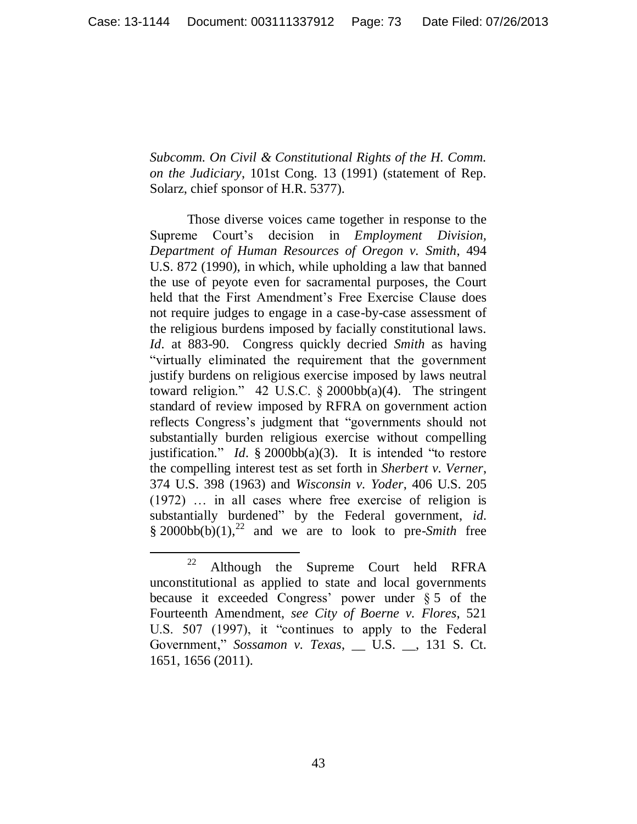*Subcomm. On Civil & Constitutional Rights of the H. Comm. on the Judiciary*, 101st Cong. 13 (1991) (statement of Rep. Solarz, chief sponsor of H.R. 5377).

Those diverse voices came together in response to the Supreme Court"s decision in *Employment Division, Department of Human Resources of Oregon v. Smith*, 494 U.S. 872 (1990), in which, while upholding a law that banned the use of peyote even for sacramental purposes, the Court held that the First Amendment's Free Exercise Clause does not require judges to engage in a case-by-case assessment of the religious burdens imposed by facially constitutional laws. *Id.* at 883-90. Congress quickly decried *Smith* as having "virtually eliminated the requirement that the government justify burdens on religious exercise imposed by laws neutral toward religion." 42 U.S.C.  $\S$  2000bb(a)(4). The stringent standard of review imposed by RFRA on government action reflects Congress's judgment that "governments should not substantially burden religious exercise without compelling justification." *Id.* § 2000bb(a)(3). It is intended "to restore the compelling interest test as set forth in *Sherbert v. Verner*, 374 U.S. 398 (1963) and *Wisconsin v. Yoder*, 406 U.S. 205 (1972) … in all cases where free exercise of religion is substantially burdened" by the Federal government, *id.*  $§ 2000bb(b)(1),<sup>22</sup>$  and we are to look to pre-*Smith* free

 $22$  Although the Supreme Court held RFRA unconstitutional as applied to state and local governments because it exceeded Congress' power under  $§ 5$  of the Fourteenth Amendment, *see City of Boerne v. Flores*, 521 U.S. 507 (1997), it "continues to apply to the Federal Government," *Sossamon v. Texas*, \_\_ U.S. \_\_, 131 S. Ct. 1651, 1656 (2011).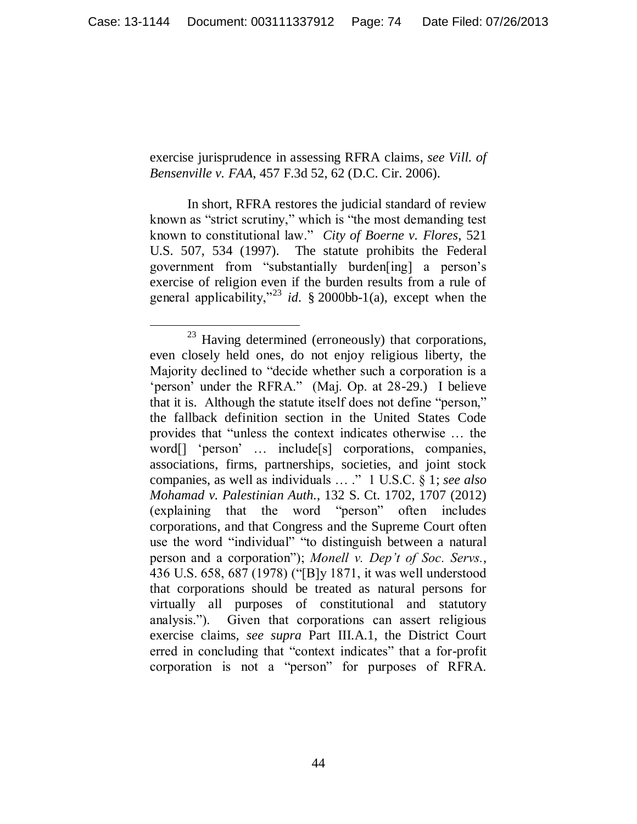exercise jurisprudence in assessing RFRA claims, *see Vill. of Bensenville v. FAA*, 457 F.3d 52, 62 (D.C. Cir. 2006).

In short, RFRA restores the judicial standard of review known as "strict scrutiny," which is "the most demanding test known to constitutional law." *City of Boerne v. Flores*, 521 U.S. 507, 534 (1997).The statute prohibits the Federal government from "substantially burden[ing] a person"s exercise of religion even if the burden results from a rule of general applicability,"<sup>23</sup> *id.* § 2000bb-1(a), except when the

 $\overline{a}$  $23$  Having determined (erroneously) that corporations, even closely held ones, do not enjoy religious liberty, the Majority declined to "decide whether such a corporation is a 'person' under the RFRA." (Maj. Op. at 28-29.) I believe that it is. Although the statute itself does not define "person," the fallback definition section in the United States Code provides that "unless the context indicates otherwise … the word[] 'person' ... include[s] corporations, companies, associations, firms, partnerships, societies, and joint stock companies, as well as individuals … ." 1 U.S.C. § 1; *see also Mohamad v. Palestinian Auth.*, 132 S. Ct. 1702, 1707 (2012) (explaining that the word "person" often includes corporations, and that Congress and the Supreme Court often use the word "individual" "to distinguish between a natural person and a corporation"); *Monell v. Dep't of Soc. Servs.*, 436 U.S. 658, 687 (1978) ("[B]y 1871, it was well understood that corporations should be treated as natural persons for virtually all purposes of constitutional and statutory analysis."). Given that corporations can assert religious exercise claims, *see supra* Part III.A.1, the District Court erred in concluding that "context indicates" that a for-profit corporation is not a "person" for purposes of RFRA.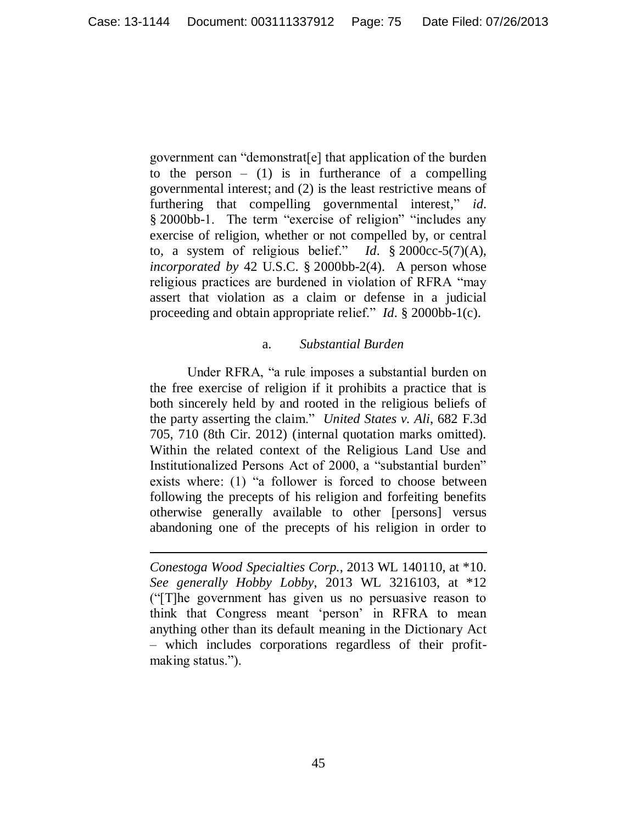government can "demonstrat[e] that application of the burden to the person  $-$  (1) is in furtherance of a compelling governmental interest; and (2) is the least restrictive means of furthering that compelling governmental interest," *id.* § 2000bb-1. The term "exercise of religion" "includes any exercise of religion, whether or not compelled by, or central to, a system of religious belief." *Id.* § 2000cc-5(7)(A), *incorporated by* 42 U.S.C. § 2000bb-2(4). A person whose religious practices are burdened in violation of RFRA "may assert that violation as a claim or defense in a judicial proceeding and obtain appropriate relief." *Id.* § 2000bb-1(c).

### a. *Substantial Burden*

Under RFRA, "a rule imposes a substantial burden on the free exercise of religion if it prohibits a practice that is both sincerely held by and rooted in the religious beliefs of the party asserting the claim." *United States v. Ali*, 682 F.3d 705, 710 (8th Cir. 2012) (internal quotation marks omitted). Within the related context of the Religious Land Use and Institutionalized Persons Act of 2000, a "substantial burden" exists where: (1) "a follower is forced to choose between following the precepts of his religion and forfeiting benefits otherwise generally available to other [persons] versus abandoning one of the precepts of his religion in order to

*Conestoga Wood Specialties Corp.*, 2013 WL 140110, at \*10. *See generally Hobby Lobby*, 2013 WL 3216103, at \*12 ("[T]he government has given us no persuasive reason to think that Congress meant "person" in RFRA to mean anything other than its default meaning in the Dictionary Act – which includes corporations regardless of their profitmaking status.").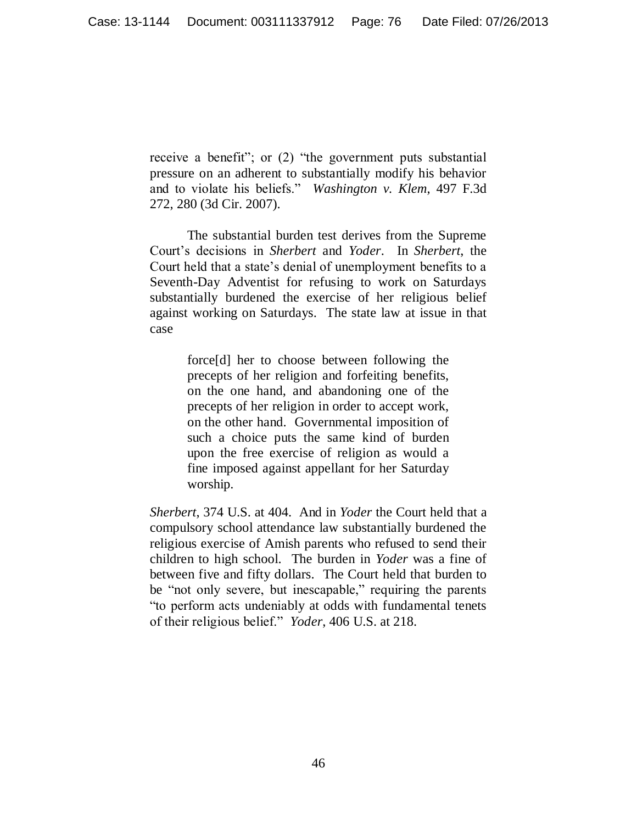receive a benefit"; or (2) "the government puts substantial pressure on an adherent to substantially modify his behavior and to violate his beliefs." *Washington v. Klem*, 497 F.3d 272, 280 (3d Cir. 2007).

The substantial burden test derives from the Supreme Court"s decisions in *Sherbert* and *Yoder*. In *Sherbert*, the Court held that a state"s denial of unemployment benefits to a Seventh-Day Adventist for refusing to work on Saturdays substantially burdened the exercise of her religious belief against working on Saturdays. The state law at issue in that case

> force[d] her to choose between following the precepts of her religion and forfeiting benefits, on the one hand, and abandoning one of the precepts of her religion in order to accept work, on the other hand. Governmental imposition of such a choice puts the same kind of burden upon the free exercise of religion as would a fine imposed against appellant for her Saturday worship.

*Sherbert*, 374 U.S. at 404. And in *Yoder* the Court held that a compulsory school attendance law substantially burdened the religious exercise of Amish parents who refused to send their children to high school. The burden in *Yoder* was a fine of between five and fifty dollars. The Court held that burden to be "not only severe, but inescapable," requiring the parents "to perform acts undeniably at odds with fundamental tenets of their religious belief." *Yoder*, 406 U.S. at 218.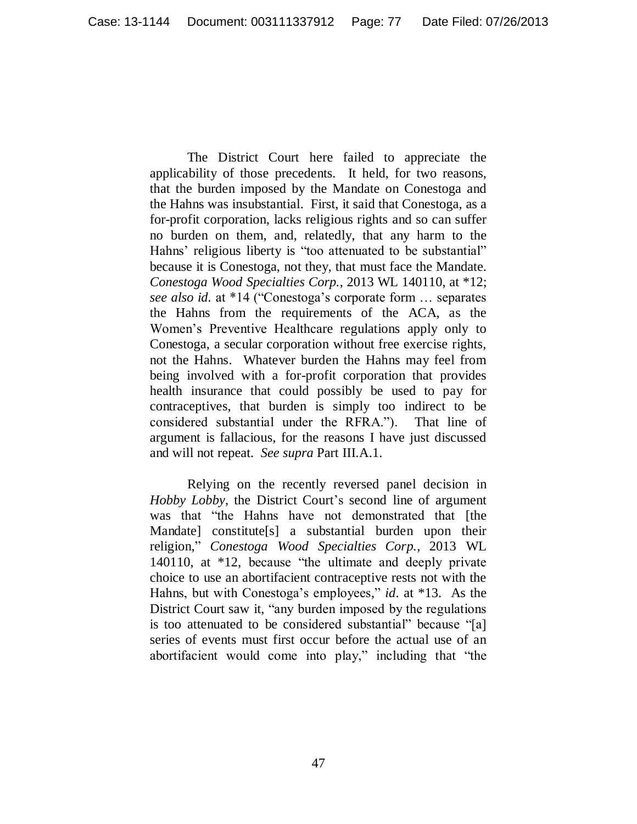The District Court here failed to appreciate the applicability of those precedents. It held, for two reasons, that the burden imposed by the Mandate on Conestoga and the Hahns was insubstantial. First, it said that Conestoga, as a for-profit corporation, lacks religious rights and so can suffer no burden on them, and, relatedly, that any harm to the Hahns' religious liberty is "too attenuated to be substantial" because it is Conestoga, not they, that must face the Mandate. *Conestoga Wood Specialties Corp.*, 2013 WL 140110, at \*12; *see also id.* at \*14 ("Conestoga"s corporate form … separates the Hahns from the requirements of the ACA, as the Women"s Preventive Healthcare regulations apply only to Conestoga, a secular corporation without free exercise rights, not the Hahns. Whatever burden the Hahns may feel from being involved with a for-profit corporation that provides health insurance that could possibly be used to pay for contraceptives, that burden is simply too indirect to be considered substantial under the RFRA."). That line of argument is fallacious, for the reasons I have just discussed and will not repeat. *See supra* Part III.A.1.

Relying on the recently reversed panel decision in *Hobby Lobby*, the District Court's second line of argument was that "the Hahns have not demonstrated that [the Mandate] constitute[s] a substantial burden upon their religion," *Conestoga Wood Specialties Corp.*, 2013 WL 140110, at \*12, because "the ultimate and deeply private choice to use an abortifacient contraceptive rests not with the Hahns, but with Conestoga's employees," *id.* at \*13. As the District Court saw it, "any burden imposed by the regulations is too attenuated to be considered substantial" because "[a] series of events must first occur before the actual use of an abortifacient would come into play," including that "the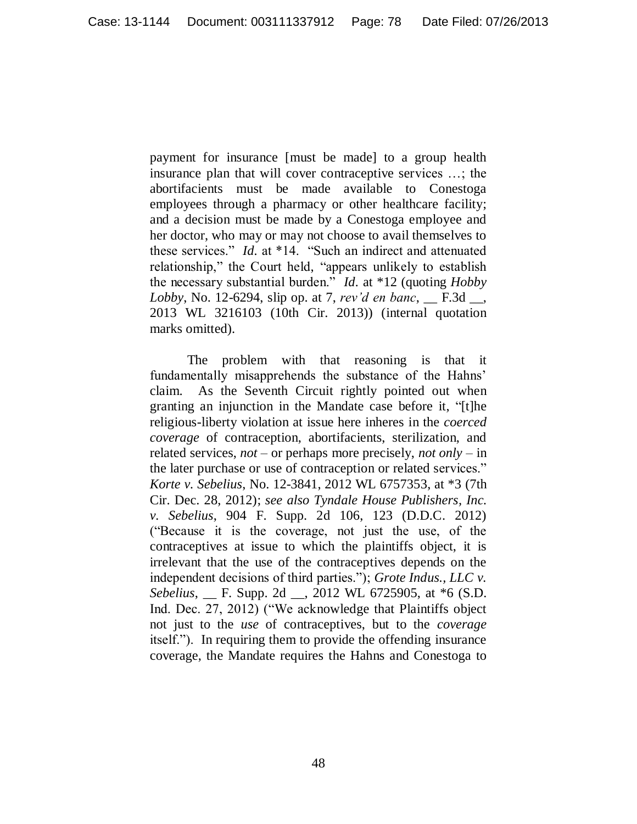payment for insurance [must be made] to a group health insurance plan that will cover contraceptive services …; the abortifacients must be made available to Conestoga employees through a pharmacy or other healthcare facility; and a decision must be made by a Conestoga employee and her doctor, who may or may not choose to avail themselves to these services." *Id.* at \*14. "Such an indirect and attenuated relationship," the Court held, "appears unlikely to establish the necessary substantial burden." *Id.* at \*12 (quoting *Hobby Lobby*, No. 12-6294, slip op. at 7, *rev'd en banc*, \_\_ F.3d \_\_, 2013 WL 3216103 (10th Cir. 2013)) (internal quotation marks omitted).

The problem with that reasoning is that it fundamentally misapprehends the substance of the Hahns' claim. As the Seventh Circuit rightly pointed out when granting an injunction in the Mandate case before it, "[t]he religious-liberty violation at issue here inheres in the *coerced coverage* of contraception, abortifacients, sterilization, and related services, *not* – or perhaps more precisely, *not only* – in the later purchase or use of contraception or related services." *Korte v. Sebelius*, No. 12-3841, 2012 WL 6757353, at \*3 (7th Cir. Dec. 28, 2012); *see also Tyndale House Publishers, Inc. v. Sebelius*, 904 F. Supp. 2d 106, 123 (D.D.C. 2012) ("Because it is the coverage, not just the use, of the contraceptives at issue to which the plaintiffs object, it is irrelevant that the use of the contraceptives depends on the independent decisions of third parties."); *Grote Indus., LLC v. Sebelius*, \_\_ F. Supp. 2d \_\_, 2012 WL 6725905, at \*6 (S.D. Ind. Dec. 27, 2012) ("We acknowledge that Plaintiffs object not just to the *use* of contraceptives, but to the *coverage* itself."). In requiring them to provide the offending insurance coverage, the Mandate requires the Hahns and Conestoga to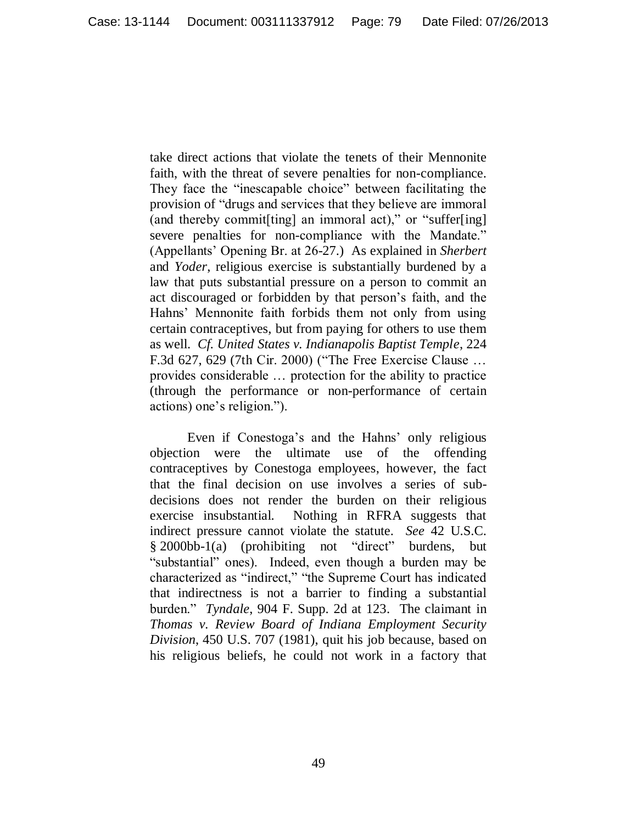take direct actions that violate the tenets of their Mennonite faith, with the threat of severe penalties for non-compliance. They face the "inescapable choice" between facilitating the provision of "drugs and services that they believe are immoral (and thereby commit[ting] an immoral act)," or "suffer[ing] severe penalties for non-compliance with the Mandate." (Appellants" Opening Br. at 26-27.) As explained in *Sherbert*  and *Yoder*, religious exercise is substantially burdened by a law that puts substantial pressure on a person to commit an act discouraged or forbidden by that person"s faith, and the Hahns" Mennonite faith forbids them not only from using certain contraceptives, but from paying for others to use them as well. *Cf. United States v. Indianapolis Baptist Temple*, 224 F.3d 627, 629 (7th Cir. 2000) ("The Free Exercise Clause … provides considerable … protection for the ability to practice (through the performance or non-performance of certain actions) one"s religion.").

Even if Conestoga's and the Hahns' only religious objection were the ultimate use of the offending contraceptives by Conestoga employees, however, the fact that the final decision on use involves a series of subdecisions does not render the burden on their religious exercise insubstantial. Nothing in RFRA suggests that indirect pressure cannot violate the statute. *See* 42 U.S.C. § 2000bb-1(a) (prohibiting not "direct" burdens, but "substantial" ones). Indeed, even though a burden may be characterized as "indirect," "the Supreme Court has indicated that indirectness is not a barrier to finding a substantial burden." *Tyndale*, 904 F. Supp. 2d at 123. The claimant in *Thomas v. Review Board of Indiana Employment Security Division*, 450 U.S. 707 (1981), quit his job because, based on his religious beliefs, he could not work in a factory that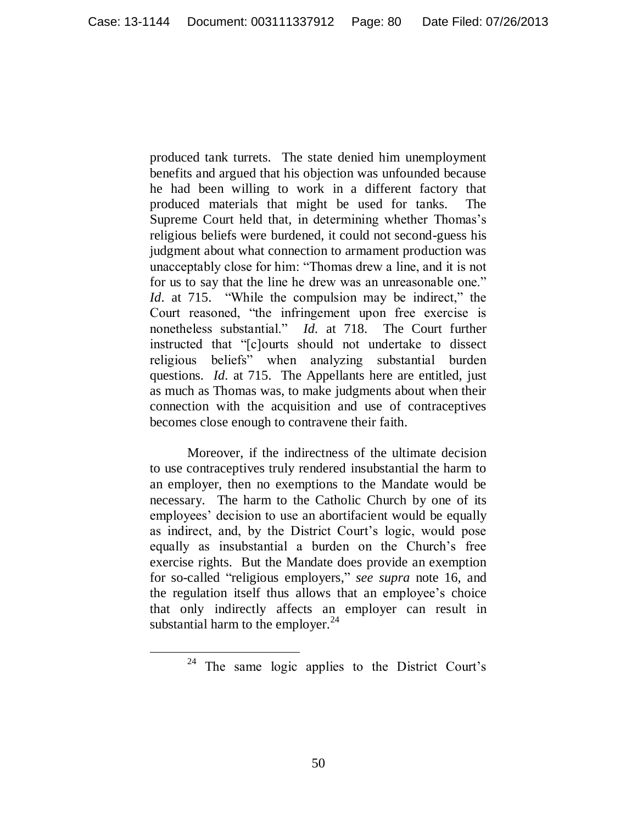produced tank turrets. The state denied him unemployment benefits and argued that his objection was unfounded because he had been willing to work in a different factory that produced materials that might be used for tanks. The Supreme Court held that, in determining whether Thomas's religious beliefs were burdened, it could not second-guess his judgment about what connection to armament production was unacceptably close for him: "Thomas drew a line, and it is not for us to say that the line he drew was an unreasonable one." *Id.* at 715. "While the compulsion may be indirect," the Court reasoned, "the infringement upon free exercise is nonetheless substantial." *Id.* at 718. The Court further instructed that "[c]ourts should not undertake to dissect religious beliefs" when analyzing substantial burden questions. *Id.* at 715. The Appellants here are entitled, just as much as Thomas was, to make judgments about when their connection with the acquisition and use of contraceptives becomes close enough to contravene their faith.

Moreover, if the indirectness of the ultimate decision to use contraceptives truly rendered insubstantial the harm to an employer, then no exemptions to the Mandate would be necessary. The harm to the Catholic Church by one of its employees' decision to use an abortifacient would be equally as indirect, and, by the District Court's logic, would pose equally as insubstantial a burden on the Church"s free exercise rights. But the Mandate does provide an exemption for so-called "religious employers," *see supra* note 16, and the regulation itself thus allows that an employee"s choice that only indirectly affects an employer can result in substantial harm to the employer. $^{24}$ 

<sup>&</sup>lt;sup>24</sup> The same logic applies to the District Court's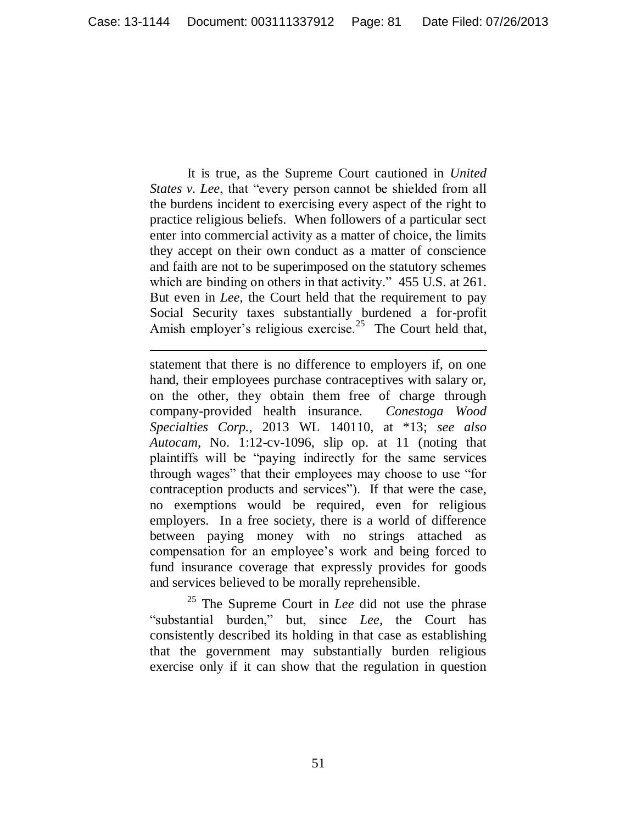It is true, as the Supreme Court cautioned in *United States v. Lee*, that "every person cannot be shielded from all the burdens incident to exercising every aspect of the right to practice religious beliefs. When followers of a particular sect enter into commercial activity as a matter of choice, the limits they accept on their own conduct as a matter of conscience and faith are not to be superimposed on the statutory schemes which are binding on others in that activity." 455 U.S. at 261. But even in *Lee*, the Court held that the requirement to pay Social Security taxes substantially burdened a for-profit Amish employer's religious exercise.<sup>25</sup> The Court held that,

 $\overline{a}$ 

statement that there is no difference to employers if, on one hand, their employees purchase contraceptives with salary or, on the other, they obtain them free of charge through company-provided health insurance. *Conestoga Wood Specialties Corp.*, 2013 WL 140110, at \*13; *see also Autocam*, No. 1:12-cv-1096, slip op. at 11 (noting that plaintiffs will be "paying indirectly for the same services through wages" that their employees may choose to use "for contraception products and services"). If that were the case, no exemptions would be required, even for religious employers. In a free society, there is a world of difference between paying money with no strings attached as compensation for an employee"s work and being forced to fund insurance coverage that expressly provides for goods and services believed to be morally reprehensible.

<sup>25</sup> The Supreme Court in *Lee* did not use the phrase "substantial burden," but, since *Lee*, the Court has consistently described its holding in that case as establishing that the government may substantially burden religious exercise only if it can show that the regulation in question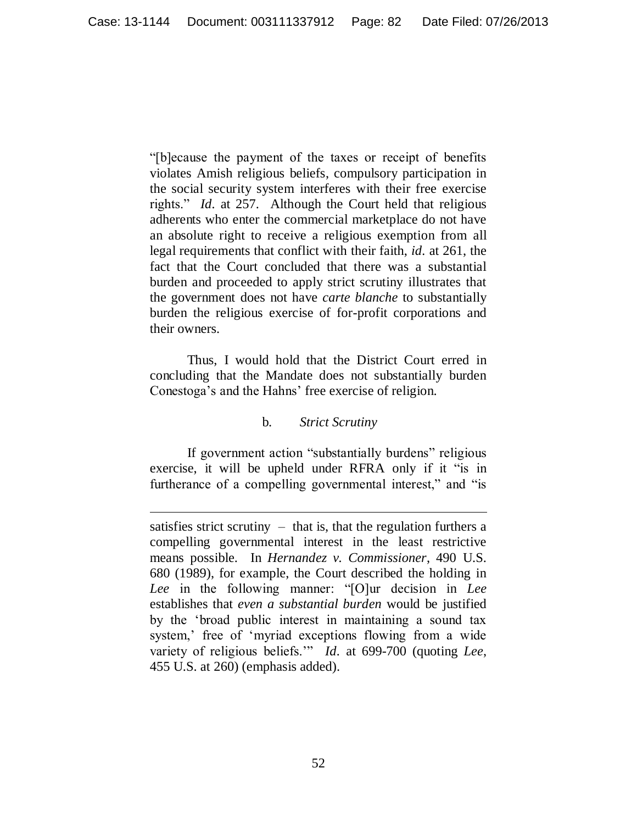"[b]ecause the payment of the taxes or receipt of benefits violates Amish religious beliefs, compulsory participation in the social security system interferes with their free exercise rights." *Id.* at 257. Although the Court held that religious adherents who enter the commercial marketplace do not have an absolute right to receive a religious exemption from all legal requirements that conflict with their faith, *id.* at 261, the fact that the Court concluded that there was a substantial burden and proceeded to apply strict scrutiny illustrates that the government does not have *carte blanche* to substantially burden the religious exercise of for-profit corporations and their owners.

Thus, I would hold that the District Court erred in concluding that the Mandate does not substantially burden Conestoga's and the Hahns' free exercise of religion.

# b. *Strict Scrutiny*

If government action "substantially burdens" religious exercise, it will be upheld under RFRA only if it "is in furtherance of a compelling governmental interest," and "is

satisfies strict scrutiny  $-$  that is, that the regulation furthers a compelling governmental interest in the least restrictive means possible. In *Hernandez v. Commissioner*, 490 U.S. 680 (1989), for example, the Court described the holding in *Lee* in the following manner: "[O]ur decision in *Lee* establishes that *even a substantial burden* would be justified by the "broad public interest in maintaining a sound tax system,' free of 'myriad exceptions flowing from a wide variety of religious beliefs."" *Id.* at 699-700 (quoting *Lee*, 455 U.S. at 260) (emphasis added).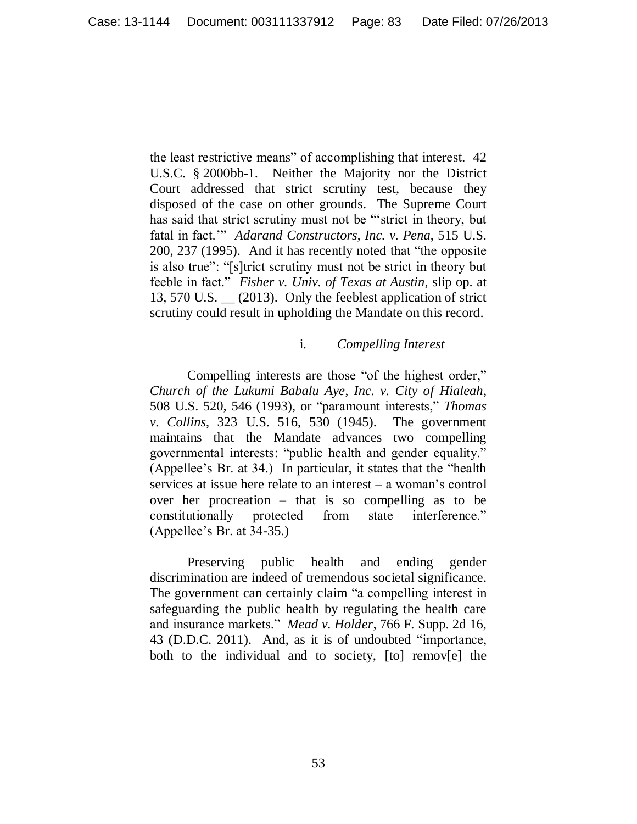the least restrictive means" of accomplishing that interest*.* 42 U.S.C. § 2000bb-1. Neither the Majority nor the District Court addressed that strict scrutiny test, because they disposed of the case on other grounds. The Supreme Court has said that strict scrutiny must not be ""strict in theory, but fatal in fact."" *Adarand Constructors, Inc. v. Pena*, 515 U.S. 200, 237 (1995). And it has recently noted that "the opposite is also true": "[s]trict scrutiny must not be strict in theory but feeble in fact." *Fisher v. Univ. of Texas at Austin*, slip op. at 13, 570 U.S. \_\_ (2013). Only the feeblest application of strict scrutiny could result in upholding the Mandate on this record.

### i. *Compelling Interest*

Compelling interests are those "of the highest order," *Church of the Lukumi Babalu Aye, Inc. v. City of Hialeah*, 508 U.S. 520, 546 (1993), or "paramount interests," *Thomas v. Collins*, 323 U.S. 516, 530 (1945). The government maintains that the Mandate advances two compelling governmental interests: "public health and gender equality." (Appellee"s Br. at 34.) In particular, it states that the "health services at issue here relate to an interest – a woman"s control over her procreation – that is so compelling as to be constitutionally protected from state interference." (Appellee"s Br. at 34-35.)

Preserving public health and ending gender discrimination are indeed of tremendous societal significance. The government can certainly claim "a compelling interest in safeguarding the public health by regulating the health care and insurance markets." *Mead v. Holder*, 766 F. Supp. 2d 16, 43 (D.D.C. 2011). And, as it is of undoubted "importance, both to the individual and to society, [to] remov[e] the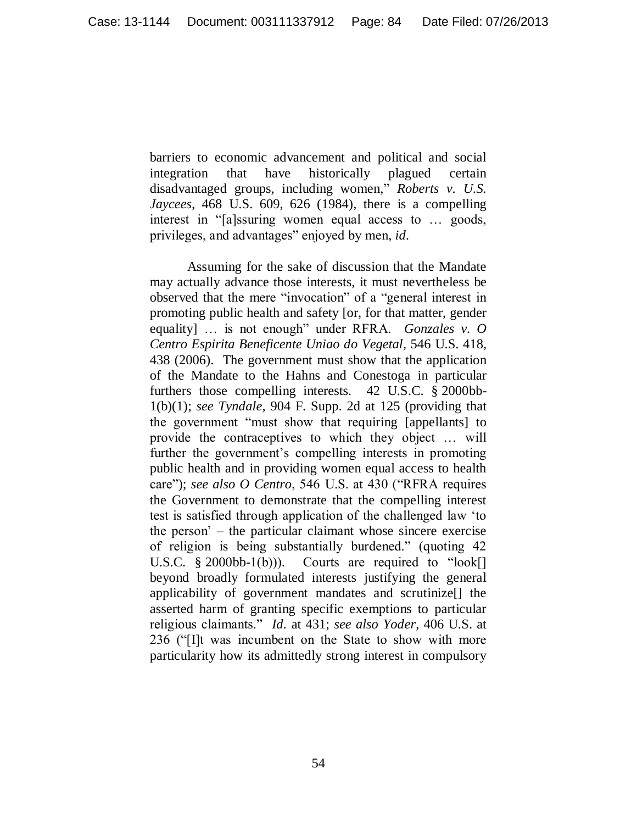barriers to economic advancement and political and social integration that have historically plagued certain disadvantaged groups, including women," *Roberts v. U.S. Jaycees*, 468 U.S. 609, 626 (1984), there is a compelling interest in "[a]ssuring women equal access to … goods, privileges, and advantages" enjoyed by men, *id.*

Assuming for the sake of discussion that the Mandate may actually advance those interests, it must nevertheless be observed that the mere "invocation" of a "general interest in promoting public health and safety [or, for that matter, gender equality] … is not enough" under RFRA. *Gonzales v. O Centro Espirita Beneficente Uniao do Vegetal*, 546 U.S. 418, 438 (2006). The government must show that the application of the Mandate to the Hahns and Conestoga in particular furthers those compelling interests. 42 U.S.C. § 2000bb-1(b)(1); *see Tyndale*, 904 F. Supp. 2d at 125 (providing that the government "must show that requiring [appellants] to provide the contraceptives to which they object … will further the government's compelling interests in promoting public health and in providing women equal access to health care"); *see also O Centro*, 546 U.S. at 430 ("RFRA requires the Government to demonstrate that the compelling interest test is satisfied through application of the challenged law "to the person" – the particular claimant whose sincere exercise of religion is being substantially burdened." (quoting 42 U.S.C.  $\S$  2000bb-1(b))). Courts are required to "look[] beyond broadly formulated interests justifying the general applicability of government mandates and scrutinize[] the asserted harm of granting specific exemptions to particular religious claimants." *Id.* at 431; *see also Yoder*, 406 U.S. at 236 ("[I]t was incumbent on the State to show with more particularity how its admittedly strong interest in compulsory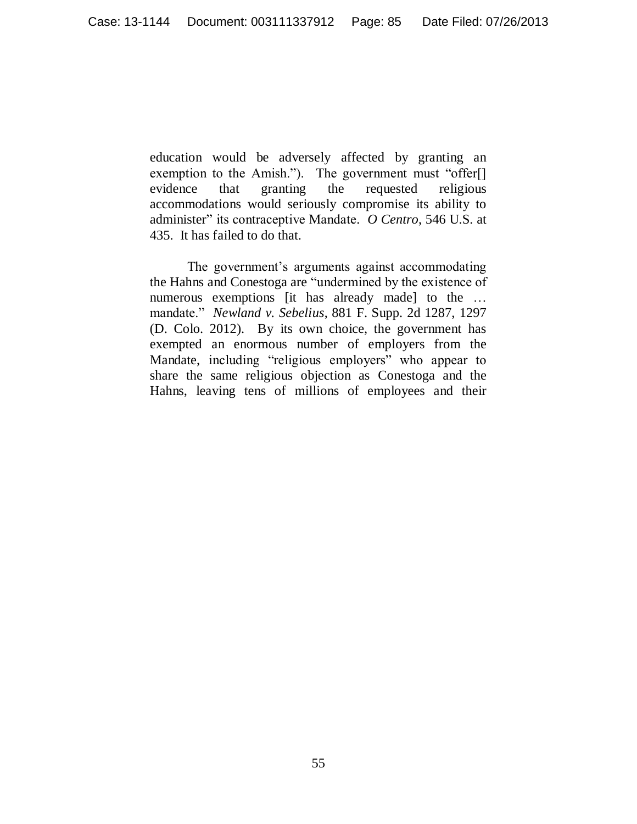education would be adversely affected by granting an exemption to the Amish."). The government must "offer[] evidence that granting the requested religious accommodations would seriously compromise its ability to administer" its contraceptive Mandate. *O Centro*, 546 U.S. at 435. It has failed to do that.

The government's arguments against accommodating the Hahns and Conestoga are "undermined by the existence of numerous exemptions [it has already made] to the ... mandate." *Newland v. Sebelius*, 881 F. Supp. 2d 1287, 1297 (D. Colo. 2012). By its own choice, the government has exempted an enormous number of employers from the Mandate, including "religious employers" who appear to share the same religious objection as Conestoga and the Hahns, leaving tens of millions of employees and their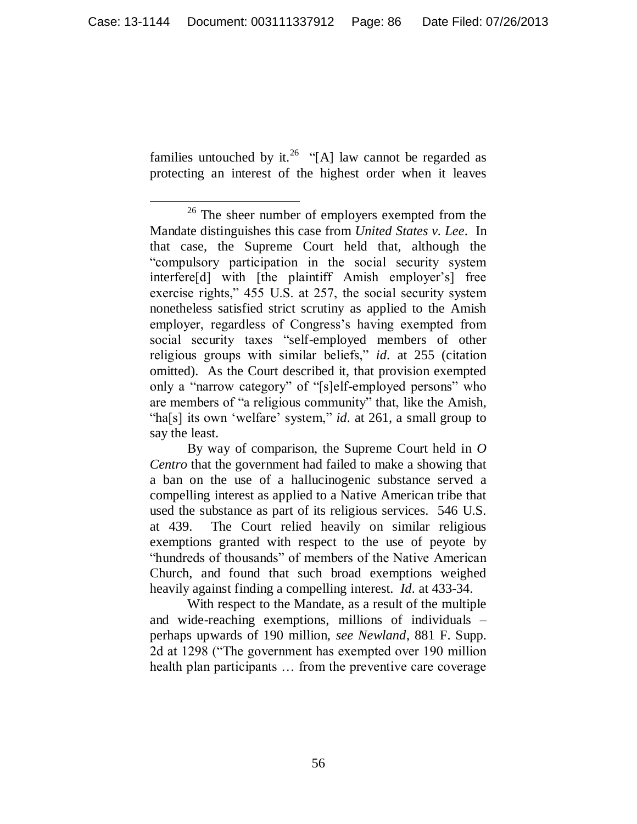families untouched by it.<sup>26</sup> "[A] law cannot be regarded as protecting an interest of the highest order when it leaves

With respect to the Mandate, as a result of the multiple and wide-reaching exemptions, millions of individuals – perhaps upwards of 190 million, *see Newland*, 881 F. Supp. 2d at 1298 ("The government has exempted over 190 million health plan participants ... from the preventive care coverage

 $\overline{a}$ <sup>26</sup> The sheer number of employers exempted from the Mandate distinguishes this case from *United States v. Lee*. In that case, the Supreme Court held that, although the "compulsory participation in the social security system interfere<sup>[d]</sup> with [the plaintiff Amish employer's] free exercise rights," 455 U.S. at 257, the social security system nonetheless satisfied strict scrutiny as applied to the Amish employer, regardless of Congress"s having exempted from social security taxes "self-employed members of other religious groups with similar beliefs," *id.* at 255 (citation omitted). As the Court described it, that provision exempted only a "narrow category" of "[s]elf-employed persons" who are members of "a religious community" that, like the Amish, "ha[s] its own 'welfare' system," *id.* at 261, a small group to say the least.

By way of comparison, the Supreme Court held in *O Centro* that the government had failed to make a showing that a ban on the use of a hallucinogenic substance served a compelling interest as applied to a Native American tribe that used the substance as part of its religious services. 546 U.S. at 439. The Court relied heavily on similar religious exemptions granted with respect to the use of peyote by "hundreds of thousands" of members of the Native American Church, and found that such broad exemptions weighed heavily against finding a compelling interest. *Id.* at 433-34.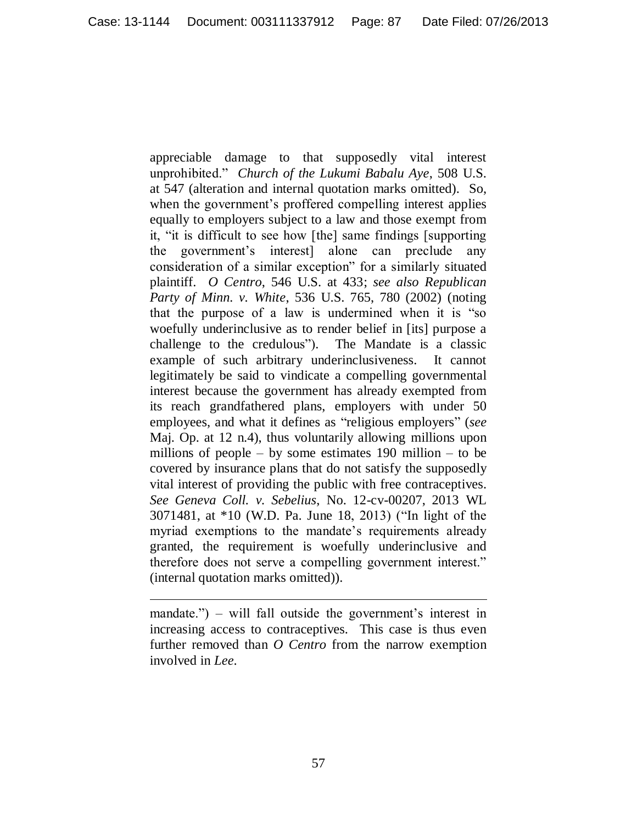appreciable damage to that supposedly vital interest unprohibited." *Church of the Lukumi Babalu Aye*, 508 U.S. at 547 (alteration and internal quotation marks omitted). So, when the government's proffered compelling interest applies equally to employers subject to a law and those exempt from it, "it is difficult to see how [the] same findings [supporting the government"s interest] alone can preclude any consideration of a similar exception" for a similarly situated plaintiff. *O Centro*, 546 U.S. at 433; *see also Republican Party of Minn. v. White*, 536 U.S. 765, 780 (2002) (noting that the purpose of a law is undermined when it is "so woefully underinclusive as to render belief in [its] purpose a challenge to the credulous"). The Mandate is a classic example of such arbitrary underinclusiveness. It cannot legitimately be said to vindicate a compelling governmental interest because the government has already exempted from its reach grandfathered plans, employers with under 50 employees, and what it defines as "religious employers" (*see*  Maj. Op. at 12 n.4), thus voluntarily allowing millions upon millions of people – by some estimates  $190$  million – to be covered by insurance plans that do not satisfy the supposedly vital interest of providing the public with free contraceptives. *See Geneva Coll. v. Sebelius*, No. 12-cv-00207, 2013 WL 3071481, at \*10 (W.D. Pa. June 18, 2013) ("In light of the myriad exemptions to the mandate's requirements already granted, the requirement is woefully underinclusive and therefore does not serve a compelling government interest." (internal quotation marks omitted)).

mandate.") – will fall outside the government's interest in increasing access to contraceptives. This case is thus even further removed than *O Centro* from the narrow exemption involved in *Lee*.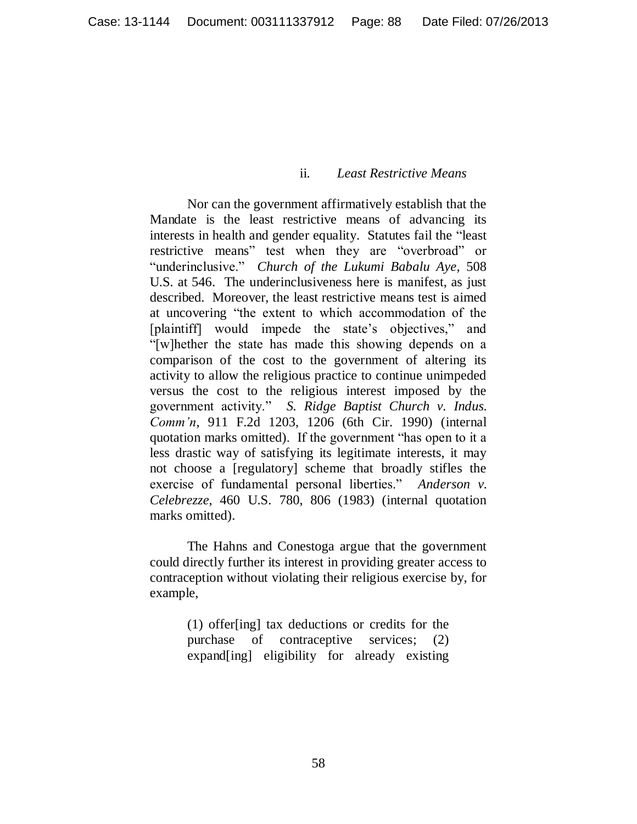### ii. *Least Restrictive Means*

Nor can the government affirmatively establish that the Mandate is the least restrictive means of advancing its interests in health and gender equality. Statutes fail the "least restrictive means" test when they are "overbroad" or "underinclusive." *Church of the Lukumi Babalu Aye*, 508 U.S. at 546. The underinclusiveness here is manifest, as just described. Moreover, the least restrictive means test is aimed at uncovering "the extent to which accommodation of the [plaintiff] would impede the state's objectives," and "[w]hether the state has made this showing depends on a comparison of the cost to the government of altering its activity to allow the religious practice to continue unimpeded versus the cost to the religious interest imposed by the government activity." *S. Ridge Baptist Church v. Indus. Comm'n*, 911 F.2d 1203, 1206 (6th Cir. 1990) (internal quotation marks omitted). If the government "has open to it a less drastic way of satisfying its legitimate interests, it may not choose a [regulatory] scheme that broadly stifles the exercise of fundamental personal liberties." *Anderson v. Celebrezze*, 460 U.S. 780, 806 (1983) (internal quotation marks omitted).

The Hahns and Conestoga argue that the government could directly further its interest in providing greater access to contraception without violating their religious exercise by, for example,

> (1) offer[ing] tax deductions or credits for the purchase of contraceptive services; (2) expand[ing] eligibility for already existing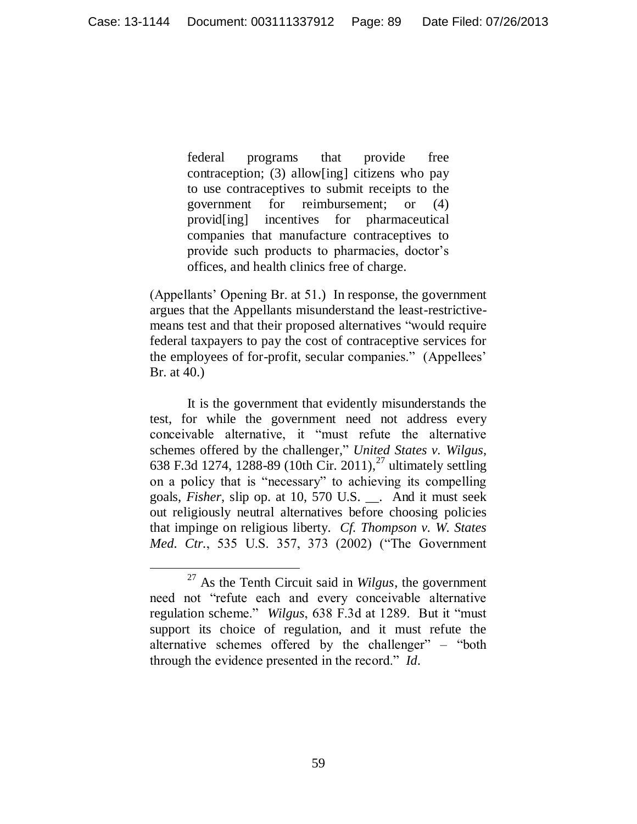federal programs that provide free contraception; (3) allow[ing] citizens who pay to use contraceptives to submit receipts to the government for reimbursement; or (4) provid[ing] incentives for pharmaceutical companies that manufacture contraceptives to provide such products to pharmacies, doctor's offices, and health clinics free of charge.

(Appellants" Opening Br. at 51.) In response, the government argues that the Appellants misunderstand the least-restrictivemeans test and that their proposed alternatives "would require federal taxpayers to pay the cost of contraceptive services for the employees of for-profit, secular companies." (Appellees' Br. at 40.)

It is the government that evidently misunderstands the test, for while the government need not address every conceivable alternative, it "must refute the alternative schemes offered by the challenger," *United States v. Wilgus*, 638 F.3d 1274, 1288-89 (10th Cir. 2011),<sup>27</sup> ultimately settling on a policy that is "necessary" to achieving its compelling goals, *Fisher*, slip op. at 10, 570 U.S. \_\_. And it must seek out religiously neutral alternatives before choosing policies that impinge on religious liberty. *Cf. Thompson v. W. States Med. Ctr.*, 535 U.S. 357, 373 (2002) ("The Government

 $\overline{a}$ <sup>27</sup> As the Tenth Circuit said in *Wilgus*, the government need not "refute each and every conceivable alternative regulation scheme." *Wilgus*, 638 F.3d at 1289. But it "must support its choice of regulation, and it must refute the alternative schemes offered by the challenger" – "both through the evidence presented in the record." *Id.*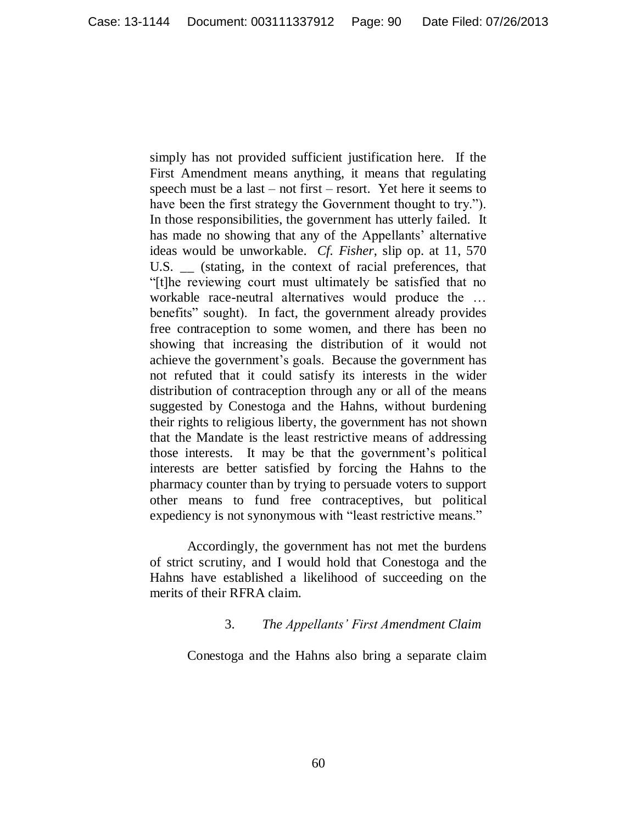simply has not provided sufficient justification here. If the First Amendment means anything, it means that regulating speech must be a last – not first – resort. Yet here it seems to have been the first strategy the Government thought to try."). In those responsibilities, the government has utterly failed. It has made no showing that any of the Appellants' alternative ideas would be unworkable. *Cf. Fisher*, slip op. at 11, 570 U.S. \_\_ (stating, in the context of racial preferences, that "[t]he reviewing court must ultimately be satisfied that no workable race-neutral alternatives would produce the … benefits" sought). In fact, the government already provides free contraception to some women, and there has been no showing that increasing the distribution of it would not achieve the government's goals. Because the government has not refuted that it could satisfy its interests in the wider distribution of contraception through any or all of the means suggested by Conestoga and the Hahns, without burdening their rights to religious liberty, the government has not shown that the Mandate is the least restrictive means of addressing those interests. It may be that the government's political interests are better satisfied by forcing the Hahns to the pharmacy counter than by trying to persuade voters to support other means to fund free contraceptives, but political expediency is not synonymous with "least restrictive means."

Accordingly, the government has not met the burdens of strict scrutiny, and I would hold that Conestoga and the Hahns have established a likelihood of succeeding on the merits of their RFRA claim.

### 3. *The Appellants' First Amendment Claim*

Conestoga and the Hahns also bring a separate claim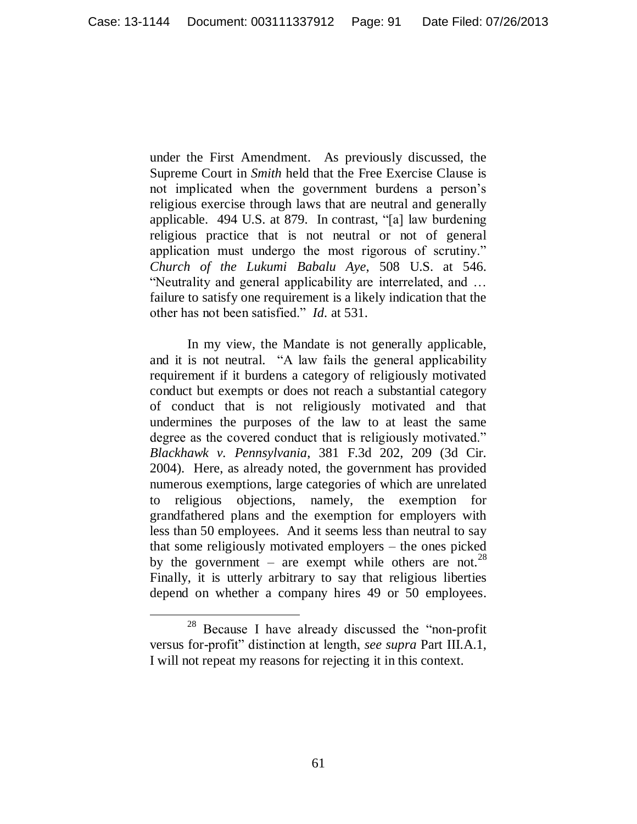under the First Amendment. As previously discussed, the Supreme Court in *Smith* held that the Free Exercise Clause is not implicated when the government burdens a person"s religious exercise through laws that are neutral and generally applicable. 494 U.S. at 879. In contrast, "[a] law burdening religious practice that is not neutral or not of general application must undergo the most rigorous of scrutiny." *Church of the Lukumi Babalu Aye*, 508 U.S. at 546. "Neutrality and general applicability are interrelated, and … failure to satisfy one requirement is a likely indication that the other has not been satisfied." *Id.* at 531.

In my view, the Mandate is not generally applicable, and it is not neutral. "A law fails the general applicability requirement if it burdens a category of religiously motivated conduct but exempts or does not reach a substantial category of conduct that is not religiously motivated and that undermines the purposes of the law to at least the same degree as the covered conduct that is religiously motivated." *Blackhawk v. Pennsylvania*, 381 F.3d 202, 209 (3d Cir. 2004). Here, as already noted, the government has provided numerous exemptions, large categories of which are unrelated to religious objections, namely, the exemption for grandfathered plans and the exemption for employers with less than 50 employees. And it seems less than neutral to say that some religiously motivated employers – the ones picked by the government – are exempt while others are not.<sup>28</sup> Finally, it is utterly arbitrary to say that religious liberties depend on whether a company hires 49 or 50 employees.

<sup>28</sup> Because I have already discussed the "non-profit versus for-profit" distinction at length, *see supra* Part III.A.1, I will not repeat my reasons for rejecting it in this context.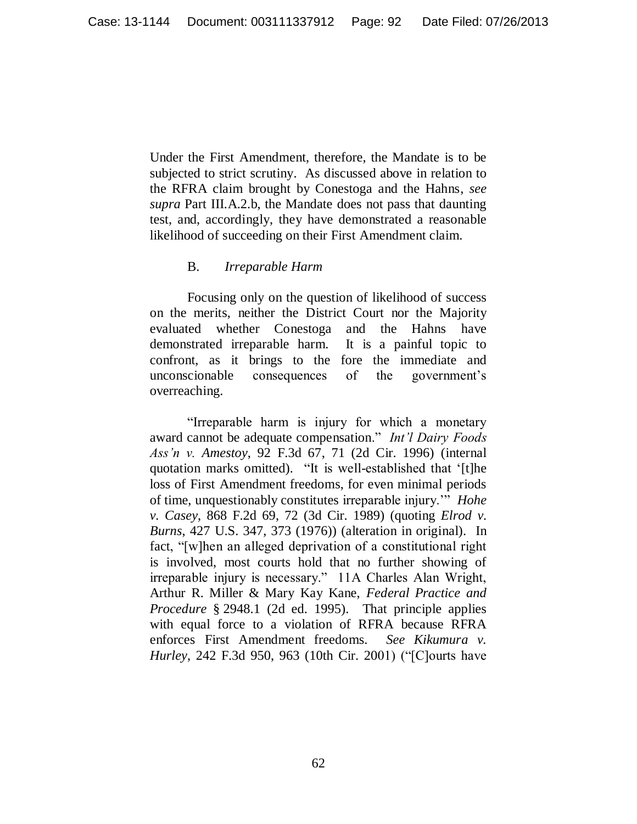Under the First Amendment, therefore, the Mandate is to be subjected to strict scrutiny. As discussed above in relation to the RFRA claim brought by Conestoga and the Hahns, *see supra* Part III.A.2.b, the Mandate does not pass that daunting test, and, accordingly, they have demonstrated a reasonable likelihood of succeeding on their First Amendment claim.

## B. *Irreparable Harm*

Focusing only on the question of likelihood of success on the merits, neither the District Court nor the Majority evaluated whether Conestoga and the Hahns have demonstrated irreparable harm. It is a painful topic to confront, as it brings to the fore the immediate and unconscionable consequences of the government"s overreaching.

"Irreparable harm is injury for which a monetary award cannot be adequate compensation." *Int'l Dairy Foods Ass'n v. Amestoy*, 92 F.3d 67, 71 (2d Cir. 1996) (internal quotation marks omitted). "It is well-established that "[t]he loss of First Amendment freedoms, for even minimal periods of time, unquestionably constitutes irreparable injury."" *Hohe v. Casey*, 868 F.2d 69, 72 (3d Cir. 1989) (quoting *Elrod v. Burns*, 427 U.S. 347, 373 (1976)) (alteration in original). In fact, "[w]hen an alleged deprivation of a constitutional right is involved, most courts hold that no further showing of irreparable injury is necessary." 11A Charles Alan Wright, Arthur R. Miller & Mary Kay Kane, *Federal Practice and Procedure* § 2948.1 (2d ed. 1995). That principle applies with equal force to a violation of RFRA because RFRA enforces First Amendment freedoms. *See Kikumura v. Hurley*, 242 F.3d 950, 963 (10th Cir. 2001) ("[C]ourts have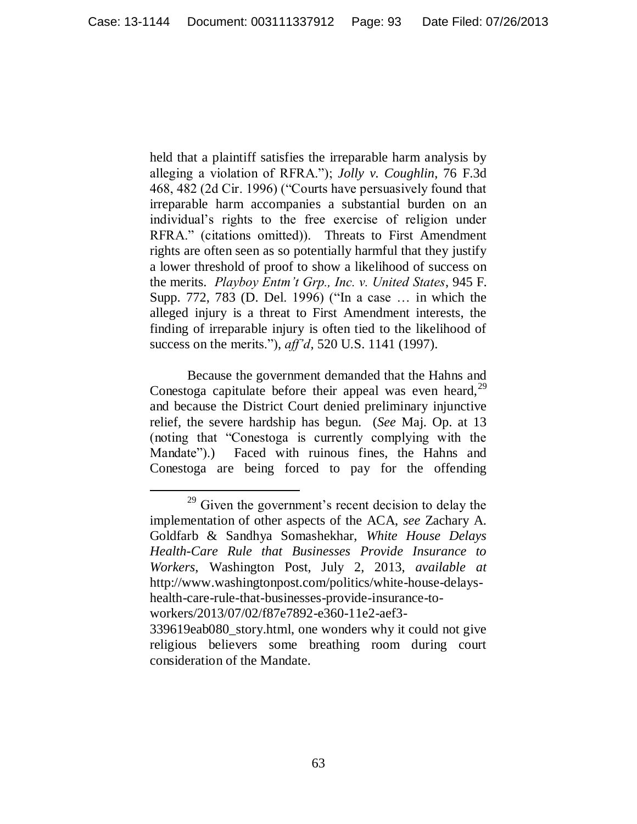held that a plaintiff satisfies the irreparable harm analysis by alleging a violation of RFRA."); *Jolly v. Coughlin*, 76 F.3d 468, 482 (2d Cir. 1996) ("Courts have persuasively found that irreparable harm accompanies a substantial burden on an individual"s rights to the free exercise of religion under RFRA." (citations omitted)). Threats to First Amendment rights are often seen as so potentially harmful that they justify a lower threshold of proof to show a likelihood of success on the merits. *Playboy Entm't Grp., Inc. v. United States*, 945 F. Supp. 772, 783 (D. Del. 1996) ("In a case … in which the alleged injury is a threat to First Amendment interests, the finding of irreparable injury is often tied to the likelihood of success on the merits."), *aff'd*, 520 U.S. 1141 (1997).

Because the government demanded that the Hahns and Conestoga capitulate before their appeal was even heard,  $2^9$ and because the District Court denied preliminary injunctive relief, the severe hardship has begun. (*See* Maj. Op. at 13 (noting that "Conestoga is currently complying with the Mandate").) Faced with ruinous fines, the Hahns and Conestoga are being forced to pay for the offending

<sup>&</sup>lt;sup>29</sup> Given the government's recent decision to delay the implementation of other aspects of the ACA, *see* Zachary A. Goldfarb & Sandhya Somashekhar, *White House Delays Health-Care Rule that Businesses Provide Insurance to Workers*, Washington Post, July 2, 2013, *available at*  http://www.washingtonpost.com/politics/white-house-delayshealth-care-rule-that-businesses-provide-insurance-toworkers/2013/07/02/f87e7892-e360-11e2-aef3-

<sup>339619</sup>eab080\_story.html, one wonders why it could not give religious believers some breathing room during court consideration of the Mandate.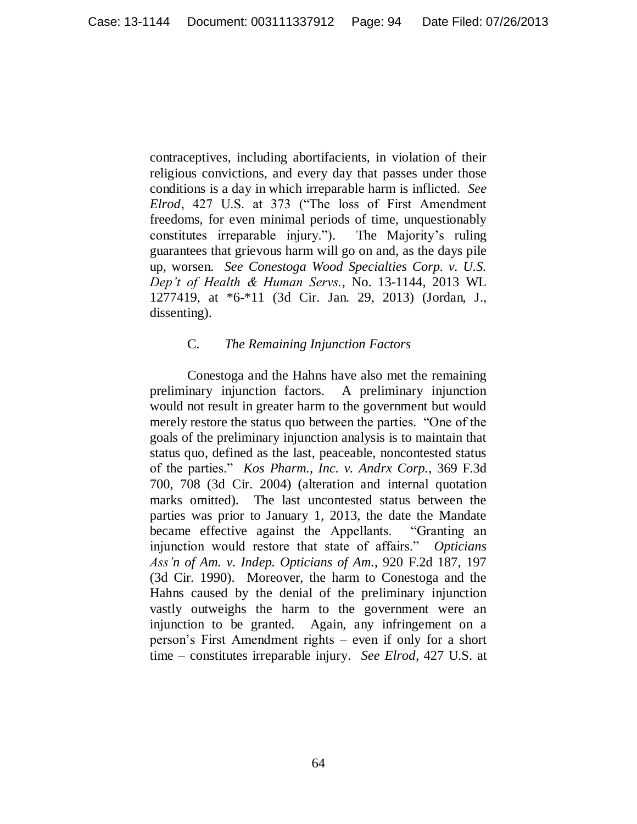contraceptives, including abortifacients, in violation of their religious convictions, and every day that passes under those conditions is a day in which irreparable harm is inflicted. *See Elrod*, 427 U.S. at 373 ("The loss of First Amendment freedoms, for even minimal periods of time, unquestionably constitutes irreparable injury."). The Majority"s ruling guarantees that grievous harm will go on and, as the days pile up, worsen. *See Conestoga Wood Specialties Corp. v. U.S. Dep't of Health & Human Servs.*, No. 13-1144, 2013 WL 1277419, at \*6-\*11 (3d Cir. Jan. 29, 2013) (Jordan, J., dissenting).

### C. *The Remaining Injunction Factors*

Conestoga and the Hahns have also met the remaining preliminary injunction factors. A preliminary injunction would not result in greater harm to the government but would merely restore the status quo between the parties. "One of the goals of the preliminary injunction analysis is to maintain that status quo, defined as the last, peaceable, noncontested status of the parties." *Kos Pharm., Inc. v. Andrx Corp.*, 369 F.3d 700, 708 (3d Cir. 2004) (alteration and internal quotation marks omitted). The last uncontested status between the parties was prior to January 1, 2013, the date the Mandate became effective against the Appellants. "Granting an injunction would restore that state of affairs." *Opticians Ass'n of Am. v. Indep. Opticians of Am.*, 920 F.2d 187, 197 (3d Cir. 1990). Moreover, the harm to Conestoga and the Hahns caused by the denial of the preliminary injunction vastly outweighs the harm to the government were an injunction to be granted. Again, any infringement on a person"s First Amendment rights – even if only for a short time – constitutes irreparable injury. *See Elrod*, 427 U.S. at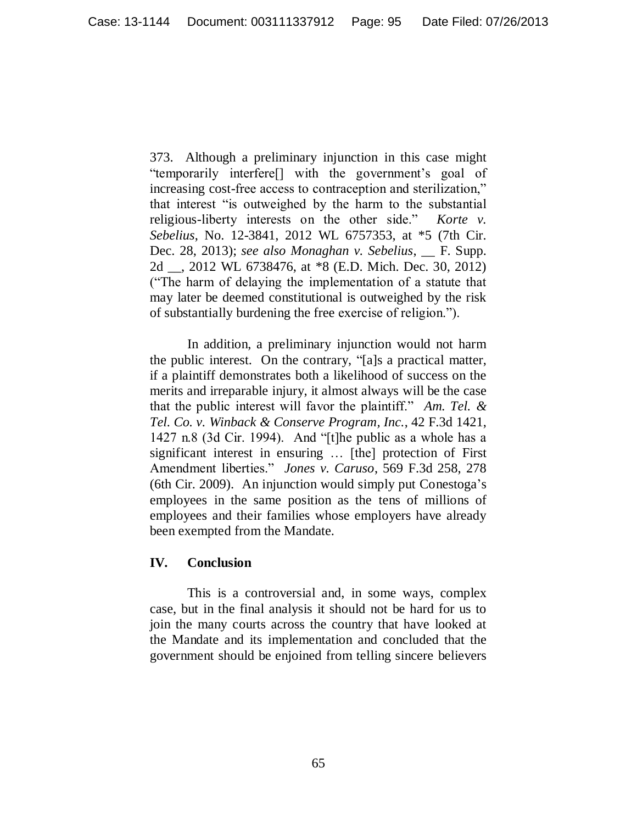373. Although a preliminary injunction in this case might "temporarily interfere<sup>[]</sup> with the government's goal of increasing cost-free access to contraception and sterilization," that interest "is outweighed by the harm to the substantial religious-liberty interests on the other side." *Korte v. Sebelius*, No. 12-3841, 2012 WL 6757353, at \*5 (7th Cir. Dec. 28, 2013); *see also Monaghan v. Sebelius*, \_\_ F. Supp. 2d \_\_, 2012 WL 6738476, at \*8 (E.D. Mich. Dec. 30, 2012) ("The harm of delaying the implementation of a statute that may later be deemed constitutional is outweighed by the risk of substantially burdening the free exercise of religion.").

In addition, a preliminary injunction would not harm the public interest. On the contrary, "[a]s a practical matter, if a plaintiff demonstrates both a likelihood of success on the merits and irreparable injury, it almost always will be the case that the public interest will favor the plaintiff." *Am. Tel. & Tel. Co. v. Winback & Conserve Program, Inc.*, 42 F.3d 1421, 1427 n.8 (3d Cir. 1994). And "[t]he public as a whole has a significant interest in ensuring … [the] protection of First Amendment liberties." *Jones v. Caruso*, 569 F.3d 258, 278 (6th Cir. 2009). An injunction would simply put Conestoga"s employees in the same position as the tens of millions of employees and their families whose employers have already been exempted from the Mandate.

# **IV. Conclusion**

This is a controversial and, in some ways, complex case, but in the final analysis it should not be hard for us to join the many courts across the country that have looked at the Mandate and its implementation and concluded that the government should be enjoined from telling sincere believers